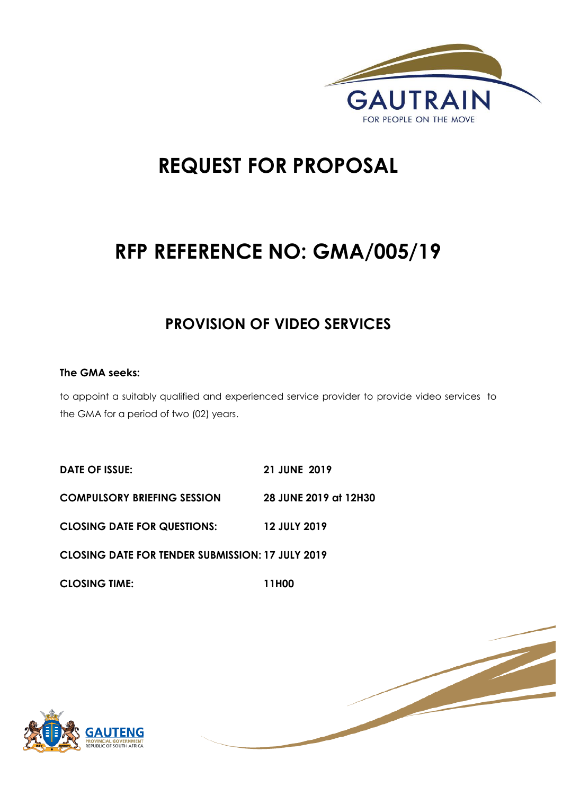

# **REQUEST FOR PROPOSAL**

# **RFP REFERENCE NO: GMA/005/19**

### **PROVISION OF VIDEO SERVICES**

#### **The GMA seeks:**

to appoint a suitably qualified and experienced service provider to provide video services to the GMA for a period of two (02) years.

**DATE OF ISSUE: 21 JUNE 2019 COMPULSORY BRIEFING SESSION 28 JUNE 2019 at 12H30 CLOSING DATE FOR QUESTIONS: 12 JULY 2019 CLOSING DATE FOR TENDER SUBMISSION: 17 JULY 2019 CLOSING TIME: 11H00** 



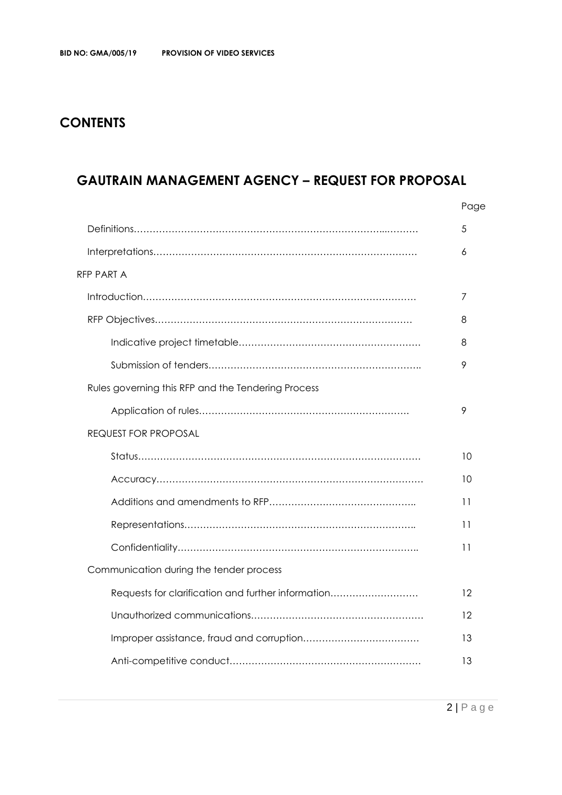### **CONTENTS**

### **GAUTRAIN MANAGEMENT AGENCY – REQUEST FOR PROPOSAL**

|                                                    | Page |
|----------------------------------------------------|------|
|                                                    | 5    |
|                                                    | 6    |
| <b>RFP PART A</b>                                  |      |
|                                                    | 7    |
|                                                    | 8    |
|                                                    | 8    |
|                                                    | 9    |
| Rules governing this RFP and the Tendering Process |      |
|                                                    | 9    |
| <b>REQUEST FOR PROPOSAL</b>                        |      |
|                                                    | 10   |
|                                                    | 10   |
|                                                    | 11   |
|                                                    | 11   |
|                                                    | 11   |
| Communication during the tender process            |      |
| Requests for clarification and further information | 12   |
|                                                    | 12   |
|                                                    | 13   |
|                                                    | 13   |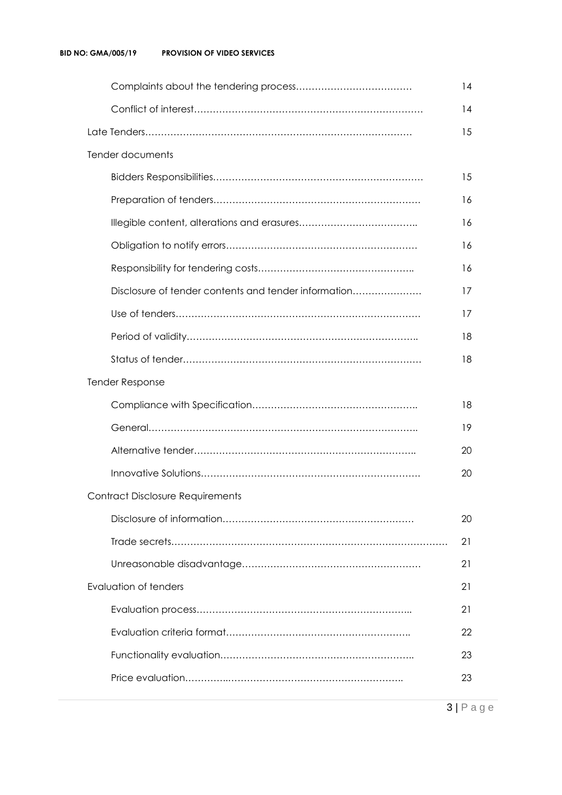|                                                      | 14 |
|------------------------------------------------------|----|
|                                                      | 14 |
|                                                      | 15 |
| Tender documents                                     |    |
|                                                      | 15 |
|                                                      | 16 |
|                                                      | 16 |
|                                                      | 16 |
|                                                      | 16 |
| Disclosure of tender contents and tender information | 17 |
|                                                      | 17 |
|                                                      | 18 |
|                                                      | 18 |
| <b>Tender Response</b>                               |    |
|                                                      | 18 |
|                                                      | 19 |
|                                                      | 20 |
|                                                      | 20 |
| <b>Contract Disclosure Requirements</b>              |    |
|                                                      | 20 |
|                                                      | 21 |
|                                                      | 21 |
| Evaluation of tenders                                | 21 |
|                                                      | 21 |
|                                                      | 22 |
|                                                      | 23 |
|                                                      | 23 |
|                                                      |    |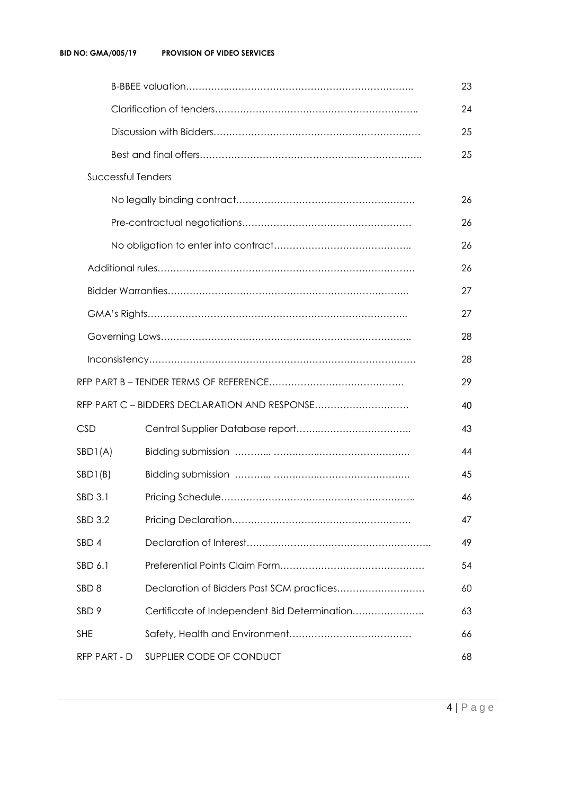|                           |                                               | 23 |
|---------------------------|-----------------------------------------------|----|
|                           |                                               | 24 |
|                           |                                               | 25 |
|                           |                                               | 25 |
| <b>Successful Tenders</b> |                                               |    |
|                           |                                               | 26 |
|                           |                                               | 26 |
|                           |                                               | 26 |
|                           |                                               | 26 |
|                           |                                               | 27 |
|                           |                                               | 27 |
|                           |                                               | 28 |
|                           |                                               | 28 |
|                           |                                               | 29 |
|                           | RFP PART C - BIDDERS DECLARATION AND RESPONSE | 40 |
| <b>CSD</b>                |                                               | 43 |
| SBDI(A)                   |                                               | 44 |
| SBDI(B)                   |                                               | 45 |
| SBD 3.1                   |                                               | 46 |
| SBD 3.2                   |                                               | 47 |
| SBD 4                     |                                               | 49 |
| SBD 6.1                   |                                               | 54 |
| SBD <sub>8</sub>          | Declaration of Bidders Past SCM practices     | 60 |
| SBD <sub>9</sub>          | Certificate of Independent Bid Determination  | 63 |
| <b>SHE</b>                |                                               | 66 |
| RFP PART - D              | SUPPLIER CODE OF CONDUCT                      | 68 |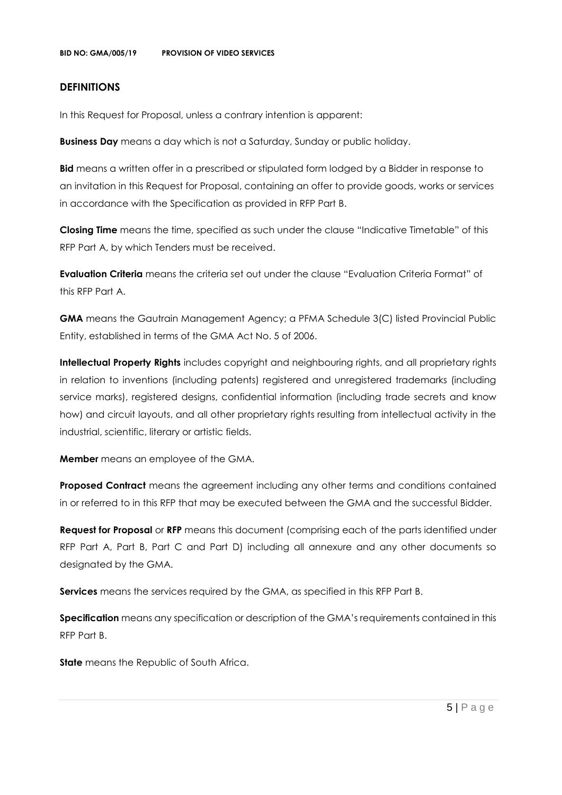#### **DEFINITIONS**

In this Request for Proposal, unless a contrary intention is apparent:

**Business Day** means a day which is not a Saturday, Sunday or public holiday.

**Bid** means a written offer in a prescribed or stipulated form lodged by a Bidder in response to an invitation in this Request for Proposal, containing an offer to provide goods, works or services in accordance with the Specification as provided in RFP Part B.

**Closing Time** means the time, specified as such under the clause "Indicative Timetable" of this RFP Part A, by which Tenders must be received.

**Evaluation Criteria** means the criteria set out under the clause "Evaluation Criteria Format" of this RFP Part A.

**GMA** means the Gautrain Management Agency; a PFMA Schedule 3(C) listed Provincial Public Entity, established in terms of the GMA Act No. 5 of 2006.

**Intellectual Property Rights** includes copyright and neighbouring rights, and all proprietary rights in relation to inventions (including patents) registered and unregistered trademarks (including service marks), registered designs, confidential information (including trade secrets and know how) and circuit layouts, and all other proprietary rights resulting from intellectual activity in the industrial, scientific, literary or artistic fields.

**Member** means an employee of the GMA.

**Proposed Contract** means the agreement including any other terms and conditions contained in or referred to in this RFP that may be executed between the GMA and the successful Bidder.

**Request for Proposal** or **RFP** means this document (comprising each of the parts identified under RFP Part A, Part B, Part C and Part D) including all annexure and any other documents so designated by the GMA.

**Services** means the services required by the GMA, as specified in this RFP Part B.

**Specification** means any specification or description of the GMA's requirements contained in this RFP Part B.

**State** means the Republic of South Africa.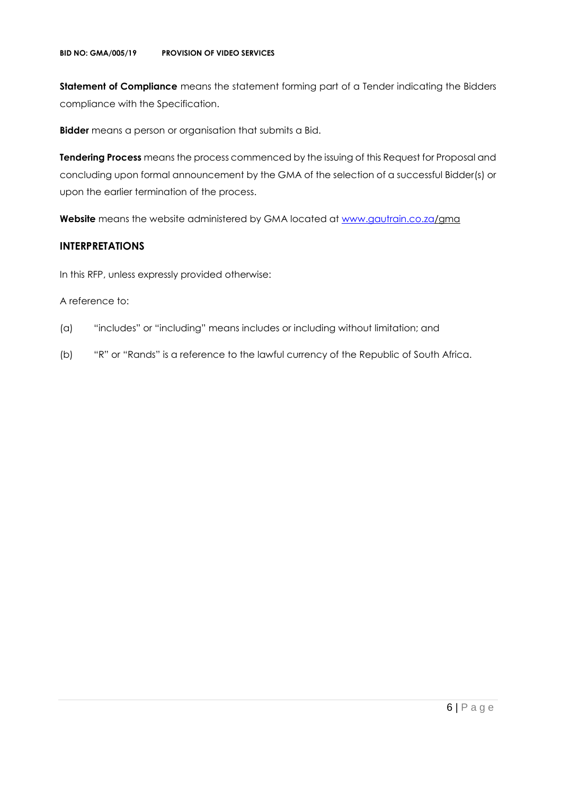**Statement of Compliance** means the statement forming part of a Tender indicating the Bidders compliance with the Specification.

**Bidder** means a person or organisation that submits a Bid.

**Tendering Process** means the process commenced by the issuing of this Request for Proposal and concluding upon formal announcement by the GMA of the selection of a successful Bidder(s) or upon the earlier termination of the process.

**Website** means the website administered by GMA located at [www.gautrain.co.za/](http://www.gautrain.co.za/)gma

#### **INTERPRETATIONS**

In this RFP, unless expressly provided otherwise:

#### A reference to:

- (a) "includes" or "including" means includes or including without limitation; and
- (b) "R" or "Rands" is a reference to the lawful currency of the Republic of South Africa.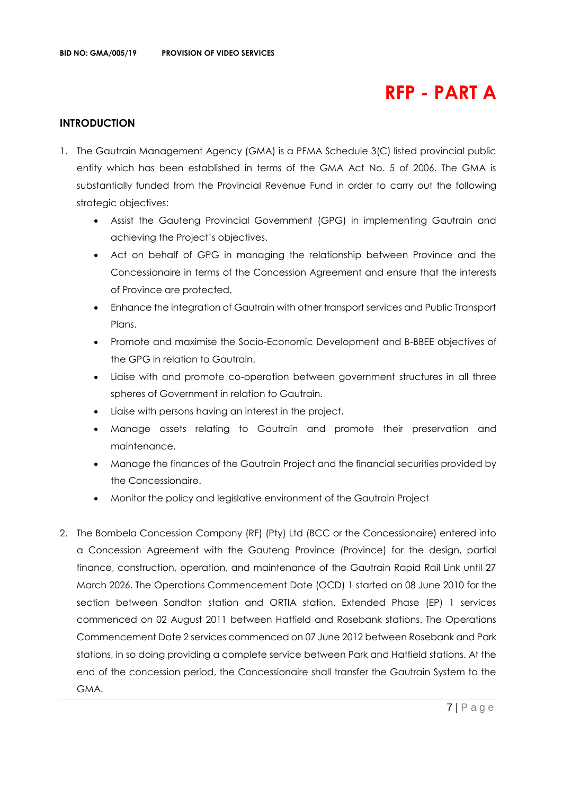## **RFP - PART A**

#### **INTRODUCTION**

- 1. The Gautrain Management Agency (GMA) is a PFMA Schedule 3(C) listed provincial public entity which has been established in terms of the GMA Act No. 5 of 2006. The GMA is substantially funded from the Provincial Revenue Fund in order to carry out the following strategic objectives:
	- Assist the Gauteng Provincial Government (GPG) in implementing Gautrain and achieving the Project's objectives.
	- Act on behalf of GPG in managing the relationship between Province and the Concessionaire in terms of the Concession Agreement and ensure that the interests of Province are protected.
	- Enhance the integration of Gautrain with other transport services and Public Transport Plans.
	- Promote and maximise the Socio-Economic Development and B-BBEE objectives of the GPG in relation to Gautrain.
	- Liaise with and promote co-operation between government structures in all three spheres of Government in relation to Gautrain.
	- Liaise with persons having an interest in the project.
	- Manage assets relating to Gautrain and promote their preservation and maintenance.
	- Manage the finances of the Gautrain Project and the financial securities provided by the Concessionaire.
	- Monitor the policy and legislative environment of the Gautrain Project
- 2. The Bombela Concession Company (RF) (Pty) Ltd (BCC or the Concessionaire) entered into a Concession Agreement with the Gauteng Province (Province) for the design, partial finance, construction, operation, and maintenance of the Gautrain Rapid Rail Link until 27 March 2026. The Operations Commencement Date (OCD) 1 started on 08 June 2010 for the section between Sandton station and ORTIA station. Extended Phase (EP) 1 services commenced on 02 August 2011 between Hatfield and Rosebank stations. The Operations Commencement Date 2 services commenced on 07 June 2012 between Rosebank and Park stations, in so doing providing a complete service between Park and Hatfield stations. At the end of the concession period, the Concessionaire shall transfer the Gautrain System to the GMA.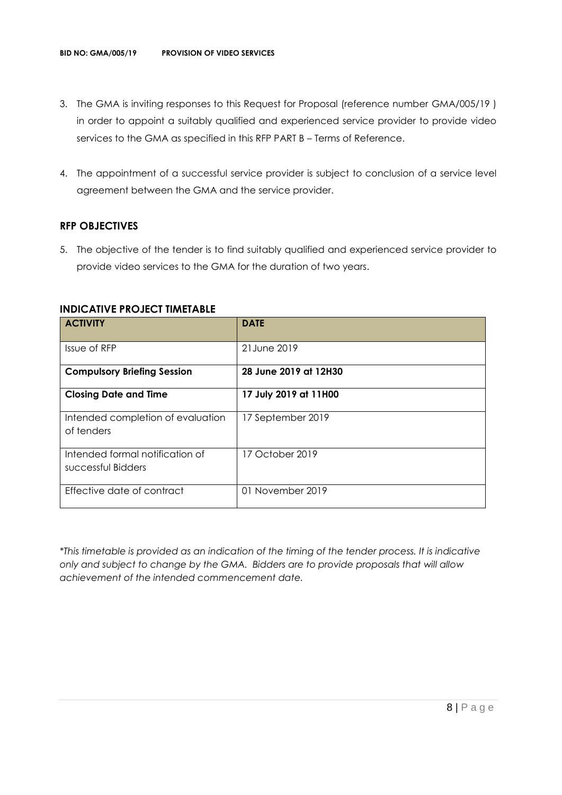- 3. The GMA is inviting responses to this Request for Proposal (reference number GMA/005/19 ) in order to appoint a suitably qualified and experienced service provider to provide video services to the GMA as specified in this RFP PART B – Terms of Reference.
- 4. The appointment of a successful service provider is subject to conclusion of a service level agreement between the GMA and the service provider.

#### **RFP OBJECTIVES**

5. The objective of the tender is to find suitably qualified and experienced service provider to provide video services to the GMA for the duration of two years.

| <b>ACTIVITY</b>                                       | <b>DATE</b>           |
|-------------------------------------------------------|-----------------------|
| Issue of RFP                                          | 21 June 2019          |
| <b>Compulsory Briefing Session</b>                    | 28 June 2019 at 12H30 |
| <b>Closing Date and Time</b>                          | 17 July 2019 at 11H00 |
| Intended completion of evaluation<br>of tenders       | 17 September 2019     |
| Intended formal notification of<br>successful Bidders | 17 October 2019       |
| Effective date of contract                            | 01 November 2019      |

#### **INDICATIVE PROJECT TIMETABLE**

*\*This timetable is provided as an indication of the timing of the tender process. It is indicative only and subject to change by the GMA. Bidders are to provide proposals that will allow achievement of the intended commencement date.*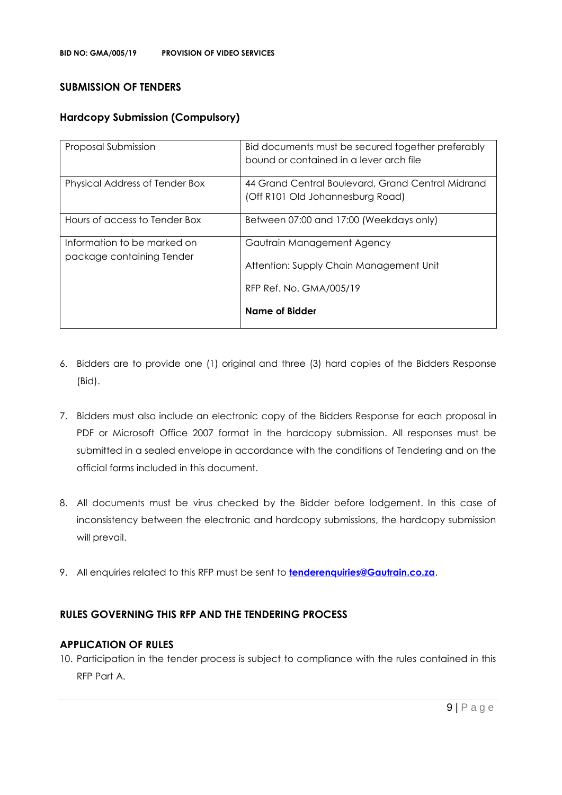#### **SUBMISSION OF TENDERS**

#### **Hardcopy Submission (Compulsory)**

| Proposal Submission                                      | Bid documents must be secured together preferably<br>bound or contained in a lever arch file |
|----------------------------------------------------------|----------------------------------------------------------------------------------------------|
| Physical Address of Tender Box                           | 44 Grand Central Boulevard, Grand Central Midrand<br>(Off R101 Old Johannesburg Road)        |
| Hours of access to Tender Box                            | Between 07:00 and 17:00 (Weekdays only)                                                      |
| Information to be marked on<br>package containing Tender | Gautrain Management Agency<br>Attention: Supply Chain Management Unit                        |
|                                                          | RFP Ref. No. GMA/005/19<br>Name of Bidder                                                    |

- 6. Bidders are to provide one (1) original and three (3) hard copies of the Bidders Response (Bid).
- 7. Bidders must also include an electronic copy of the Bidders Response for each proposal in PDF or Microsoft Office 2007 format in the hardcopy submission. All responses must be submitted in a sealed envelope in accordance with the conditions of Tendering and on the official forms included in this document.
- 8. All documents must be virus checked by the Bidder before lodgement. In this case of inconsistency between the electronic and hardcopy submissions, the hardcopy submission will prevail.
- 9. All enquiries related to this RFP must be sent to **[tenderenquiries@Gautrain.co.za](mailto:tenderenquiries@Gautrain.co.za)**.

#### **RULES GOVERNING THIS RFP AND THE TENDERING PROCESS**

#### **APPLICATION OF RULES**

10. Participation in the tender process is subject to compliance with the rules contained in this RFP Part A.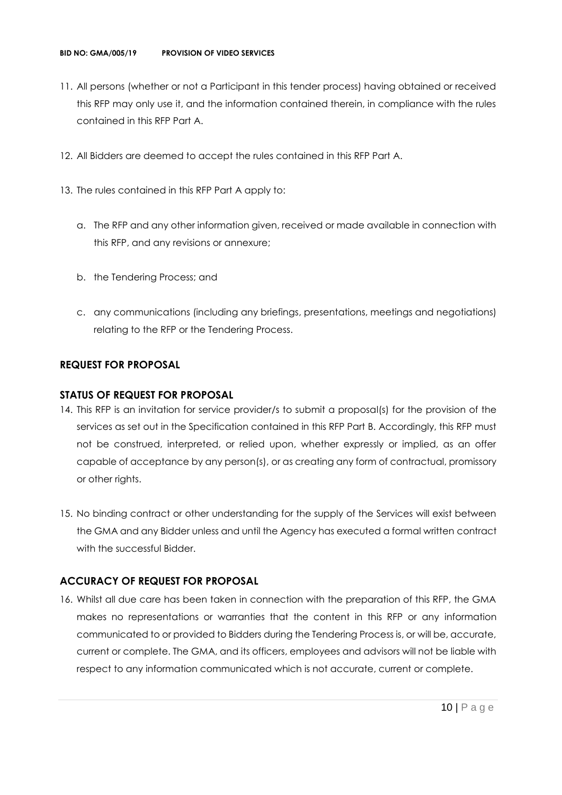- 11. All persons (whether or not a Participant in this tender process) having obtained or received this RFP may only use it, and the information contained therein, in compliance with the rules contained in this RFP Part A.
- 12. All Bidders are deemed to accept the rules contained in this RFP Part A.
- 13. The rules contained in this RFP Part A apply to:
	- a. The RFP and any other information given, received or made available in connection with this RFP, and any revisions or annexure;
	- b. the Tendering Process; and
	- c. any communications (including any briefings, presentations, meetings and negotiations) relating to the RFP or the Tendering Process.

#### **REQUEST FOR PROPOSAL**

#### **STATUS OF REQUEST FOR PROPOSAL**

- 14. This RFP is an invitation for service provider/s to submit a proposal(s) for the provision of the services as set out in the Specification contained in this RFP Part B. Accordingly, this RFP must not be construed, interpreted, or relied upon, whether expressly or implied, as an offer capable of acceptance by any person(s), or as creating any form of contractual, promissory or other rights.
- 15. No binding contract or other understanding for the supply of the Services will exist between the GMA and any Bidder unless and until the Agency has executed a formal written contract with the successful Bidder.

#### **ACCURACY OF REQUEST FOR PROPOSAL**

16. Whilst all due care has been taken in connection with the preparation of this RFP, the GMA makes no representations or warranties that the content in this RFP or any information communicated to or provided to Bidders during the Tendering Process is, or will be, accurate, current or complete. The GMA, and its officers, employees and advisors will not be liable with respect to any information communicated which is not accurate, current or complete.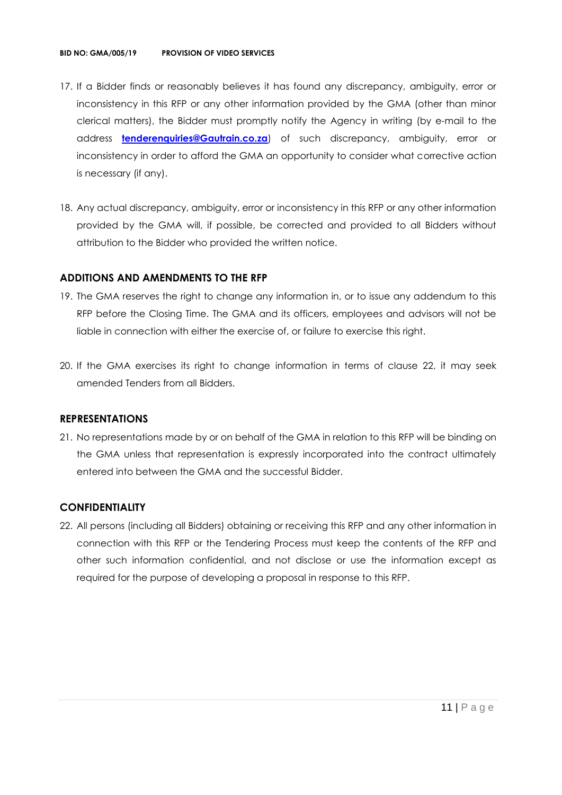- 17. If a Bidder finds or reasonably believes it has found any discrepancy, ambiguity, error or inconsistency in this RFP or any other information provided by the GMA (other than minor clerical matters), the Bidder must promptly notify the Agency in writing (by e-mail to the address **[tenderenquiries@Gautrain.co.za](mailto:tenderenquiries@gautrainpo.co.za)**) of such discrepancy, ambiguity, error or inconsistency in order to afford the GMA an opportunity to consider what corrective action is necessary (if any).
- 18. Any actual discrepancy, ambiguity, error or inconsistency in this RFP or any other information provided by the GMA will, if possible, be corrected and provided to all Bidders without attribution to the Bidder who provided the written notice.

#### **ADDITIONS AND AMENDMENTS TO THE RFP**

- 19. The GMA reserves the right to change any information in, or to issue any addendum to this RFP before the Closing Time. The GMA and its officers, employees and advisors will not be liable in connection with either the exercise of, or failure to exercise this right.
- 20. If the GMA exercises its right to change information in terms of clause 22, it may seek amended Tenders from all Bidders.

#### **REPRESENTATIONS**

21. No representations made by or on behalf of the GMA in relation to this RFP will be binding on the GMA unless that representation is expressly incorporated into the contract ultimately entered into between the GMA and the successful Bidder.

#### **CONFIDENTIALITY**

22. All persons (including all Bidders) obtaining or receiving this RFP and any other information in connection with this RFP or the Tendering Process must keep the contents of the RFP and other such information confidential, and not disclose or use the information except as required for the purpose of developing a proposal in response to this RFP.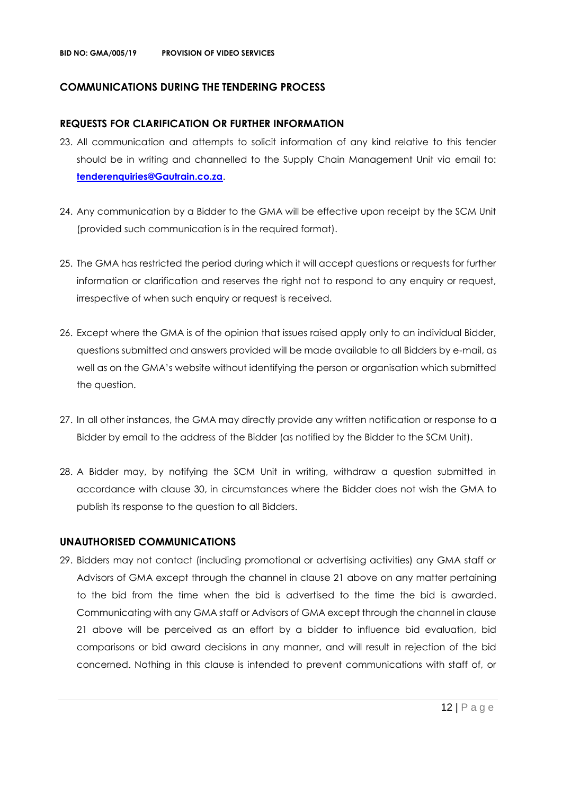#### **COMMUNICATIONS DURING THE TENDERING PROCESS**

#### **REQUESTS FOR CLARIFICATION OR FURTHER INFORMATION**

- 23. All communication and attempts to solicit information of any kind relative to this tender should be in writing and channelled to the Supply Chain Management Unit via email to: **[tenderenquiries@Gautrain.co.za](mailto:tenderenquiries@gautrainpo.co.za)**.
- 24. Any communication by a Bidder to the GMA will be effective upon receipt by the SCM Unit (provided such communication is in the required format).
- 25. The GMA has restricted the period during which it will accept questions or requests for further information or clarification and reserves the right not to respond to any enquiry or request, irrespective of when such enquiry or request is received.
- 26. Except where the GMA is of the opinion that issues raised apply only to an individual Bidder, questions submitted and answers provided will be made available to all Bidders by e-mail, as well as on the GMA's website without identifying the person or organisation which submitted the question.
- 27. In all other instances, the GMA may directly provide any written notification or response to a Bidder by email to the address of the Bidder (as notified by the Bidder to the SCM Unit).
- 28. A Bidder may, by notifying the SCM Unit in writing, withdraw a question submitted in accordance with clause 30, in circumstances where the Bidder does not wish the GMA to publish its response to the question to all Bidders.

#### **UNAUTHORISED COMMUNICATIONS**

29. Bidders may not contact (including promotional or advertising activities) any GMA staff or Advisors of GMA except through the channel in clause 21 above on any matter pertaining to the bid from the time when the bid is advertised to the time the bid is awarded. Communicating with any GMA staff or Advisors of GMA except through the channel in clause 21 above will be perceived as an effort by a bidder to influence bid evaluation, bid comparisons or bid award decisions in any manner, and will result in rejection of the bid concerned. Nothing in this clause is intended to prevent communications with staff of, or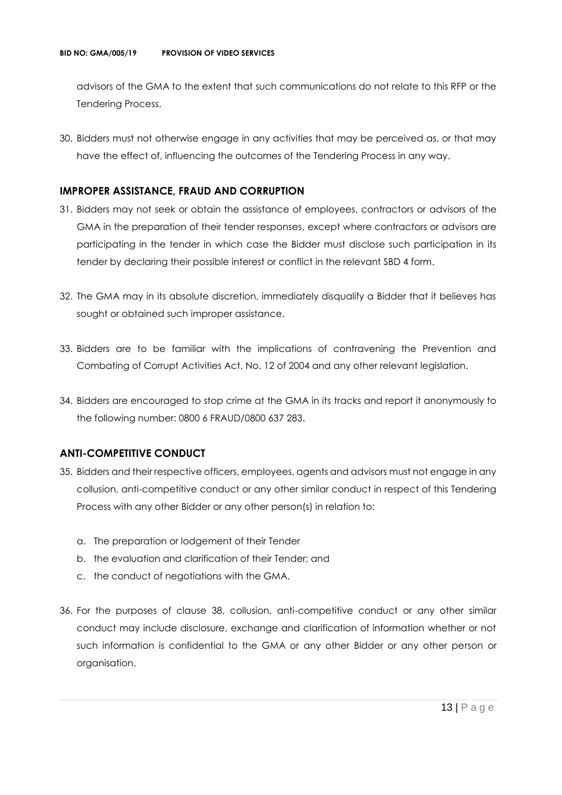advisors of the GMA to the extent that such communications do not relate to this RFP or the Tendering Process.

30. Bidders must not otherwise engage in any activities that may be perceived as, or that may have the effect of, influencing the outcomes of the Tendering Process in any way.

#### **IMPROPER ASSISTANCE, FRAUD AND CORRUPTION**

- 31. Bidders may not seek or obtain the assistance of employees, contractors or advisors of the GMA in the preparation of their tender responses, except where contractors or advisors are participating in the tender in which case the Bidder must disclose such participation in its tender by declaring their possible interest or conflict in the relevant SBD 4 form.
- 32. The GMA may in its absolute discretion, immediately disqualify a Bidder that it believes has sought or obtained such improper assistance.
- 33. Bidders are to be familiar with the implications of contravening the Prevention and Combating of Corrupt Activities Act, No. 12 of 2004 and any other relevant legislation.
- 34. Bidders are encouraged to stop crime at the GMA in its tracks and report it anonymously to the following number: 0800 6 FRAUD/0800 637 283.

#### **ANTI-COMPETITIVE CONDUCT**

- 35. Bidders and their respective officers, employees, agents and advisors must not engage in any collusion, anti-competitive conduct or any other similar conduct in respect of this Tendering Process with any other Bidder or any other person(s) in relation to:
	- a. The preparation or lodgement of their Tender
	- b. the evaluation and clarification of their Tender; and
	- c. the conduct of negotiations with the GMA.
- 36. For the purposes of clause 38, collusion, anti-competitive conduct or any other similar conduct may include disclosure, exchange and clarification of information whether or not such information is confidential to the GMA or any other Bidder or any other person or organisation.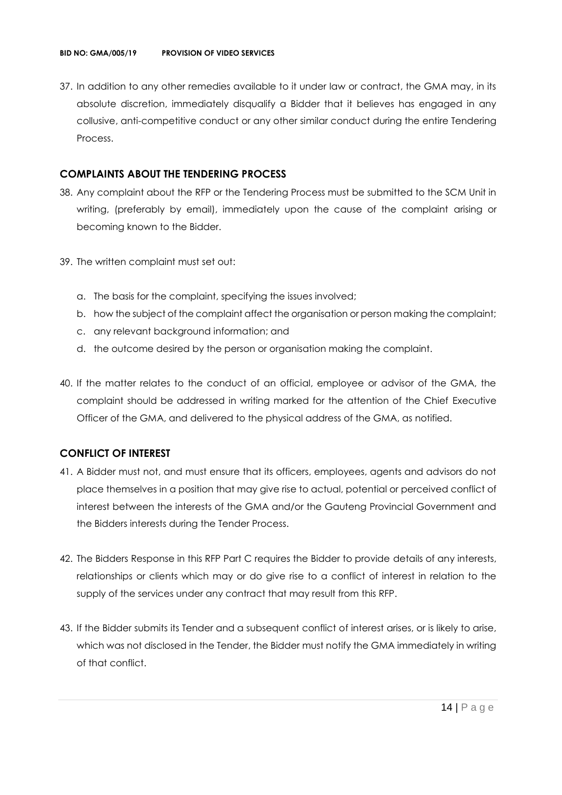37. In addition to any other remedies available to it under law or contract, the GMA may, in its absolute discretion, immediately disqualify a Bidder that it believes has engaged in any collusive, anti-competitive conduct or any other similar conduct during the entire Tendering Process.

#### **COMPLAINTS ABOUT THE TENDERING PROCESS**

- 38. Any complaint about the RFP or the Tendering Process must be submitted to the SCM Unit in writing, (preferably by email), immediately upon the cause of the complaint arising or becoming known to the Bidder.
- 39. The written complaint must set out:
	- a. The basis for the complaint, specifying the issues involved;
	- b. how the subject of the complaint affect the organisation or person making the complaint;
	- c. any relevant background information; and
	- d. the outcome desired by the person or organisation making the complaint.
- 40. If the matter relates to the conduct of an official, employee or advisor of the GMA, the complaint should be addressed in writing marked for the attention of the Chief Executive Officer of the GMA, and delivered to the physical address of the GMA, as notified.

#### **CONFLICT OF INTEREST**

- 41. A Bidder must not, and must ensure that its officers, employees, agents and advisors do not place themselves in a position that may give rise to actual, potential or perceived conflict of interest between the interests of the GMA and/or the Gauteng Provincial Government and the Bidders interests during the Tender Process.
- 42. The Bidders Response in this RFP Part C requires the Bidder to provide details of any interests, relationships or clients which may or do give rise to a conflict of interest in relation to the supply of the services under any contract that may result from this RFP.
- 43. If the Bidder submits its Tender and a subsequent conflict of interest arises, or is likely to arise, which was not disclosed in the Tender, the Bidder must notify the GMA immediately in writing of that conflict.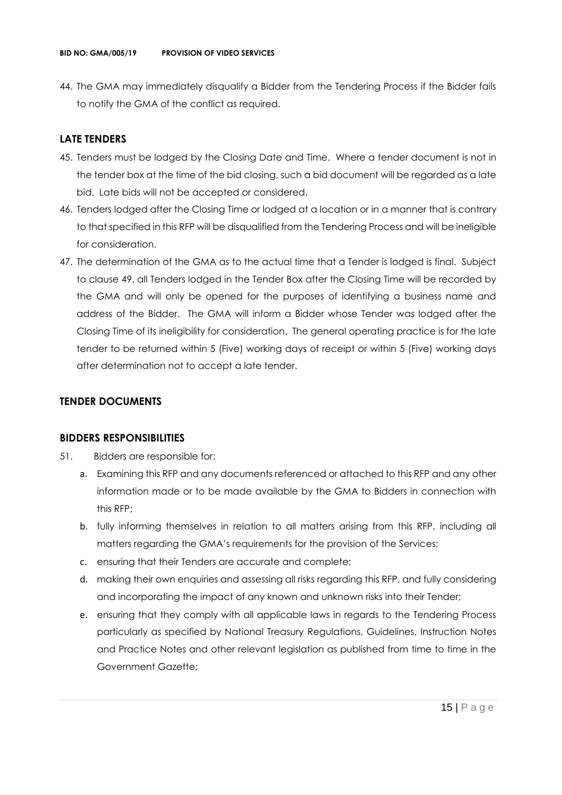44. The GMA may immediately disqualify a Bidder from the Tendering Process if the Bidder fails to notify the GMA of the conflict as required.

#### **LATE TENDERS**

- 45. Tenders must be lodged by the Closing Date and Time. Where a tender document is not in the tender box at the time of the bid closing, such a bid document will be regarded as a late bid. Late bids will not be accepted or considered.
- 46. Tenders lodged after the Closing Time or lodged at a location or in a manner that is contrary to that specified in this RFP will be disqualified from the Tendering Process and will be ineligible for consideration.
- 47. The determination of the GMA as to the actual time that a Tender is lodged is final. Subject to clause 49, all Tenders lodged in the Tender Box after the Closing Time will be recorded by the GMA and will only be opened for the purposes of identifying a business name and address of the Bidder. The GMA will inform a Bidder whose Tender was lodged after the Closing Time of its ineligibility for consideration. The general operating practice is for the late tender to be returned within 5 (Five) working days of receipt or within 5 (Five) working days after determination not to accept a late tender.

#### **TENDER DOCUMENTS**

#### **BIDDERS RESPONSIBILITIES**

- 51. Bidders are responsible for:
	- a. Examining this RFP and any documents referenced or attached to this RFP and any other information made or to be made available by the GMA to Bidders in connection with this RFP;
	- b. fully informing themselves in relation to all matters arising from this RFP, including all matters regarding the GMA's requirements for the provision of the Services;
	- c. ensuring that their Tenders are accurate and complete;
	- d. making their own enquiries and assessing all risks regarding this RFP, and fully considering and incorporating the impact of any known and unknown risks into their Tender;
	- e. ensuring that they comply with all applicable laws in regards to the Tendering Process particularly as specified by National Treasury Regulations, Guidelines, Instruction Notes and Practice Notes and other relevant legislation as published from time to time in the Government Gazette;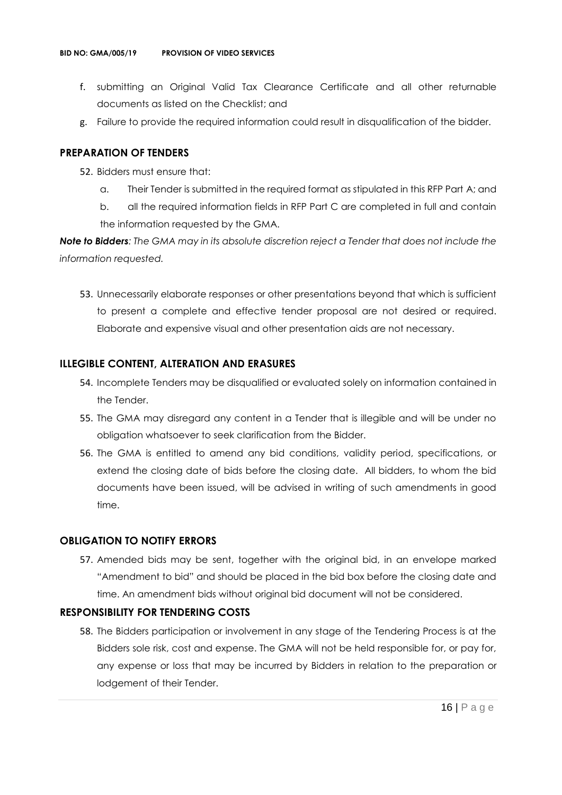- f. submitting an Original Valid Tax Clearance Certificate and all other returnable documents as listed on the Checklist; and
- g. Failure to provide the required information could result in disqualification of the bidder.

#### **PREPARATION OF TENDERS**

- 52. Bidders must ensure that:
	- a. Their Tender is submitted in the required format as stipulated in this RFP Part A; and
	- b. all the required information fields in RFP Part C are completed in full and contain the information requested by the GMA.

*Note to Bidders: The GMA may in its absolute discretion reject a Tender that does not include the information requested.*

53. Unnecessarily elaborate responses or other presentations beyond that which is sufficient to present a complete and effective tender proposal are not desired or required. Elaborate and expensive visual and other presentation aids are not necessary.

#### **ILLEGIBLE CONTENT, ALTERATION AND ERASURES**

- 54. Incomplete Tenders may be disqualified or evaluated solely on information contained in the Tender.
- 55. The GMA may disregard any content in a Tender that is illegible and will be under no obligation whatsoever to seek clarification from the Bidder.
- 56. The GMA is entitled to amend any bid conditions, validity period, specifications, or extend the closing date of bids before the closing date. All bidders, to whom the bid documents have been issued, will be advised in writing of such amendments in good time.

#### **OBLIGATION TO NOTIFY ERRORS**

57. Amended bids may be sent, together with the original bid, in an envelope marked "Amendment to bid" and should be placed in the bid box before the closing date and time. An amendment bids without original bid document will not be considered.

#### **RESPONSIBILITY FOR TENDERING COSTS**

58. The Bidders participation or involvement in any stage of the Tendering Process is at the Bidders sole risk, cost and expense. The GMA will not be held responsible for, or pay for, any expense or loss that may be incurred by Bidders in relation to the preparation or lodgement of their Tender.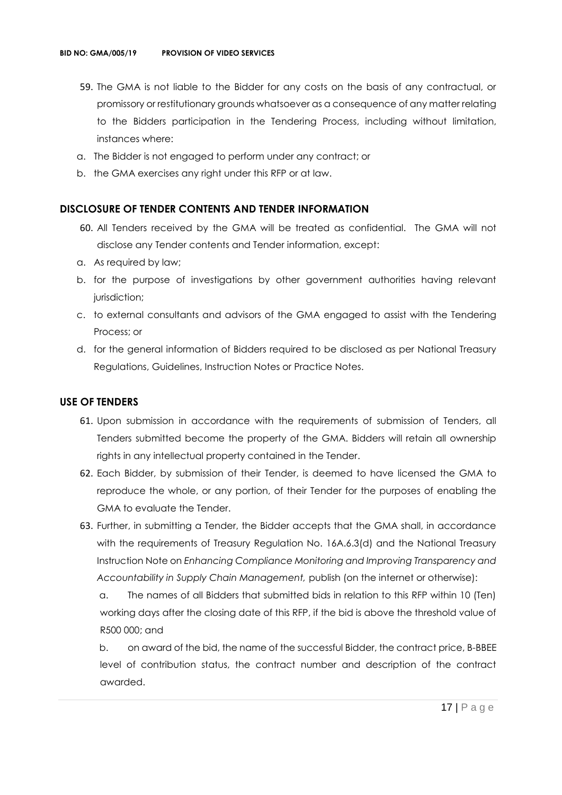- 59. The GMA is not liable to the Bidder for any costs on the basis of any contractual, or promissory or restitutionary grounds whatsoever as a consequence of any matter relating to the Bidders participation in the Tendering Process, including without limitation, instances where:
- a. The Bidder is not engaged to perform under any contract; or
- b. the GMA exercises any right under this RFP or at law.

#### **DISCLOSURE OF TENDER CONTENTS AND TENDER INFORMATION**

- 60. All Tenders received by the GMA will be treated as confidential. The GMA will not disclose any Tender contents and Tender information, except:
- a. As required by law;
- b. for the purpose of investigations by other government authorities having relevant jurisdiction;
- c. to external consultants and advisors of the GMA engaged to assist with the Tendering Process; or
- d. for the general information of Bidders required to be disclosed as per National Treasury Regulations, Guidelines, Instruction Notes or Practice Notes.

#### **USE OF TENDERS**

- 61. Upon submission in accordance with the requirements of submission of Tenders, all Tenders submitted become the property of the GMA. Bidders will retain all ownership rights in any intellectual property contained in the Tender.
- 62. Each Bidder, by submission of their Tender, is deemed to have licensed the GMA to reproduce the whole, or any portion, of their Tender for the purposes of enabling the GMA to evaluate the Tender.
- 63. Further, in submitting a Tender, the Bidder accepts that the GMA shall, in accordance with the requirements of Treasury Regulation No. 16A.6.3(d) and the National Treasury Instruction Note on *Enhancing Compliance Monitoring and Improving Transparency and Accountability in Supply Chain Management,* publish (on the internet or otherwise):

a. The names of all Bidders that submitted bids in relation to this RFP within 10 (Ten) working days after the closing date of this RFP, if the bid is above the threshold value of R500 000; and

b. on award of the bid, the name of the successful Bidder, the contract price, B-BBEE level of contribution status, the contract number and description of the contract awarded.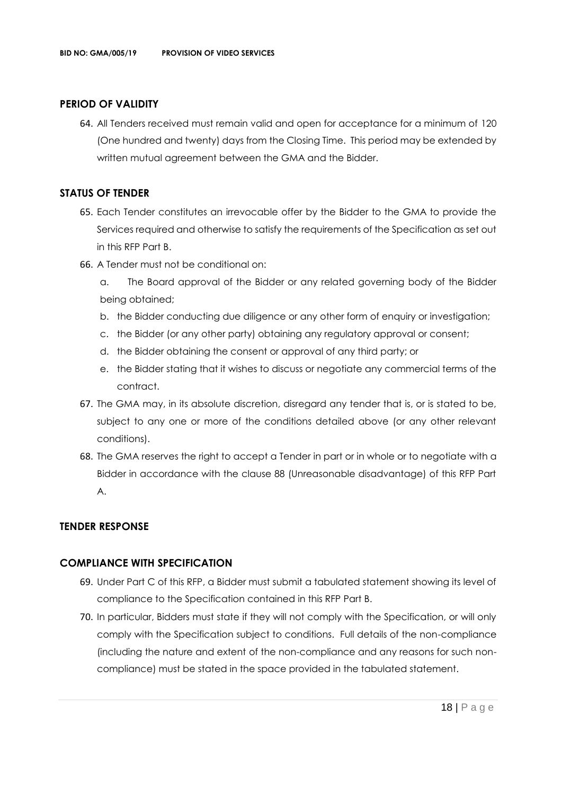#### **PERIOD OF VALIDITY**

64. All Tenders received must remain valid and open for acceptance for a minimum of 120 (One hundred and twenty) days from the Closing Time. This period may be extended by written mutual agreement between the GMA and the Bidder.

#### **STATUS OF TENDER**

- 65. Each Tender constitutes an irrevocable offer by the Bidder to the GMA to provide the Services required and otherwise to satisfy the requirements of the Specification as set out in this RFP Part B.
- 66. A Tender must not be conditional on:
	- a. The Board approval of the Bidder or any related governing body of the Bidder being obtained;
	- b. the Bidder conducting due diligence or any other form of enquiry or investigation;
	- c. the Bidder (or any other party) obtaining any regulatory approval or consent;
	- d. the Bidder obtaining the consent or approval of any third party; or
	- e. the Bidder stating that it wishes to discuss or negotiate any commercial terms of the contract.
- 67. The GMA may, in its absolute discretion, disregard any tender that is, or is stated to be, subject to any one or more of the conditions detailed above (or any other relevant conditions).
- 68. The GMA reserves the right to accept a Tender in part or in whole or to negotiate with a Bidder in accordance with the clause 88 (Unreasonable disadvantage) of this RFP Part A.

#### **TENDER RESPONSE**

#### **COMPLIANCE WITH SPECIFICATION**

- 69. Under Part C of this RFP, a Bidder must submit a tabulated statement showing its level of compliance to the Specification contained in this RFP Part B.
- 70. In particular, Bidders must state if they will not comply with the Specification, or will only comply with the Specification subject to conditions. Full details of the non-compliance (including the nature and extent of the non-compliance and any reasons for such noncompliance) must be stated in the space provided in the tabulated statement.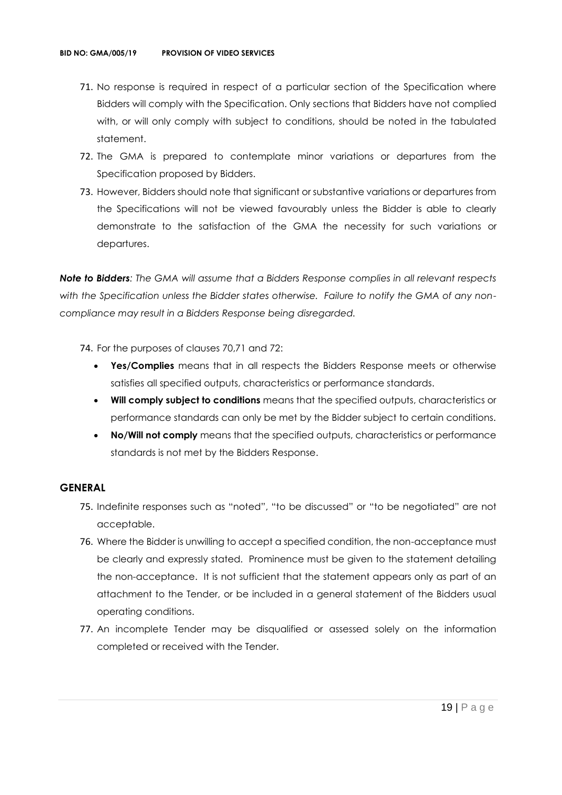- 71. No response is required in respect of a particular section of the Specification where Bidders will comply with the Specification. Only sections that Bidders have not complied with, or will only comply with subject to conditions, should be noted in the tabulated statement.
- 72. The GMA is prepared to contemplate minor variations or departures from the Specification proposed by Bidders.
- 73. However, Bidders should note that significant or substantive variations or departures from the Specifications will not be viewed favourably unless the Bidder is able to clearly demonstrate to the satisfaction of the GMA the necessity for such variations or departures.

*Note to Bidders: The GMA will assume that a Bidders Response complies in all relevant respects with the Specification unless the Bidder states otherwise. Failure to notify the GMA of any noncompliance may result in a Bidders Response being disregarded.*

- 74. For the purposes of clauses 70,71 and 72:
	- **Yes/Complies** means that in all respects the Bidders Response meets or otherwise satisfies all specified outputs, characteristics or performance standards.
	- **Will comply subject to conditions** means that the specified outputs, characteristics or performance standards can only be met by the Bidder subject to certain conditions.
	- **No/Will not comply** means that the specified outputs, characteristics or performance standards is not met by the Bidders Response.

#### **GENERAL**

- 75. Indefinite responses such as "noted", "to be discussed" or "to be negotiated" are not acceptable.
- 76. Where the Bidder is unwilling to accept a specified condition, the non-acceptance must be clearly and expressly stated. Prominence must be given to the statement detailing the non-acceptance. It is not sufficient that the statement appears only as part of an attachment to the Tender, or be included in a general statement of the Bidders usual operating conditions.
- 77. An incomplete Tender may be disqualified or assessed solely on the information completed or received with the Tender.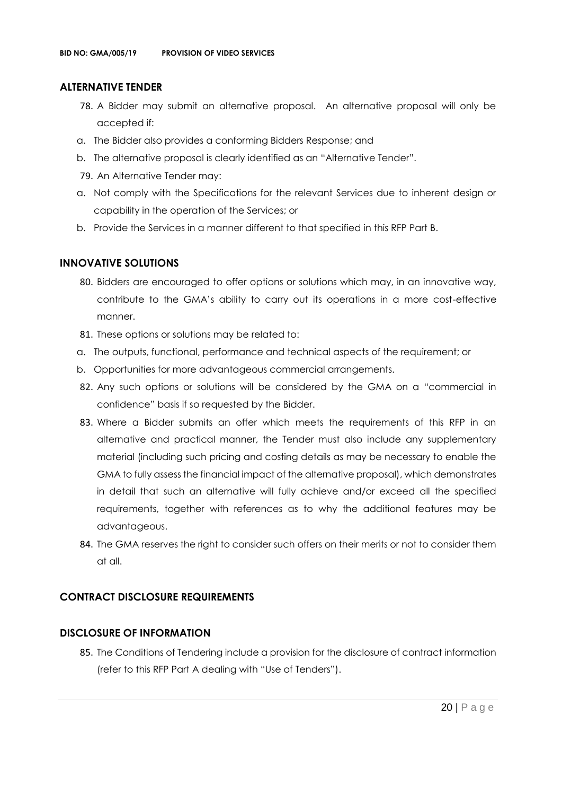#### **ALTERNATIVE TENDER**

- 78. A Bidder may submit an alternative proposal. An alternative proposal will only be accepted if:
- a. The Bidder also provides a conforming Bidders Response; and
- b. The alternative proposal is clearly identified as an "Alternative Tender".
- 79. An Alternative Tender may:
- a. Not comply with the Specifications for the relevant Services due to inherent design or capability in the operation of the Services; or
- b. Provide the Services in a manner different to that specified in this RFP Part B.

#### **INNOVATIVE SOLUTIONS**

- 80. Bidders are encouraged to offer options or solutions which may, in an innovative way, contribute to the GMA's ability to carry out its operations in a more cost-effective manner.
- 81. These options or solutions may be related to:
- a. The outputs, functional, performance and technical aspects of the requirement; or
- b. Opportunities for more advantageous commercial arrangements.
- 82. Any such options or solutions will be considered by the GMA on a "commercial in confidence" basis if so requested by the Bidder.
- 83. Where a Bidder submits an offer which meets the requirements of this RFP in an alternative and practical manner, the Tender must also include any supplementary material (including such pricing and costing details as may be necessary to enable the GMA to fully assess the financial impact of the alternative proposal), which demonstrates in detail that such an alternative will fully achieve and/or exceed all the specified requirements, together with references as to why the additional features may be advantageous.
- 84. The GMA reserves the right to consider such offers on their merits or not to consider them at all.

#### **CONTRACT DISCLOSURE REQUIREMENTS**

#### **DISCLOSURE OF INFORMATION**

85. The Conditions of Tendering include a provision for the disclosure of contract information (refer to this RFP Part A dealing with "Use of Tenders").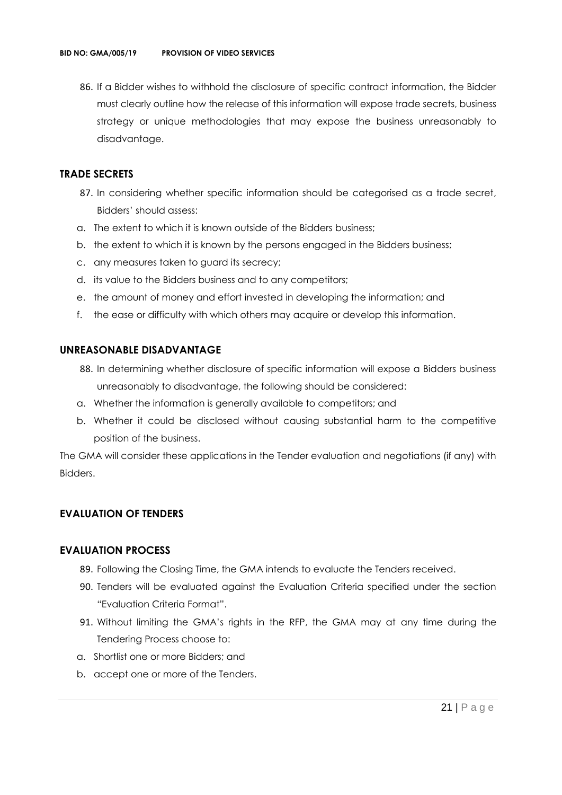86. If a Bidder wishes to withhold the disclosure of specific contract information, the Bidder must clearly outline how the release of this information will expose trade secrets, business strategy or unique methodologies that may expose the business unreasonably to disadvantage.

#### **TRADE SECRETS**

- 87. In considering whether specific information should be categorised as a trade secret, Bidders' should assess:
- a. The extent to which it is known outside of the Bidders business;
- b. the extent to which it is known by the persons engaged in the Bidders business;
- c. any measures taken to guard its secrecy;
- d. its value to the Bidders business and to any competitors;
- e. the amount of money and effort invested in developing the information; and
- f. the ease or difficulty with which others may acquire or develop this information.

#### **UNREASONABLE DISADVANTAGE**

- 88. In determining whether disclosure of specific information will expose a Bidders business unreasonably to disadvantage, the following should be considered:
- a. Whether the information is generally available to competitors; and
- b. Whether it could be disclosed without causing substantial harm to the competitive position of the business.

The GMA will consider these applications in the Tender evaluation and negotiations (if any) with Bidders.

#### **EVALUATION OF TENDERS**

#### **EVALUATION PROCESS**

- 89. Following the Closing Time, the GMA intends to evaluate the Tenders received.
- 90. Tenders will be evaluated against the Evaluation Criteria specified under the section "Evaluation Criteria Format".
- 91. Without limiting the GMA's rights in the RFP, the GMA may at any time during the Tendering Process choose to:
- a. Shortlist one or more Bidders; and
- b. accept one or more of the Tenders.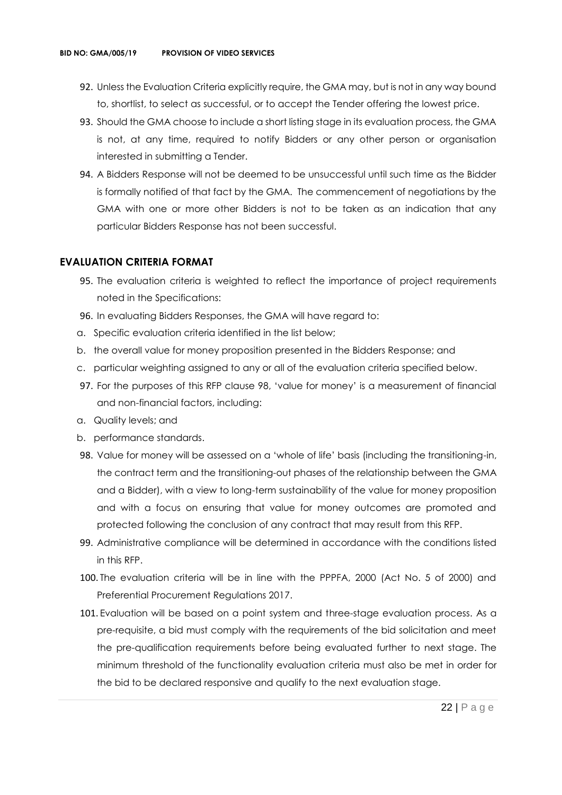- 92. Unless the Evaluation Criteria explicitly require, the GMA may, but is not in any way bound to, shortlist, to select as successful, or to accept the Tender offering the lowest price.
- 93. Should the GMA choose to include a short listing stage in its evaluation process, the GMA is not, at any time, required to notify Bidders or any other person or organisation interested in submitting a Tender.
- 94. A Bidders Response will not be deemed to be unsuccessful until such time as the Bidder is formally notified of that fact by the GMA. The commencement of negotiations by the GMA with one or more other Bidders is not to be taken as an indication that any particular Bidders Response has not been successful.

#### **EVALUATION CRITERIA FORMAT**

- 95. The evaluation criteria is weighted to reflect the importance of project requirements noted in the Specifications:
- 96. In evaluating Bidders Responses, the GMA will have regard to:
- a. Specific evaluation criteria identified in the list below;
- b. the overall value for money proposition presented in the Bidders Response; and
- c. particular weighting assigned to any or all of the evaluation criteria specified below.
- 97. For the purposes of this RFP clause 98, 'value for money' is a measurement of financial and non-financial factors, including:
- a. Quality levels; and
- b. performance standards.
- 98. Value for money will be assessed on a 'whole of life' basis (including the transitioning-in, the contract term and the transitioning-out phases of the relationship between the GMA and a Bidder), with a view to long-term sustainability of the value for money proposition and with a focus on ensuring that value for money outcomes are promoted and protected following the conclusion of any contract that may result from this RFP.
- 99. Administrative compliance will be determined in accordance with the conditions listed in this RFP.
- 100. The evaluation criteria will be in line with the PPPFA, 2000 (Act No. 5 of 2000) and Preferential Procurement Regulations 2017.
- 101. Evaluation will be based on a point system and three-stage evaluation process. As a pre-requisite, a bid must comply with the requirements of the bid solicitation and meet the pre-qualification requirements before being evaluated further to next stage. The minimum threshold of the functionality evaluation criteria must also be met in order for the bid to be declared responsive and qualify to the next evaluation stage.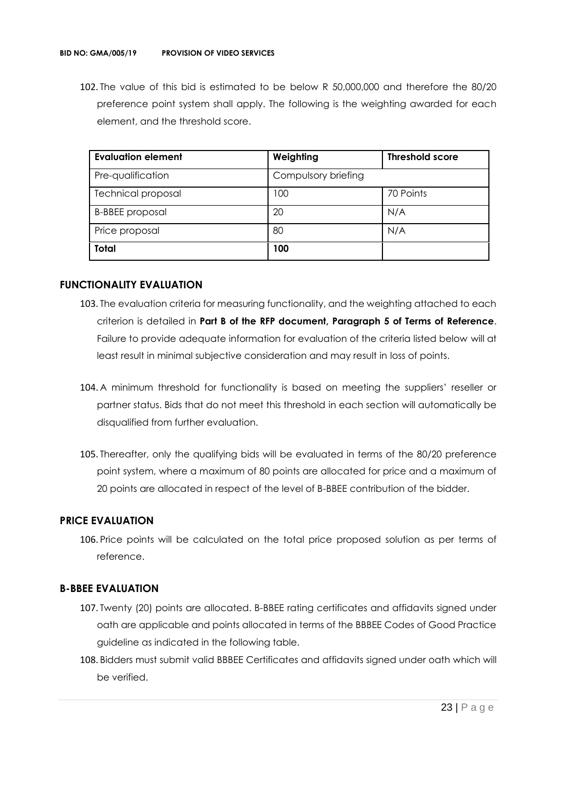102. The value of this bid is estimated to be below R 50,000,000 and therefore the 80/20 preference point system shall apply. The following is the weighting awarded for each element, and the threshold score.

| <b>Evaluation element</b> | Weighting           | <b>Threshold score</b> |
|---------------------------|---------------------|------------------------|
| Pre-qualification         | Compulsory briefing |                        |
| <b>Technical proposal</b> | 100                 | 70 Points              |
| <b>B-BBEE</b> proposal    | 20                  | N/A                    |
| Price proposal            | 80                  | N/A                    |
| <b>Total</b>              | 100                 |                        |

#### **FUNCTIONALITY EVALUATION**

- 103. The evaluation criteria for measuring functionality, and the weighting attached to each criterion is detailed in **Part B of the RFP document, Paragraph 5 of Terms of Reference**. Failure to provide adequate information for evaluation of the criteria listed below will at least result in minimal subjective consideration and may result in loss of points.
- 104. A minimum threshold for functionality is based on meeting the suppliers' reseller or partner status. Bids that do not meet this threshold in each section will automatically be disqualified from further evaluation.
- 105. Thereafter, only the qualifying bids will be evaluated in terms of the 80/20 preference point system, where a maximum of 80 points are allocated for price and a maximum of 20 points are allocated in respect of the level of B-BBEE contribution of the bidder.

#### **PRICE EVALUATION**

106. Price points will be calculated on the total price proposed solution as per terms of reference.

#### **B-BBEE EVALUATION**

- 107. Twenty (20) points are allocated. B-BBEE rating certificates and affidavits signed under oath are applicable and points allocated in terms of the BBBEE Codes of Good Practice guideline as indicated in the following table.
- 108. Bidders must submit valid BBBEE Certificates and affidavits signed under oath which will be verified.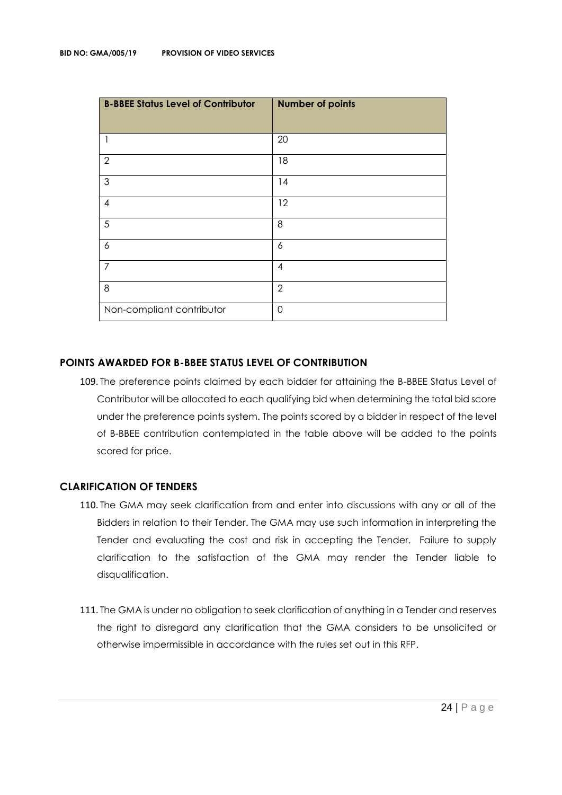| <b>B-BBEE Status Level of Contributor</b> | <b>Number of points</b> |
|-------------------------------------------|-------------------------|
| 1                                         | 20                      |
| $\overline{2}$                            | 18                      |
| $\mathfrak{Z}$                            | 14                      |
| $\overline{4}$                            | 12                      |
| 5                                         | 8                       |
| 6                                         | 6                       |
| $\overline{7}$                            | 4                       |
| 8                                         | $\overline{2}$          |
| Non-compliant contributor                 | $\Omega$                |

#### **POINTS AWARDED FOR B-BBEE STATUS LEVEL OF CONTRIBUTION**

109. The preference points claimed by each bidder for attaining the B-BBEE Status Level of Contributor will be allocated to each qualifying bid when determining the total bid score under the preference points system. The points scored by a bidder in respect of the level of B-BBEE contribution contemplated in the table above will be added to the points scored for price.

#### **CLARIFICATION OF TENDERS**

- 110. The GMA may seek clarification from and enter into discussions with any or all of the Bidders in relation to their Tender. The GMA may use such information in interpreting the Tender and evaluating the cost and risk in accepting the Tender. Failure to supply clarification to the satisfaction of the GMA may render the Tender liable to disqualification.
- 111. The GMA is under no obligation to seek clarification of anything in a Tender and reserves the right to disregard any clarification that the GMA considers to be unsolicited or otherwise impermissible in accordance with the rules set out in this RFP.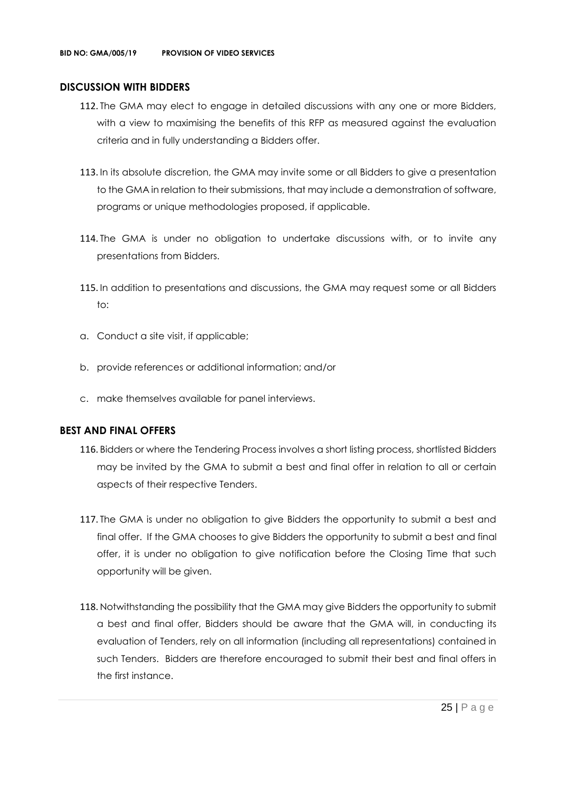#### **DISCUSSION WITH BIDDERS**

- 112. The GMA may elect to engage in detailed discussions with any one or more Bidders, with a view to maximising the benefits of this RFP as measured against the evaluation criteria and in fully understanding a Bidders offer.
- 113. In its absolute discretion, the GMA may invite some or all Bidders to give a presentation to the GMA in relation to their submissions, that may include a demonstration of software, programs or unique methodologies proposed, if applicable.
- 114. The GMA is under no obligation to undertake discussions with, or to invite any presentations from Bidders.
- 115. In addition to presentations and discussions, the GMA may request some or all Bidders to:
- a. Conduct a site visit, if applicable;
- b. provide references or additional information; and/or
- c. make themselves available for panel interviews.

#### **BEST AND FINAL OFFERS**

- 116. Bidders or where the Tendering Process involves a short listing process, shortlisted Bidders may be invited by the GMA to submit a best and final offer in relation to all or certain aspects of their respective Tenders.
- 117. The GMA is under no obligation to give Bidders the opportunity to submit a best and final offer. If the GMA chooses to give Bidders the opportunity to submit a best and final offer, it is under no obligation to give notification before the Closing Time that such opportunity will be given.
- 118. Notwithstanding the possibility that the GMA may give Bidders the opportunity to submit a best and final offer, Bidders should be aware that the GMA will, in conducting its evaluation of Tenders, rely on all information (including all representations) contained in such Tenders. Bidders are therefore encouraged to submit their best and final offers in the first instance.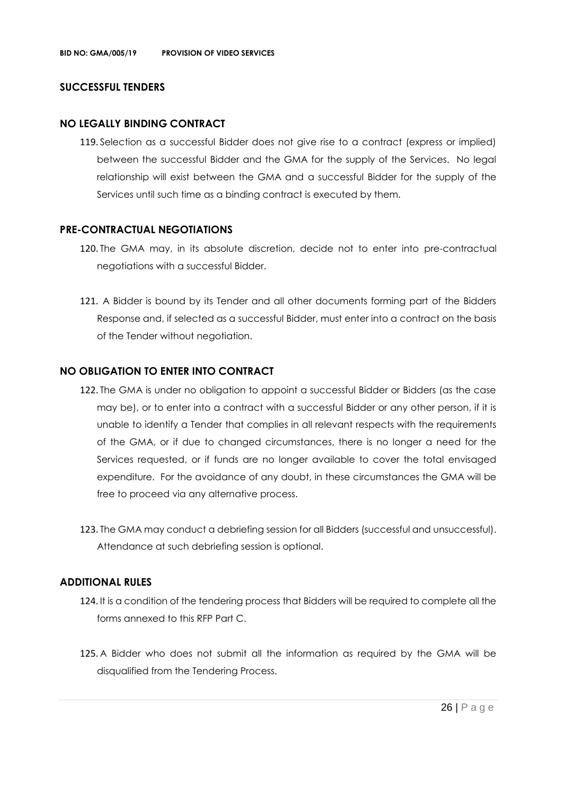#### **SUCCESSFUL TENDERS**

#### **NO LEGALLY BINDING CONTRACT**

119. Selection as a successful Bidder does not give rise to a contract (express or implied) between the successful Bidder and the GMA for the supply of the Services. No legal relationship will exist between the GMA and a successful Bidder for the supply of the Services until such time as a binding contract is executed by them.

#### **PRE-CONTRACTUAL NEGOTIATIONS**

- 120. The GMA may, in its absolute discretion, decide not to enter into pre-contractual negotiations with a successful Bidder.
- 121. A Bidder is bound by its Tender and all other documents forming part of the Bidders Response and, if selected as a successful Bidder, must enter into a contract on the basis of the Tender without negotiation.

#### **NO OBLIGATION TO ENTER INTO CONTRACT**

- 122. The GMA is under no obligation to appoint a successful Bidder or Bidders (as the case may be), or to enter into a contract with a successful Bidder or any other person, if it is unable to identify a Tender that complies in all relevant respects with the requirements of the GMA, or if due to changed circumstances, there is no longer a need for the Services requested, or if funds are no longer available to cover the total envisaged expenditure. For the avoidance of any doubt, in these circumstances the GMA will be free to proceed via any alternative process.
- 123. The GMA may conduct a debriefing session for all Bidders (successful and unsuccessful). Attendance at such debriefing session is optional.

#### **ADDITIONAL RULES**

- 124. It is a condition of the tendering process that Bidders will be required to complete all the forms annexed to this RFP Part C.
- 125. A Bidder who does not submit all the information as required by the GMA will be disqualified from the Tendering Process.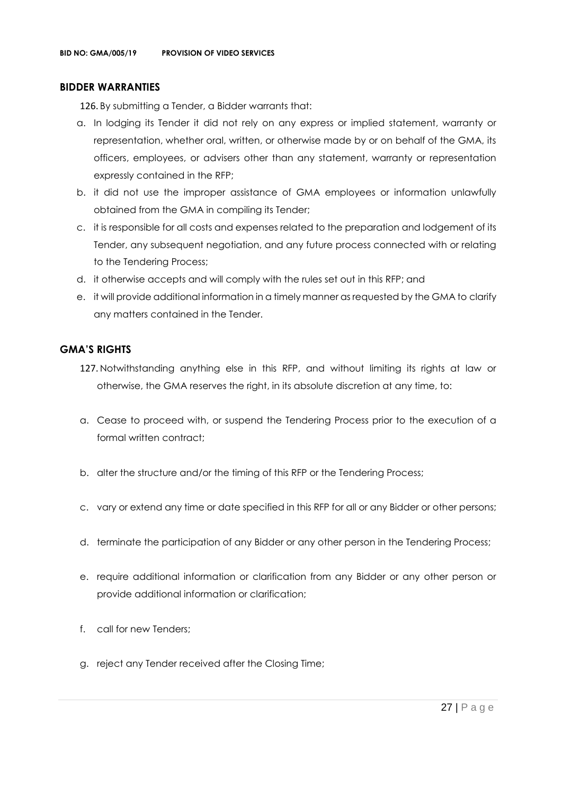#### **BIDDER WARRANTIES**

126. By submitting a Tender, a Bidder warrants that:

- a. In lodging its Tender it did not rely on any express or implied statement, warranty or representation, whether oral, written, or otherwise made by or on behalf of the GMA, its officers, employees, or advisers other than any statement, warranty or representation expressly contained in the RFP;
- b. it did not use the improper assistance of GMA employees or information unlawfully obtained from the GMA in compiling its Tender;
- c. it is responsible for all costs and expenses related to the preparation and lodgement of its Tender, any subsequent negotiation, and any future process connected with or relating to the Tendering Process;
- d. it otherwise accepts and will comply with the rules set out in this RFP; and
- e. it will provide additional information in a timely manner as requested by the GMA to clarify any matters contained in the Tender.

#### **GMA'S RIGHTS**

- 127. Notwithstanding anything else in this RFP, and without limiting its rights at law or otherwise, the GMA reserves the right, in its absolute discretion at any time, to:
- a. Cease to proceed with, or suspend the Tendering Process prior to the execution of a formal written contract:
- b. alter the structure and/or the timing of this RFP or the Tendering Process;
- c. vary or extend any time or date specified in this RFP for all or any Bidder or other persons;
- d. terminate the participation of any Bidder or any other person in the Tendering Process;
- e. require additional information or clarification from any Bidder or any other person or provide additional information or clarification;
- f. call for new Tenders;
- g. reject any Tender received after the Closing Time;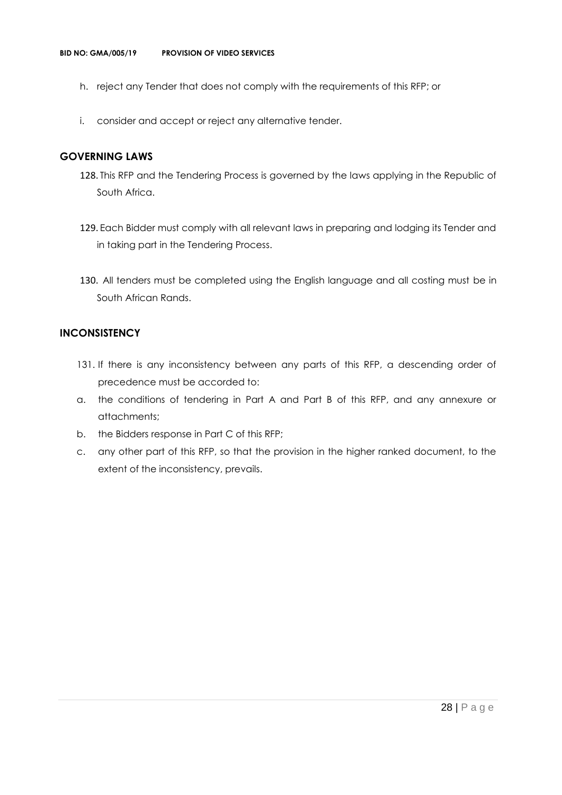- h. reject any Tender that does not comply with the requirements of this RFP; or
- i. consider and accept or reject any alternative tender.

#### **GOVERNING LAWS**

- 128. This RFP and the Tendering Process is governed by the laws applying in the Republic of South Africa.
- 129. Each Bidder must comply with all relevant laws in preparing and lodging its Tender and in taking part in the Tendering Process.
- 130. All tenders must be completed using the English language and all costing must be in South African Rands.

#### **INCONSISTENCY**

- 131. If there is any inconsistency between any parts of this RFP, a descending order of precedence must be accorded to:
- a. the conditions of tendering in Part A and Part B of this RFP, and any annexure or attachments;
- b. the Bidders response in Part C of this RFP;
- c. any other part of this RFP, so that the provision in the higher ranked document, to the extent of the inconsistency, prevails.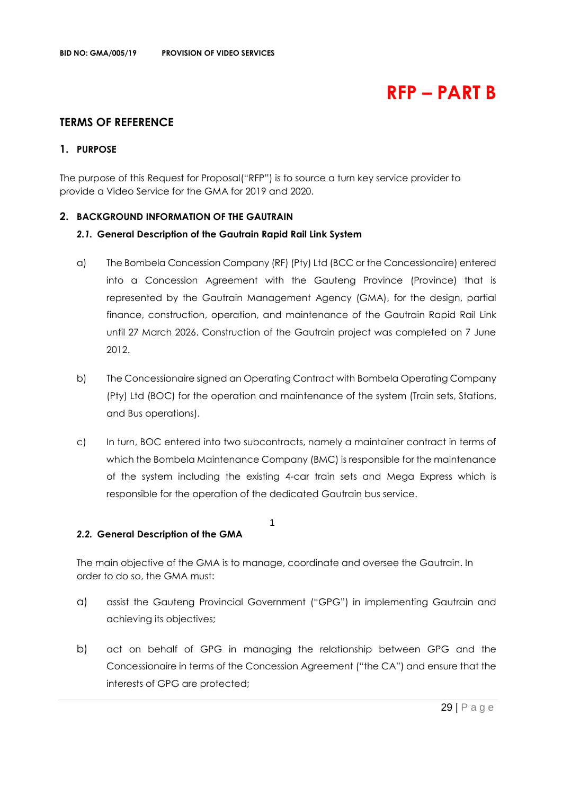## **RFP – PART B**

#### **TERMS OF REFERENCE**

#### **1. PURPOSE**

The purpose of this Request for Proposal("RFP") is to source a turn key service provider to provide a Video Service for the GMA for 2019 and 2020.

#### **2. BACKGROUND INFORMATION OF THE GAUTRAIN**

#### *2.1.* **General Description of the Gautrain Rapid Rail Link System**

- a) The Bombela Concession Company (RF) (Pty) Ltd (BCC or the Concessionaire) entered into a Concession Agreement with the Gauteng Province (Province) that is represented by the Gautrain Management Agency (GMA), for the design, partial finance, construction, operation, and maintenance of the Gautrain Rapid Rail Link until 27 March 2026. Construction of the Gautrain project was completed on 7 June 2012.
- b) The Concessionaire signed an Operating Contract with Bombela Operating Company (Pty) Ltd (BOC) for the operation and maintenance of the system (Train sets, Stations, and Bus operations).
- c) In turn, BOC entered into two subcontracts, namely a maintainer contract in terms of which the Bombela Maintenance Company (BMC) is responsible for the maintenance of the system including the existing 4-car train sets and Mega Express which is responsible for the operation of the dedicated Gautrain bus service.

#### *2.2.* **General Description of the GMA**

The main objective of the GMA is to manage, coordinate and oversee the Gautrain. In order to do so, the GMA must:

1

- a) assist the Gauteng Provincial Government ("GPG") in implementing Gautrain and achieving its objectives;
- b) act on behalf of GPG in managing the relationship between GPG and the Concessionaire in terms of the Concession Agreement ("the CA") and ensure that the interests of GPG are protected;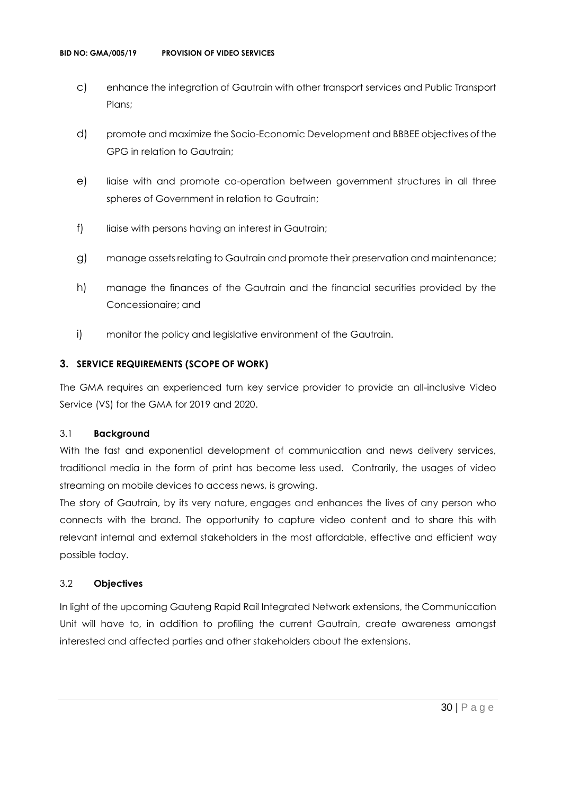- c) enhance the integration of Gautrain with other transport services and Public Transport Plans;
- d) promote and maximize the Socio-Economic Development and BBBEE objectives of the GPG in relation to Gautrain;
- e) liaise with and promote co-operation between government structures in all three spheres of Government in relation to Gautrain;
- f) liaise with persons having an interest in Gautrain;
- g) manage assets relating to Gautrain and promote their preservation and maintenance;
- h) manage the finances of the Gautrain and the financial securities provided by the Concessionaire; and
- i) monitor the policy and legislative environment of the Gautrain.

#### **3. SERVICE REQUIREMENTS (SCOPE OF WORK)**

The GMA requires an experienced turn key service provider to provide an all-inclusive Video Service (VS) for the GMA for 2019 and 2020.

#### 3.1 **Background**

With the fast and exponential development of communication and news delivery services, traditional media in the form of print has become less used. Contrarily, the usages of video streaming on mobile devices to access news, is growing.

The story of Gautrain, by its very nature, engages and enhances the lives of any person who connects with the brand. The opportunity to capture video content and to share this with relevant internal and external stakeholders in the most affordable, effective and efficient way possible today.

#### 3.2 **Objectives**

In light of the upcoming Gauteng Rapid Rail Integrated Network extensions, the Communication Unit will have to, in addition to profiling the current Gautrain, create awareness amongst interested and affected parties and other stakeholders about the extensions.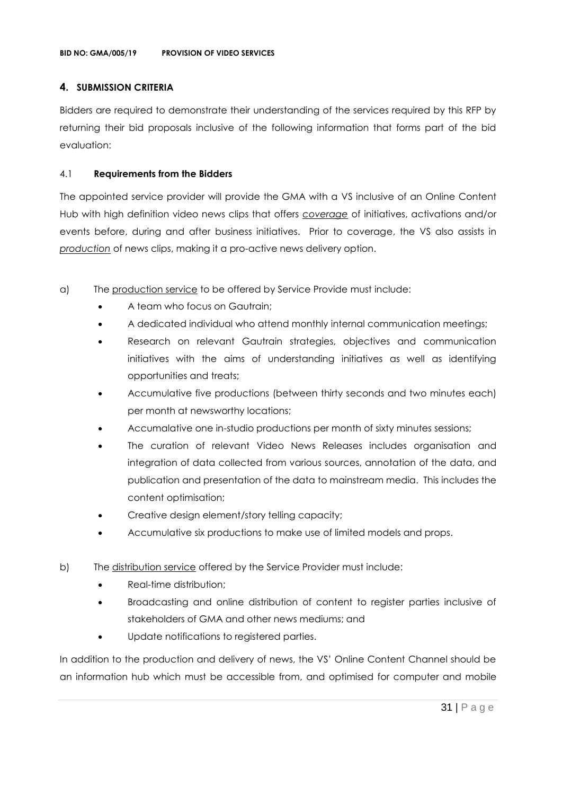#### **4. SUBMISSION CRITERIA**

Bidders are required to demonstrate their understanding of the services required by this RFP by returning their bid proposals inclusive of the following information that forms part of the bid evaluation:

#### 4.1 **Requirements from the Bidders**

The appointed service provider will provide the GMA with a VS inclusive of an Online Content Hub with high definition video news clips that offers *coverage* of initiatives, activations and/or events before, during and after business initiatives. Prior to coverage, the VS also assists in *production* of news clips, making it a pro-active news delivery option.

- a) The production service to be offered by Service Provide must include:
	- A team who focus on Gautrain;
	- A dedicated individual who attend monthly internal communication meetings;
	- Research on relevant Gautrain strategies, objectives and communication initiatives with the aims of understanding initiatives as well as identifying opportunities and treats;
	- Accumulative five productions (between thirty seconds and two minutes each) per month at newsworthy locations;
	- Accumalative one in-studio productions per month of sixty minutes sessions;
	- The curation of relevant Video News Releases includes organisation and integration of data collected from various sources, annotation of the data, and publication and presentation of the data to mainstream media. This includes the content optimisation;
	- Creative design element/story telling capacity;
	- Accumulative six productions to make use of limited models and props.
- b) The distribution service offered by the Service Provider must include:
	- Real-time distribution;
	- Broadcasting and online distribution of content to register parties inclusive of stakeholders of GMA and other news mediums; and
	- Update notifications to registered parties.

In addition to the production and delivery of news, the VS' Online Content Channel should be an information hub which must be accessible from, and optimised for computer and mobile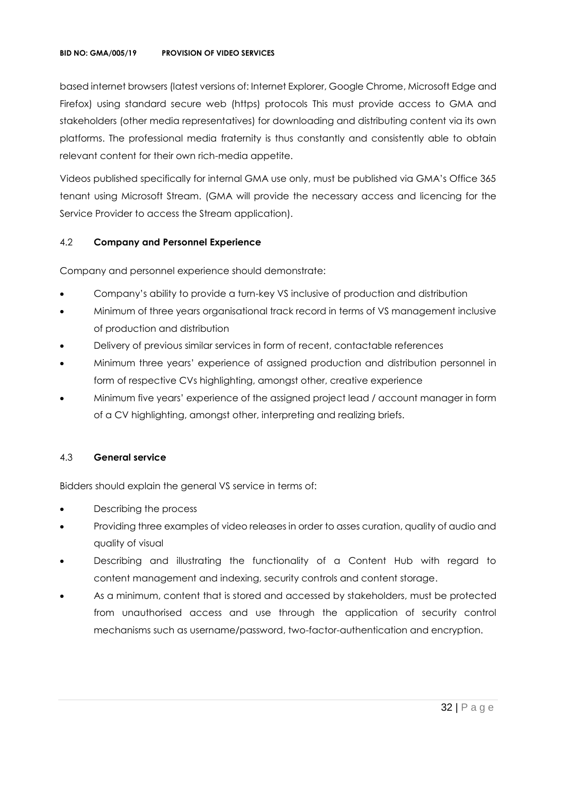#### **BID NO: GMA/005/19 PROVISION OF VIDEO SERVICES**

based internet browsers (latest versions of: Internet Explorer, Google Chrome, Microsoft Edge and Firefox) using standard secure web (https) protocols This must provide access to GMA and stakeholders (other media representatives) for downloading and distributing content via its own platforms. The professional media fraternity is thus constantly and consistently able to obtain relevant content for their own rich-media appetite.

Videos published specifically for internal GMA use only, must be published via GMA's Office 365 tenant using Microsoft Stream. (GMA will provide the necessary access and licencing for the Service Provider to access the Stream application).

#### 4.2 **Company and Personnel Experience**

Company and personnel experience should demonstrate:

- Company's ability to provide a turn-key VS inclusive of production and distribution
- Minimum of three years organisational track record in terms of VS management inclusive of production and distribution
- Delivery of previous similar services in form of recent, contactable references
- Minimum three years' experience of assigned production and distribution personnel in form of respective CVs highlighting, amongst other, creative experience
- Minimum five years' experience of the assigned project lead / account manager in form of a CV highlighting, amongst other, interpreting and realizing briefs.

#### 4.3 **General service**

Bidders should explain the general VS service in terms of:

- Describing the process
- Providing three examples of video releases in order to asses curation, quality of audio and quality of visual
- Describing and illustrating the functionality of a Content Hub with regard to content management and indexing, security controls and content storage.
- As a minimum, content that is stored and accessed by stakeholders, must be protected from unauthorised access and use through the application of security control mechanisms such as username/password, two-factor-authentication and encryption.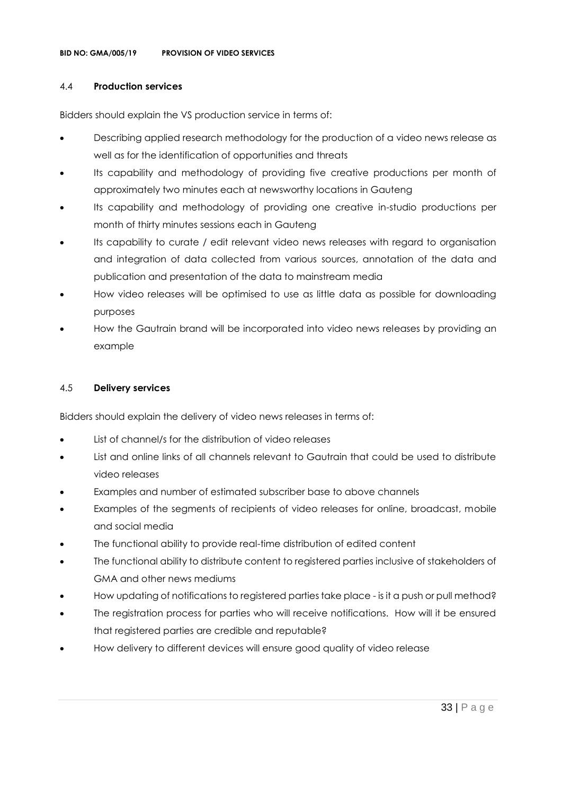#### 4.4 **Production services**

Bidders should explain the VS production service in terms of:

- Describing applied research methodology for the production of a video news release as well as for the identification of opportunities and threats
- Its capability and methodology of providing five creative productions per month of approximately two minutes each at newsworthy locations in Gauteng
- Its capability and methodology of providing one creative in-studio productions per month of thirty minutes sessions each in Gauteng
- Its capability to curate / edit relevant video news releases with regard to organisation and integration of data collected from various sources, annotation of the data and publication and presentation of the data to mainstream media
- How video releases will be optimised to use as little data as possible for downloading purposes
- How the Gautrain brand will be incorporated into video news releases by providing an example

#### 4.5 **Delivery services**

Bidders should explain the delivery of video news releases in terms of:

- List of channel/s for the distribution of video releases
- List and online links of all channels relevant to Gautrain that could be used to distribute video releases
- Examples and number of estimated subscriber base to above channels
- Examples of the segments of recipients of video releases for online, broadcast, mobile and social media
- The functional ability to provide real-time distribution of edited content
- The functional ability to distribute content to registered parties inclusive of stakeholders of GMA and other news mediums
- How updating of notifications to registered parties take place is it a push or pull method?
- The registration process for parties who will receive notifications. How will it be ensured that registered parties are credible and reputable?
- How delivery to different devices will ensure good quality of video release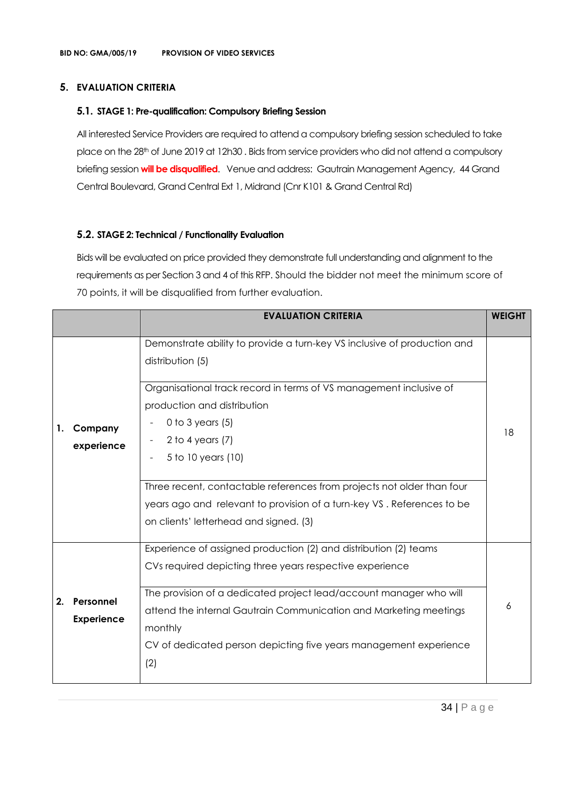#### **5. EVALUATION CRITERIA**

#### **5.1. STAGE 1: Pre-qualification: Compulsory Briefing Session**

All interested Service Providers are required to attend a compulsory briefing session scheduled to take place on the 28th of June 2019 at 12h30. Bids from service providers who did not attend a compulsory briefing session **will be disqualified**. Venue and address: Gautrain Management Agency, 44 Grand Central Boulevard, Grand Central Ext 1, Midrand (Cnr K101 & Grand Central Rd)

#### **5.2. STAGE 2: Technical / Functionality Evaluation**

Bids will be evaluated on price provided they demonstrate full understanding and alignment to the requirements as per Section 3 and 4 of this RFP. Should the bidder not meet the minimum score of 70 points, it will be disqualified from further evaluation.

|    |                                | <b>EVALUATION CRITERIA</b>                                                                                                                                                                                                                                                                                                                                                                                                                                        | <b>WEIGHT</b> |
|----|--------------------------------|-------------------------------------------------------------------------------------------------------------------------------------------------------------------------------------------------------------------------------------------------------------------------------------------------------------------------------------------------------------------------------------------------------------------------------------------------------------------|---------------|
| 1. | Company<br>experience          | Demonstrate ability to provide a turn-key VS inclusive of production and<br>distribution (5)<br>Organisational track record in terms of VS management inclusive of<br>production and distribution<br>0 to 3 years $(5)$<br>2 to 4 years $(7)$<br>5 to 10 years (10)<br>Three recent, contactable references from projects not older than four<br>years ago and relevant to provision of a turn-key VS. References to be<br>on clients' letterhead and signed. (3) | 18            |
| 2. | Personnel<br><b>Experience</b> | Experience of assigned production (2) and distribution (2) teams<br>CVs required depicting three years respective experience<br>The provision of a dedicated project lead/account manager who will<br>attend the internal Gautrain Communication and Marketing meetings<br>monthly<br>CV of dedicated person depicting five years management experience<br>(2)                                                                                                    | 6             |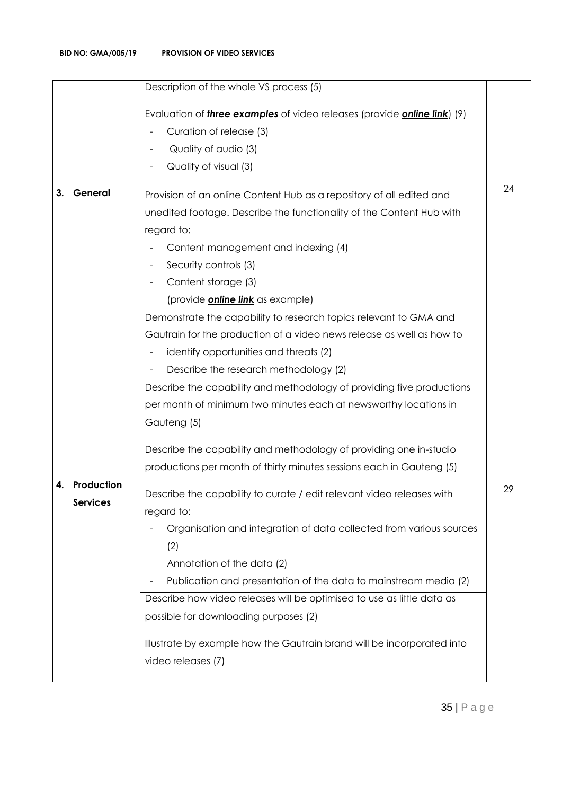|    |                 | Description of the whole VS process (5)                                                 |    |
|----|-----------------|-----------------------------------------------------------------------------------------|----|
|    |                 | Evaluation of <i>three examples</i> of video releases (provide <i>online link</i> ) (9) |    |
|    |                 | Curation of release (3)                                                                 |    |
|    |                 | Quality of audio (3)                                                                    |    |
|    |                 | Quality of visual (3)                                                                   |    |
|    |                 |                                                                                         | 24 |
| З. | General         | Provision of an online Content Hub as a repository of all edited and                    |    |
|    |                 | unedited footage. Describe the functionality of the Content Hub with                    |    |
|    |                 | regard to:                                                                              |    |
|    |                 | Content management and indexing (4)                                                     |    |
|    |                 | Security controls (3)                                                                   |    |
|    |                 | Content storage (3)                                                                     |    |
|    |                 | (provide <i>online link</i> as example)                                                 |    |
|    |                 | Demonstrate the capability to research topics relevant to GMA and                       |    |
|    |                 | Gautrain for the production of a video news release as well as how to                   |    |
|    |                 | identify opportunities and threats (2)                                                  |    |
|    |                 | Describe the research methodology (2)                                                   |    |
|    |                 | Describe the capability and methodology of providing five productions                   |    |
|    |                 | per month of minimum two minutes each at newsworthy locations in                        |    |
|    |                 | Gauteng (5)                                                                             |    |
|    |                 | Describe the capability and methodology of providing one in-studio                      |    |
|    |                 | productions per month of thirty minutes sessions each in Gauteng (5)                    |    |
| 4. | Production      | Describe the capability to curate / edit relevant video releases with                   | 29 |
|    | <b>Services</b> | regard to:                                                                              |    |
|    |                 | Organisation and integration of data collected from various sources                     |    |
|    |                 | (2)                                                                                     |    |
|    |                 | Annotation of the data (2)                                                              |    |
|    |                 | Publication and presentation of the data to mainstream media (2)                        |    |
|    |                 | Describe how video releases will be optimised to use as little data as                  |    |
|    |                 | possible for downloading purposes (2)                                                   |    |
|    |                 | Illustrate by example how the Gautrain brand will be incorporated into                  |    |
|    |                 | video releases (7)                                                                      |    |
|    |                 |                                                                                         |    |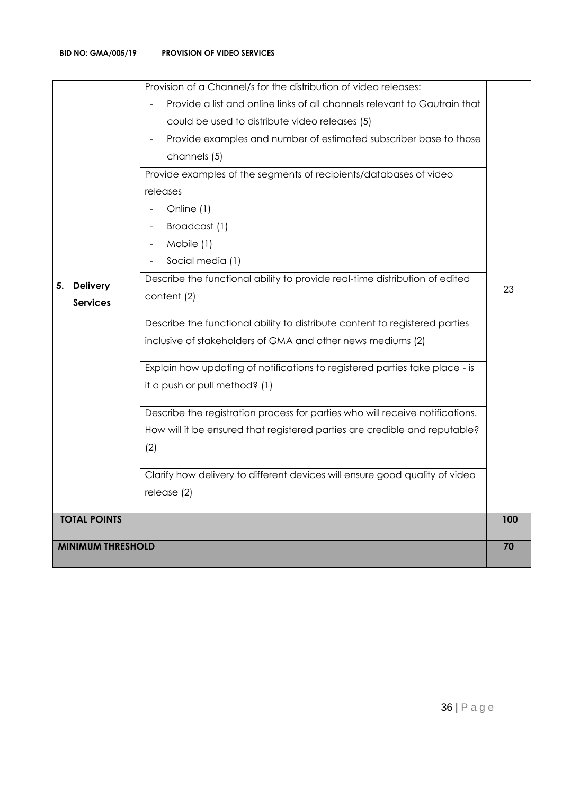| <b>MINIMUM THRESHOLD</b>                 |                                                                                                                                                                                                                                                                                                                                                                                                                                                                                                                                      |     |
|------------------------------------------|--------------------------------------------------------------------------------------------------------------------------------------------------------------------------------------------------------------------------------------------------------------------------------------------------------------------------------------------------------------------------------------------------------------------------------------------------------------------------------------------------------------------------------------|-----|
|                                          |                                                                                                                                                                                                                                                                                                                                                                                                                                                                                                                                      |     |
| <b>TOTAL POINTS</b>                      | Describe the functional ability to distribute content to registered parties<br>inclusive of stakeholders of GMA and other news mediums (2)<br>Explain how updating of notifications to registered parties take place - is<br>it a push or pull method? (1)<br>Describe the registration process for parties who will receive notifications.<br>How will it be ensured that registered parties are credible and reputable?<br>(2)<br>Clarify how delivery to different devices will ensure good quality of video<br>release $(2)$     | 100 |
| <b>Delivery</b><br>5.<br><b>Services</b> | Provision of a Channel/s for the distribution of video releases:<br>Provide a list and online links of all channels relevant to Gautrain that<br>could be used to distribute video releases (5)<br>Provide examples and number of estimated subscriber base to those<br>channels (5)<br>Provide examples of the segments of recipients/databases of video<br>releases<br>Online (1)<br>Broadcast (1)<br>Mobile (1)<br>Social media (1)<br>Describe the functional ability to provide real-time distribution of edited<br>content (2) | 23  |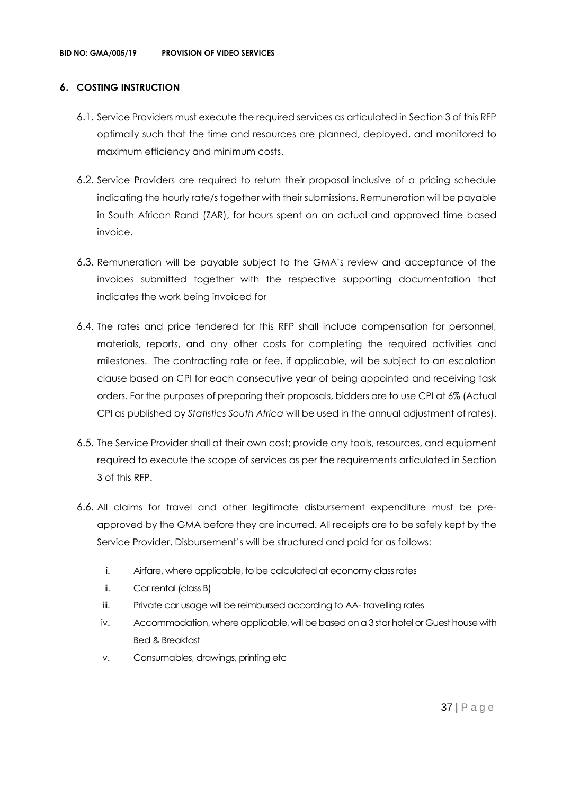## **6. COSTING INSTRUCTION**

- 6.1. Service Providers must execute the required services as articulated in Section 3 of this RFP optimally such that the time and resources are planned, deployed, and monitored to maximum efficiency and minimum costs.
- 6.2. Service Providers are required to return their proposal inclusive of a pricing schedule indicating the hourly rate/s together with their submissions. Remuneration will be payable in South African Rand (ZAR), for hours spent on an actual and approved time based invoice.
- 6.3. Remuneration will be payable subject to the GMA's review and acceptance of the invoices submitted together with the respective supporting documentation that indicates the work being invoiced for
- 6.4. The rates and price tendered for this RFP shall include compensation for personnel, materials, reports, and any other costs for completing the required activities and milestones. The contracting rate or fee, if applicable, will be subject to an escalation clause based on CPI for each consecutive year of being appointed and receiving task orders. For the purposes of preparing their proposals, bidders are to use CPI at 6% (Actual CPI as published by *Statistics South Africa* will be used in the annual adjustment of rates).
- 6.5. The Service Provider shall at their own cost; provide any tools, resources, and equipment required to execute the scope of services as per the requirements articulated in Section 3 of this RFP.
- 6.6. All claims for travel and other legitimate disbursement expenditure must be preapproved by the GMA before they are incurred. All receipts are to be safely kept by the Service Provider. Disbursement's will be structured and paid for as follows:
	- i. Airfare, where applicable, to be calculated at economy class rates
	- ii. Car rental (class B)
	- iii. Private car usage will be reimbursed according to AA- travelling rates
	- iv. Accommodation, where applicable, will be based on a 3 star hotel or Guest house with Bed & Breakfast
	- v. Consumables, drawings, printing etc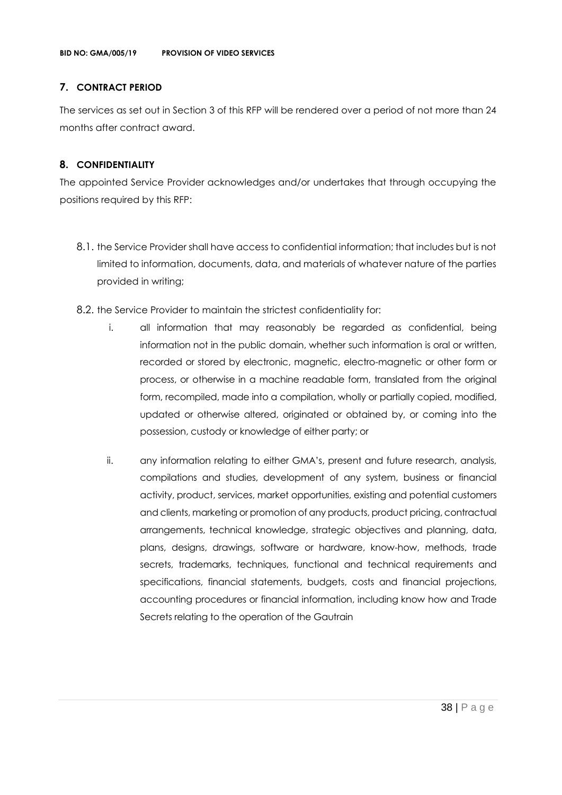## **7. CONTRACT PERIOD**

The services as set out in Section 3 of this RFP will be rendered over a period of not more than 24 months after contract award.

## **8. CONFIDENTIALITY**

The appointed Service Provider acknowledges and/or undertakes that through occupying the positions required by this RFP:

- 8.1. the Service Provider shall have access to confidential information; that includes but is not limited to information, documents, data, and materials of whatever nature of the parties provided in writing;
- 8.2. the Service Provider to maintain the strictest confidentiality for:
	- i. all information that may reasonably be regarded as confidential, being information not in the public domain, whether such information is oral or written, recorded or stored by electronic, magnetic, electro-magnetic or other form or process, or otherwise in a machine readable form, translated from the original form, recompiled, made into a compilation, wholly or partially copied, modified, updated or otherwise altered, originated or obtained by, or coming into the possession, custody or knowledge of either party; or
	- ii. any information relating to either GMA's, present and future research, analysis, compilations and studies, development of any system, business or financial activity, product, services, market opportunities, existing and potential customers and clients, marketing or promotion of any products, product pricing, contractual arrangements, technical knowledge, strategic objectives and planning, data, plans, designs, drawings, software or hardware, know-how, methods, trade secrets, trademarks, techniques, functional and technical requirements and specifications, financial statements, budgets, costs and financial projections, accounting procedures or financial information, including know how and Trade Secrets relating to the operation of the Gautrain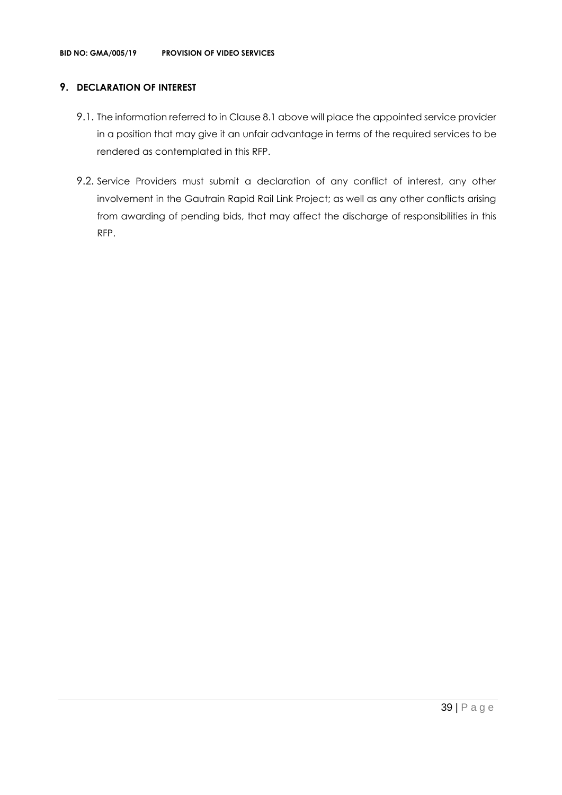## **9. DECLARATION OF INTEREST**

- 9.1. The information referred to in Clause 8.1 above will place the appointed service provider in a position that may give it an unfair advantage in terms of the required services to be rendered as contemplated in this RFP.
- 9.2. Service Providers must submit a declaration of any conflict of interest, any other involvement in the Gautrain Rapid Rail Link Project; as well as any other conflicts arising from awarding of pending bids, that may affect the discharge of responsibilities in this RFP.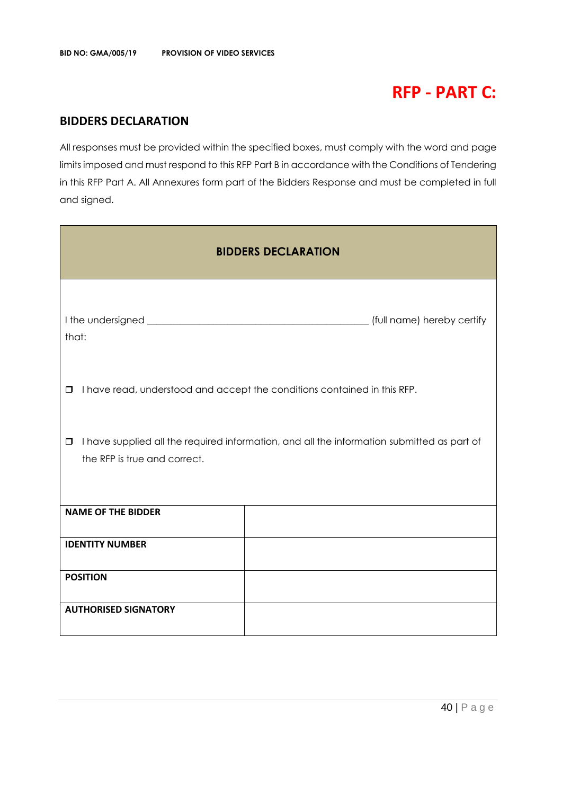# **RFP - PART C:**

## **BIDDERS DECLARATION**

All responses must be provided within the specified boxes, must comply with the word and page limits imposed and must respond to this RFP Part B in accordance with the Conditions of Tendering in this RFP Part A. All Annexures form part of the Bidders Response and must be completed in full and signed.

| <b>BIDDERS DECLARATION</b>                                                                                                           |                            |  |  |  |
|--------------------------------------------------------------------------------------------------------------------------------------|----------------------------|--|--|--|
| that:                                                                                                                                | (full name) hereby certify |  |  |  |
| I have read, understood and accept the conditions contained in this RFP.<br>$\Box$                                                   |                            |  |  |  |
| I have supplied all the required information, and all the information submitted as part of<br>$\Box$<br>the RFP is true and correct. |                            |  |  |  |
| <b>NAME OF THE BIDDER</b>                                                                                                            |                            |  |  |  |
| <b>IDENTITY NUMBER</b>                                                                                                               |                            |  |  |  |
| <b>POSITION</b>                                                                                                                      |                            |  |  |  |
| <b>AUTHORISED SIGNATORY</b>                                                                                                          |                            |  |  |  |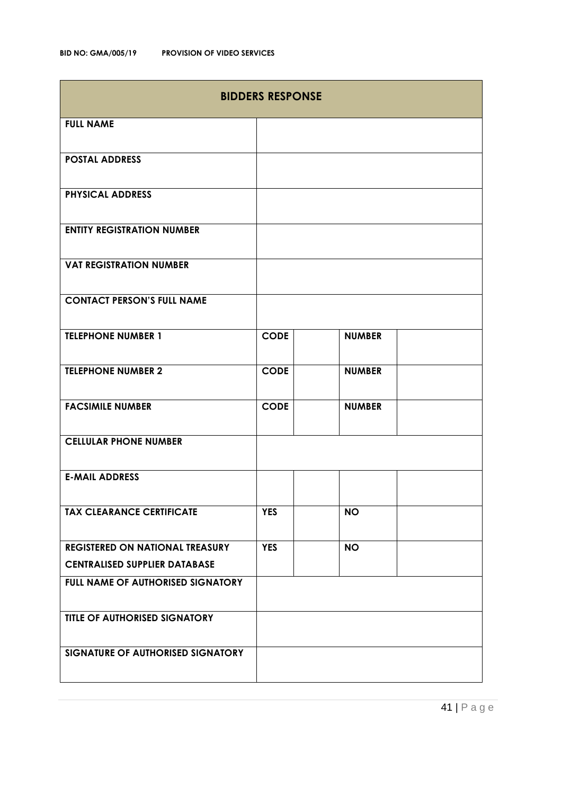| <b>BIDDERS RESPONSE</b>                |             |               |  |  |
|----------------------------------------|-------------|---------------|--|--|
| <b>FULL NAME</b>                       |             |               |  |  |
| <b>POSTAL ADDRESS</b>                  |             |               |  |  |
| <b>PHYSICAL ADDRESS</b>                |             |               |  |  |
| <b>ENTITY REGISTRATION NUMBER</b>      |             |               |  |  |
| <b>VAT REGISTRATION NUMBER</b>         |             |               |  |  |
| <b>CONTACT PERSON'S FULL NAME</b>      |             |               |  |  |
| <b>TELEPHONE NUMBER 1</b>              | <b>CODE</b> | <b>NUMBER</b> |  |  |
| <b>TELEPHONE NUMBER 2</b>              | <b>CODE</b> | <b>NUMBER</b> |  |  |
| <b>FACSIMILE NUMBER</b>                | <b>CODE</b> | <b>NUMBER</b> |  |  |
| <b>CELLULAR PHONE NUMBER</b>           |             |               |  |  |
| <b>E-MAIL ADDRESS</b>                  |             |               |  |  |
| <b>TAX CLEARANCE CERTIFICATE</b>       | <b>YES</b>  | <b>NO</b>     |  |  |
| <b>REGISTERED ON NATIONAL TREASURY</b> | <b>YES</b>  | <b>NO</b>     |  |  |
| <b>CENTRALISED SUPPLIER DATABASE</b>   |             |               |  |  |
| FULL NAME OF AUTHORISED SIGNATORY      |             |               |  |  |
| TITLE OF AUTHORISED SIGNATORY          |             |               |  |  |
| SIGNATURE OF AUTHORISED SIGNATORY      |             |               |  |  |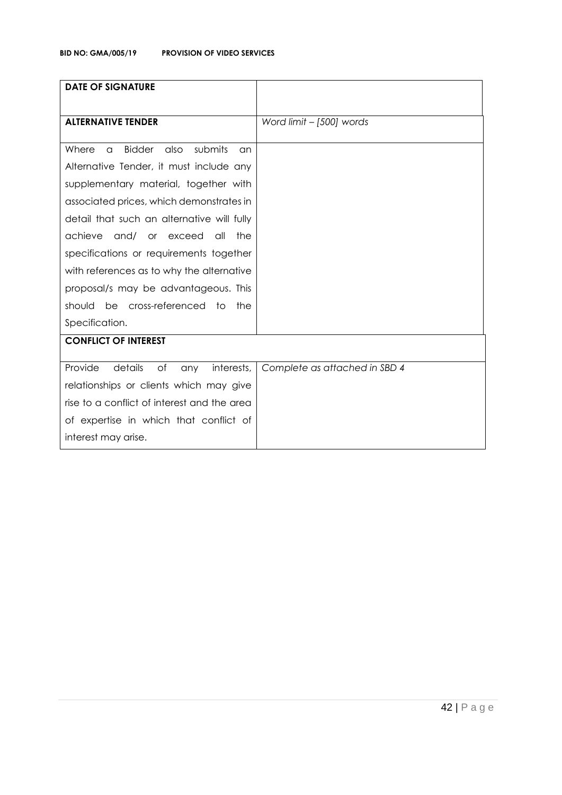| <b>DATE OF SIGNATURE</b>                                    |                               |
|-------------------------------------------------------------|-------------------------------|
|                                                             |                               |
| <b>ALTERNATIVE TENDER</b>                                   | Word limit - [500] words      |
|                                                             |                               |
| <b>Bidder</b><br>submits<br>Where<br>also<br>$\alpha$<br>an |                               |
| Alternative Tender, it must include any                     |                               |
| supplementary material, together with                       |                               |
| associated prices, which demonstrates in                    |                               |
| detail that such an alternative will fully                  |                               |
| achieve<br>and/ or exceed<br>all<br>the                     |                               |
| specifications or requirements together                     |                               |
| with references as to why the alternative                   |                               |
| proposal/s may be advantageous. This                        |                               |
| should be cross-referenced to<br>the                        |                               |
| Specification.                                              |                               |
| <b>CONFLICT OF INTEREST</b>                                 |                               |
|                                                             |                               |
| Provide<br>details<br>of<br>interests,<br>any               | Complete as attached in SBD 4 |
| relationships or clients which may give                     |                               |
| rise to a conflict of interest and the area                 |                               |
| of expertise in which that conflict of                      |                               |
| interest may arise.                                         |                               |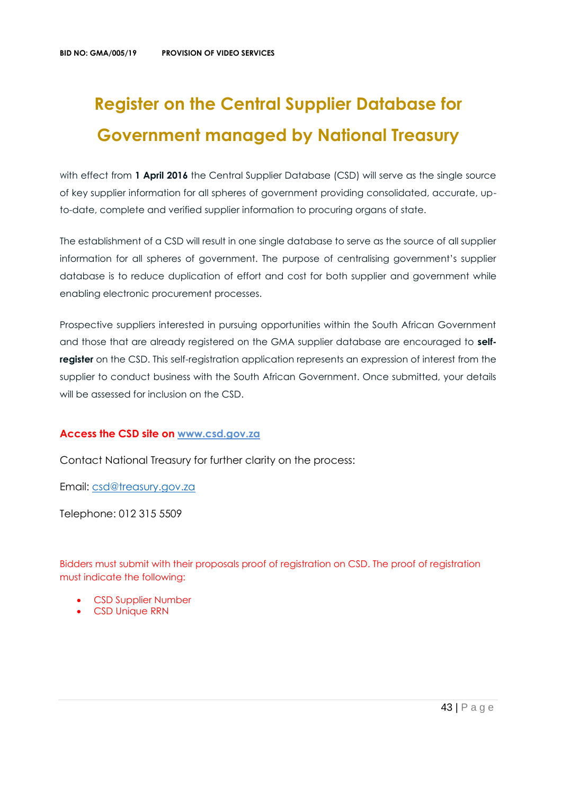# **Register on the Central Supplier Database for Government managed by National Treasury**

with effect from 1 April 2016 the Central Supplier Database (CSD) will serve as the single source of key supplier information for all spheres of government providing consolidated, accurate, upto-date, complete and verified supplier information to procuring organs of state.

The establishment of a CSD will result in one single database to serve as the source of all supplier information for all spheres of government. The purpose of centralising government's supplier database is to reduce duplication of effort and cost for both supplier and government while enabling electronic procurement processes.

Prospective suppliers interested in pursuing opportunities within the South African Government and those that are already registered on the GMA supplier database are encouraged to **selfregister** on the CSD. This self-registration application represents an expression of interest from the supplier to conduct business with the South African Government. Once submitted, your details will be assessed for inclusion on the CSD.

## **Access the CSD site on [www.csd.gov.za](http://www.csd.gov.za/)**

Contact National Treasury for further clarity on the process:

Email: [csd@treasury.gov.za](mailto:csd@treasury.gov.za)

Telephone: 012 315 5509

Bidders must submit with their proposals proof of registration on CSD. The proof of registration must indicate the following:

- CSD Supplier Number
- CSD Unique RRN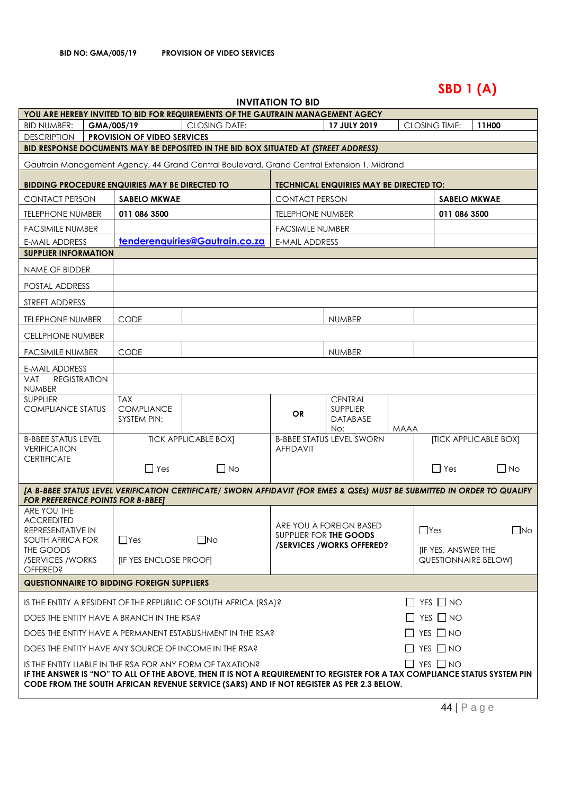# **SBD 1 (A)**

## **INVITATION TO BID**

|                                                                                                                                                                                                                 |                              |                                                                                                                          | <u>INVIIMIIVIN IV DID</u> |                                                    |             |                                             |                       |
|-----------------------------------------------------------------------------------------------------------------------------------------------------------------------------------------------------------------|------------------------------|--------------------------------------------------------------------------------------------------------------------------|---------------------------|----------------------------------------------------|-------------|---------------------------------------------|-----------------------|
|                                                                                                                                                                                                                 |                              | YOU ARE HEREBY INVITED TO BID FOR REQUIREMENTS OF THE GAUTRAIN MANAGEMENT AGECY                                          |                           | 17 JULY 2019                                       |             |                                             |                       |
| <b>BID NUMBER:</b><br><b>DESCRIPTION</b>                                                                                                                                                                        | GMA/005/19                   | <b>CLOSING DATE:</b>                                                                                                     |                           |                                                    |             | <b>CLOSING TIME:</b>                        | 11H00                 |
| <b>PROVISION OF VIDEO SERVICES</b><br>BID RESPONSE DOCUMENTS MAY BE DEPOSITED IN THE BID BOX SITUATED AT (STREET ADDRESS)                                                                                       |                              |                                                                                                                          |                           |                                                    |             |                                             |                       |
| Gautrain Management Agency, 44 Grand Central Boulevard, Grand Central Extension 1, Midrand                                                                                                                      |                              |                                                                                                                          |                           |                                                    |             |                                             |                       |
| BIDDING PROCEDURE ENQUIRIES MAY BE DIRECTED TO                                                                                                                                                                  |                              |                                                                                                                          |                           | <b>TECHNICAL ENQUIRIES MAY BE DIRECTED TO:</b>     |             |                                             |                       |
| <b>CONTACT PERSON</b>                                                                                                                                                                                           | <b>SABELO MKWAE</b>          |                                                                                                                          | <b>CONTACT PERSON</b>     |                                                    |             | <b>SABELO MKWAE</b>                         |                       |
| <b>TELEPHONE NUMBER</b>                                                                                                                                                                                         | 011 086 3500                 |                                                                                                                          | <b>TELEPHONE NUMBER</b>   |                                                    |             | 011 086 3500                                |                       |
| <b>FACSIMILE NUMBER</b>                                                                                                                                                                                         |                              |                                                                                                                          | <b>FACSIMILE NUMBER</b>   |                                                    |             |                                             |                       |
| <b>E-MAIL ADDRESS</b>                                                                                                                                                                                           |                              | tenderenquiries@Gautrain.co.za                                                                                           | <b>E-MAIL ADDRESS</b>     |                                                    |             |                                             |                       |
| <b>SUPPLIER INFORMATION</b>                                                                                                                                                                                     |                              |                                                                                                                          |                           |                                                    |             |                                             |                       |
| NAME OF BIDDER                                                                                                                                                                                                  |                              |                                                                                                                          |                           |                                                    |             |                                             |                       |
| POSTAL ADDRESS                                                                                                                                                                                                  |                              |                                                                                                                          |                           |                                                    |             |                                             |                       |
| STREET ADDRESS                                                                                                                                                                                                  |                              |                                                                                                                          |                           |                                                    |             |                                             |                       |
| <b>TELEPHONE NUMBER</b>                                                                                                                                                                                         | <b>CODE</b>                  |                                                                                                                          |                           | <b>NUMBER</b>                                      |             |                                             |                       |
| <b>CELLPHONE NUMBER</b>                                                                                                                                                                                         |                              |                                                                                                                          |                           |                                                    |             |                                             |                       |
| <b>FACSIMILE NUMBER</b>                                                                                                                                                                                         | <b>CODE</b>                  |                                                                                                                          |                           | <b>NUMBER</b>                                      |             |                                             |                       |
| E-MAIL ADDRESS                                                                                                                                                                                                  |                              |                                                                                                                          |                           |                                                    |             |                                             |                       |
| <b>REGISTRATION</b><br><b>VAT</b><br><b>NUMBER</b>                                                                                                                                                              |                              |                                                                                                                          |                           |                                                    |             |                                             |                       |
| <b>SUPPLIER</b>                                                                                                                                                                                                 | <b>TAX</b>                   |                                                                                                                          |                           | <b>CENTRAL</b>                                     |             |                                             |                       |
| <b>COMPLIANCE STATUS</b>                                                                                                                                                                                        | <b>COMPLIANCE</b>            |                                                                                                                          | <b>OR</b>                 | SUPPLIER                                           |             |                                             |                       |
|                                                                                                                                                                                                                 | SYSTEM PIN:                  |                                                                                                                          |                           | <b>DATABASE</b><br>No:                             | <b>MAAA</b> |                                             |                       |
| <b>B-BBEE STATUS LEVEL</b>                                                                                                                                                                                      |                              | <b>TICK APPLICABLE BOX]</b>                                                                                              |                           | <b>B-BBEE STATUS LEVEL SWORN</b>                   |             |                                             | [TICK APPLICABLE BOX] |
| <b>VERIFICATION</b><br><b>CERTIFICATE</b>                                                                                                                                                                       |                              |                                                                                                                          | <b>AFFIDAVIT</b>          |                                                    |             |                                             |                       |
|                                                                                                                                                                                                                 | $\Box$ Yes                   | $\Box$ No                                                                                                                |                           |                                                    |             | $\Box$ Yes                                  | $\Box$ No             |
|                                                                                                                                                                                                                 |                              | [A B-BBEE STATUS LEVEL VERIFICATION CERTIFICATE/ SWORN AFFIDAVIT (FOR EMES & QSEs) MUST BE SUBMITTED IN ORDER TO QUALIFY |                           |                                                    |             |                                             |                       |
| <b>FOR PREFERENCE POINTS FOR B-BBEET</b>                                                                                                                                                                        |                              |                                                                                                                          |                           |                                                    |             |                                             |                       |
| ARE YOU THE                                                                                                                                                                                                     |                              |                                                                                                                          |                           |                                                    |             |                                             |                       |
| <b>ACCREDITED</b><br>REPRESENTATIVE IN                                                                                                                                                                          |                              |                                                                                                                          |                           | ARE YOU A FOREIGN BASED                            |             | $\Box$ Yes                                  | $\Box$ No             |
| SOUTH AFRICA FOR                                                                                                                                                                                                | $\Box$ Yes                   | $\square$ No                                                                                                             |                           | SUPPLIER FOR THE GOODS<br>/SERVICES/WORKS OFFERED? |             |                                             |                       |
| THE GOODS<br>/SERVICES / WORKS                                                                                                                                                                                  | <b>IF YES ENCLOSE PROOFI</b> |                                                                                                                          |                           |                                                    |             | [IF YES, ANSWER THE<br>QUESTIONNAIRE BELOW] |                       |
| <b>OFFERED?</b>                                                                                                                                                                                                 |                              |                                                                                                                          |                           |                                                    |             |                                             |                       |
| <b>QUESTIONNAIRE TO BIDDING FOREIGN SUPPLIERS</b>                                                                                                                                                               |                              |                                                                                                                          |                           |                                                    |             |                                             |                       |
|                                                                                                                                                                                                                 |                              | IS THE ENTITY A RESIDENT OF THE REPUBLIC OF SOUTH AFRICA (RSA)?                                                          |                           |                                                    |             | $\Box$ YES $\Box$ NO                        |                       |
| $\Box$ YES $\Box$ NO<br>DOES THE ENTITY HAVE A BRANCH IN THE RSA?                                                                                                                                               |                              |                                                                                                                          |                           |                                                    |             |                                             |                       |
| $\Box$ YES $\Box$ NO<br>DOES THE ENTITY HAVE A PERMANENT ESTABLISHMENT IN THE RSA?                                                                                                                              |                              |                                                                                                                          |                           |                                                    |             |                                             |                       |
| $\Box$ Yes $\Box$ No<br>DOES THE ENTITY HAVE ANY SOURCE OF INCOME IN THE RSA?                                                                                                                                   |                              |                                                                                                                          |                           |                                                    |             |                                             |                       |
| $\Box$ YES $\Box$ NO<br>IS THE ENTITY LIABLE IN THE RSA FOR ANY FORM OF TAXATION?<br>IF THE ANSWER IS "NO" TO ALL OF THE ABOVE, THEN IT IS NOT A REQUIREMENT TO REGISTER FOR A TAX COMPLIANCE STATUS SYSTEM PIN |                              |                                                                                                                          |                           |                                                    |             |                                             |                       |
|                                                                                                                                                                                                                 |                              | CODE FROM THE SOUTH AFRICAN REVENUE SERVICE (SARS) AND IF NOT REGISTER AS PER 2.3 BELOW.                                 |                           |                                                    |             |                                             |                       |
|                                                                                                                                                                                                                 |                              |                                                                                                                          |                           |                                                    |             |                                             |                       |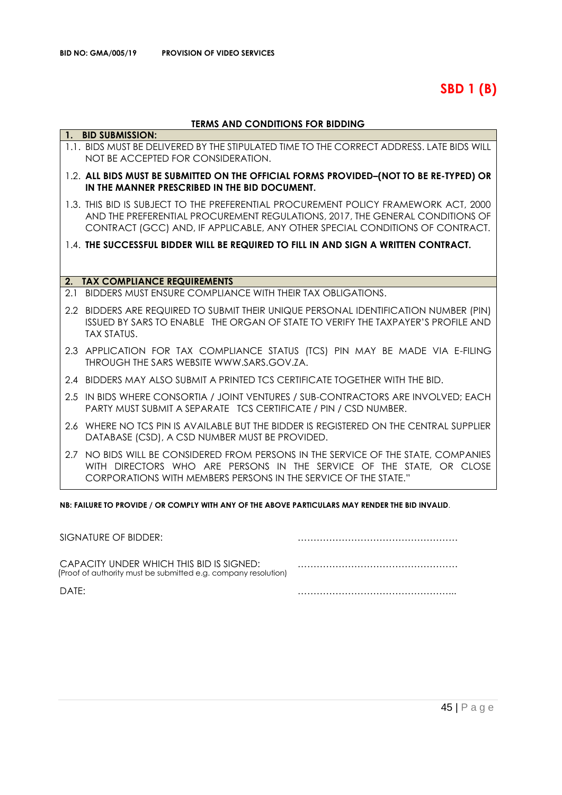**SBD 1 (B)**

## **TERMS AND CONDITIONS FOR BIDDING**

|     | 1. BID SUBMISSION:                                                                                                                                                                                                                                   |
|-----|------------------------------------------------------------------------------------------------------------------------------------------------------------------------------------------------------------------------------------------------------|
|     | 1.1. BIDS MUST BE DELIVERED BY THE STIPULATED TIME TO THE CORRECT ADDRESS. LATE BIDS WILL<br>NOT BE ACCEPTED FOR CONSIDERATION.                                                                                                                      |
|     | 1.2. ALL BIDS MUST BE SUBMITTED ON THE OFFICIAL FORMS PROVIDED-(NOT TO BE RE-TYPED) OR<br>IN THE MANNER PRESCRIBED IN THE BID DOCUMENT.                                                                                                              |
|     | 1.3. THIS BID IS SUBJECT TO THE PREFERENTIAL PROCUREMENT POLICY FRAMEWORK ACT, 2000<br>AND THE PREFERENTIAL PROCUREMENT REGULATIONS, 2017, THE GENERAL CONDITIONS OF<br>CONTRACT (GCC) AND, IF APPLICABLE, ANY OTHER SPECIAL CONDITIONS OF CONTRACT. |
|     | 1.4. THE SUCCESSFUL BIDDER WILL BE REQUIRED TO FILL IN AND SIGN A WRITTEN CONTRACT.                                                                                                                                                                  |
|     |                                                                                                                                                                                                                                                      |
|     | 2. TAX COMPLIANCE REQUIREMENTS                                                                                                                                                                                                                       |
| 2.1 | BIDDERS MUST ENSURE COMPLIANCE WITH THEIR TAX OBLIGATIONS.                                                                                                                                                                                           |
|     | 2.2 BIDDERS ARE REQUIRED TO SUBMIT THEIR UNIQUE PERSONAL IDENTIFICATION NUMBER (PIN)<br>ISSUED BY SARS TO ENABLE THE ORGAN OF STATE TO VERIFY THE TAXPAYER'S PROFILE AND<br><b>TAX STATUS.</b>                                                       |
|     | 2.3 APPLICATION FOR TAX COMPLIANCE STATUS (TCS) PIN MAY BE MADE VIA E-FILING<br>THROUGH THE SARS WEBSITE WWW.SARS.GOV.ZA.                                                                                                                            |
|     | 2.4 BIDDERS MAY ALSO SUBMIT A PRINTED TCS CERTIFICATE TOGETHER WITH THE BID.                                                                                                                                                                         |
|     | 2.5 IN BIDS WHERE CONSORTIA / JOINT VENTURES / SUB-CONTRACTORS ARE INVOLVED; EACH<br>PARTY MUST SUBMIT A SEPARATE TCS CERTIFICATE / PIN / CSD NUMBER.                                                                                                |
| 2.6 | WHERE NO TCS PIN IS AVAILABLE BUT THE BIDDER IS REGISTERED ON THE CENTRAL SUPPLIER<br>DATABASE (CSD), A CSD NUMBER MUST BE PROVIDED.                                                                                                                 |
|     | 2.7 NO BIDS WILL BE CONSIDERED FROM PERSONS IN THE SERVICE OF THE STATE, COMPANIES<br>WITH DIRECTORS WHO ARE PERSONS IN THE SERVICE OF THE STATE, OR CLOSE<br>CORPORATIONS WITH MEMBERS PERSONS IN THE SERVICE OF THE STATE."                        |

**NB: FAILURE TO PROVIDE / OR COMPLY WITH ANY OF THE ABOVE PARTICULARS MAY RENDER THE BID INVALID**.

| SIGNATURE OF BIDDER:                                                                                       |  |
|------------------------------------------------------------------------------------------------------------|--|
| CAPACITY UNDER WHICH THIS BID IS SIGNED:<br>(Proof of authority must be submitted e.g. company resolution) |  |
| DATF:                                                                                                      |  |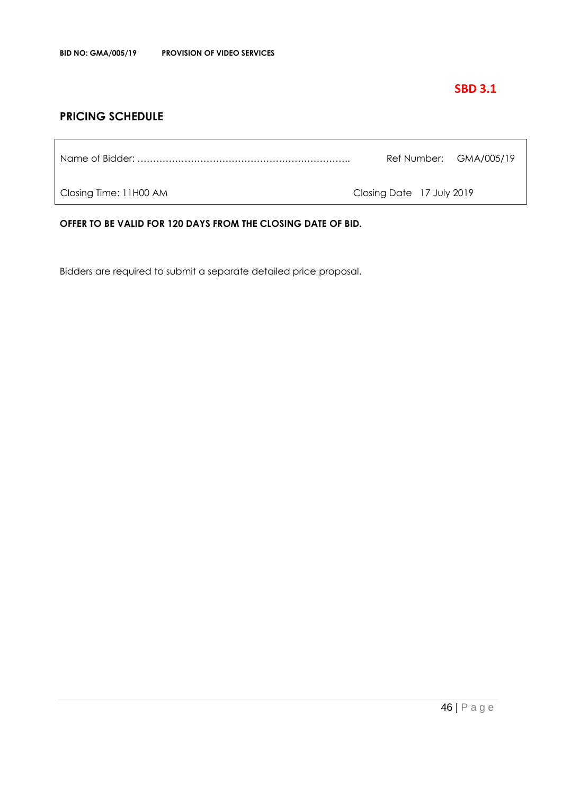## **SBD 3.1**

## **PRICING SCHEDULE**

Name of Bidder: ………………………………………………………….. Ref Number: GMA/005/19

Closing Time: 11H00 AM Closing Date 17 July 2019

**OFFER TO BE VALID FOR 120 DAYS FROM THE CLOSING DATE OF BID.**

Bidders are required to submit a separate detailed price proposal.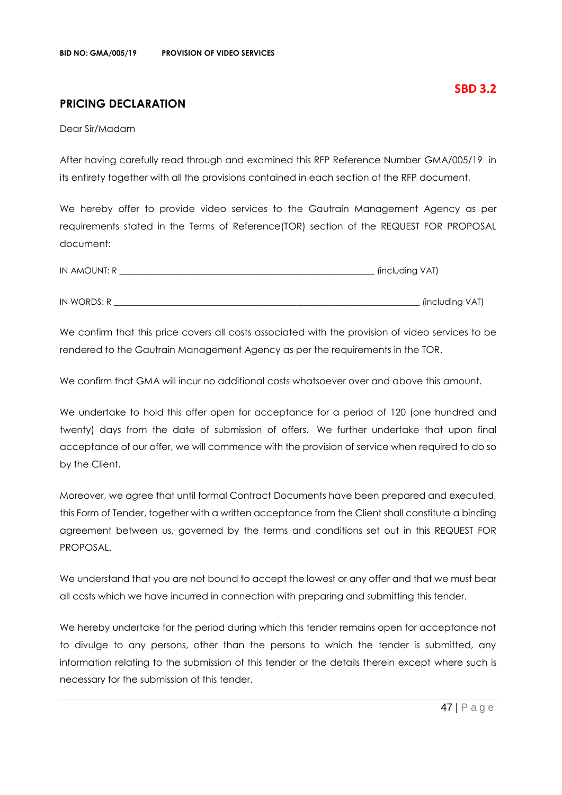## **PRICING DECLARATION**

Dear Sir/Madam

After having carefully read through and examined this RFP Reference Number GMA/005/19 in its entirety together with all the provisions contained in each section of the RFP document,

We hereby offer to provide video services to the Gautrain Management Agency as per requirements stated in the Terms of Reference(TOR) section of the REQUEST FOR PROPOSAL document:

| IN AMOUNT: R | (including VAT) |
|--------------|-----------------|
|              |                 |
| IN WORDS: R  | (including VAT) |

We confirm that this price covers all costs associated with the provision of video services to be rendered to the Gautrain Management Agency as per the requirements in the TOR.

We confirm that GMA will incur no additional costs whatsoever over and above this amount.

We undertake to hold this offer open for acceptance for a period of 120 (one hundred and twenty) days from the date of submission of offers. We further undertake that upon final acceptance of our offer, we will commence with the provision of service when required to do so by the Client.

Moreover, we agree that until formal Contract Documents have been prepared and executed, this Form of Tender, together with a written acceptance from the Client shall constitute a binding agreement between us, governed by the terms and conditions set out in this REQUEST FOR PROPOSAL.

We understand that you are not bound to accept the lowest or any offer and that we must bear all costs which we have incurred in connection with preparing and submitting this tender.

We hereby undertake for the period during which this tender remains open for acceptance not to divulge to any persons, other than the persons to which the tender is submitted, any information relating to the submission of this tender or the details therein except where such is necessary for the submission of this tender.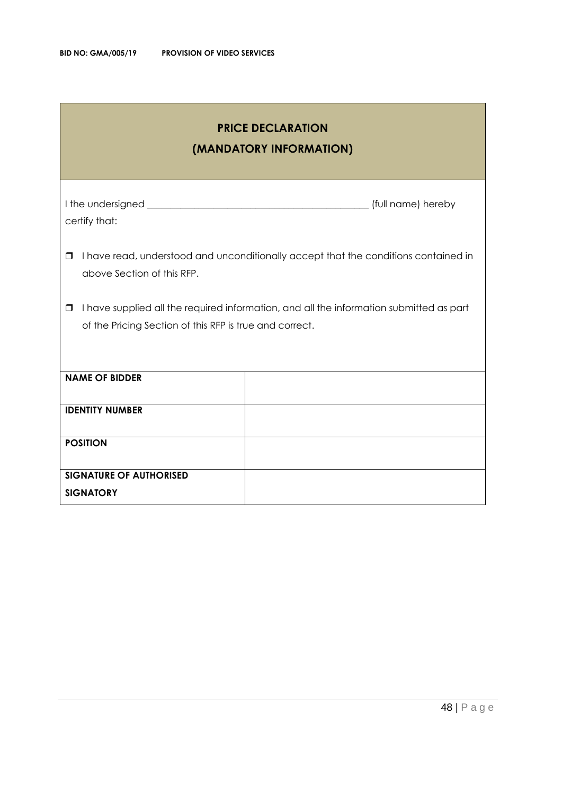| <b>PRICE DECLARATION</b><br>(MANDATORY INFORMATION)                                                                                                          |  |  |  |
|--------------------------------------------------------------------------------------------------------------------------------------------------------------|--|--|--|
| certify that:                                                                                                                                                |  |  |  |
| I have read, understood and unconditionally accept that the conditions contained in<br>□<br>above Section of this RFP.                                       |  |  |  |
| I have supplied all the required information, and all the information submitted as part<br>$\Box$<br>of the Pricing Section of this RFP is true and correct. |  |  |  |
| <b>NAME OF BIDDER</b>                                                                                                                                        |  |  |  |
| <b>IDENTITY NUMBER</b>                                                                                                                                       |  |  |  |
| <b>POSITION</b>                                                                                                                                              |  |  |  |
| <b>SIGNATURE OF AUTHORISED</b><br><b>SIGNATORY</b>                                                                                                           |  |  |  |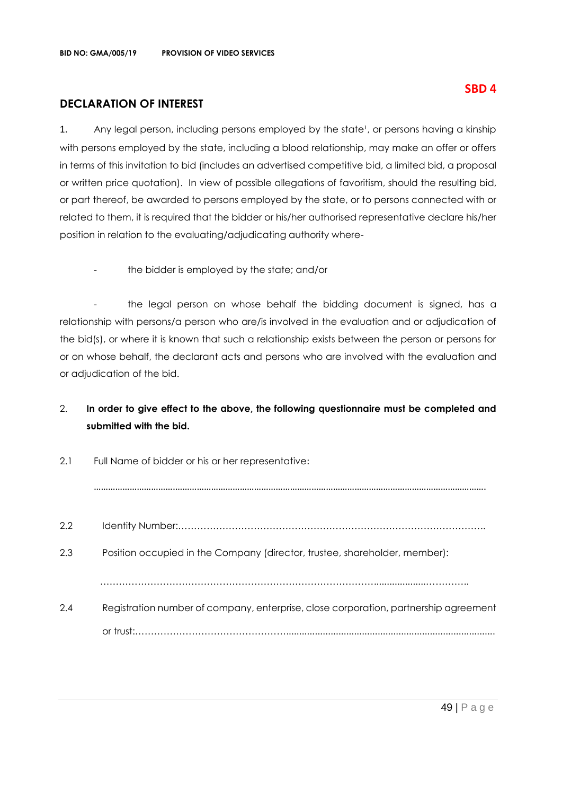## **DECLARATION OF INTEREST**

1. Any legal person, including persons employed by the state<sup>1</sup>, or persons having a kinship with persons employed by the state, including a blood relationship, may make an offer or offers in terms of this invitation to bid (includes an advertised competitive bid, a limited bid, a proposal or written price quotation). In view of possible allegations of favoritism, should the resulting bid, or part thereof, be awarded to persons employed by the state, or to persons connected with or related to them, it is required that the bidder or his/her authorised representative declare his/her position in relation to the evaluating/adjudicating authority where-

the bidder is employed by the state; and/or

- the legal person on whose behalf the bidding document is signed, has a relationship with persons/a person who are/is involved in the evaluation and or adjudication of the bid(s), or where it is known that such a relationship exists between the person or persons for or on whose behalf, the declarant acts and persons who are involved with the evaluation and or adjudication of the bid.

## 2. **In order to give effect to the above, the following questionnaire must be completed and submitted with the bid.**

| 2.1 | Full Name of bidder or his or her representative:                                    |  |  |
|-----|--------------------------------------------------------------------------------------|--|--|
|     |                                                                                      |  |  |
| 2.2 |                                                                                      |  |  |
| 2.3 | Position occupied in the Company (director, trustee, shareholder, member):           |  |  |
|     |                                                                                      |  |  |
| 2.4 | Registration number of company, enterprise, close corporation, partnership agreement |  |  |
|     |                                                                                      |  |  |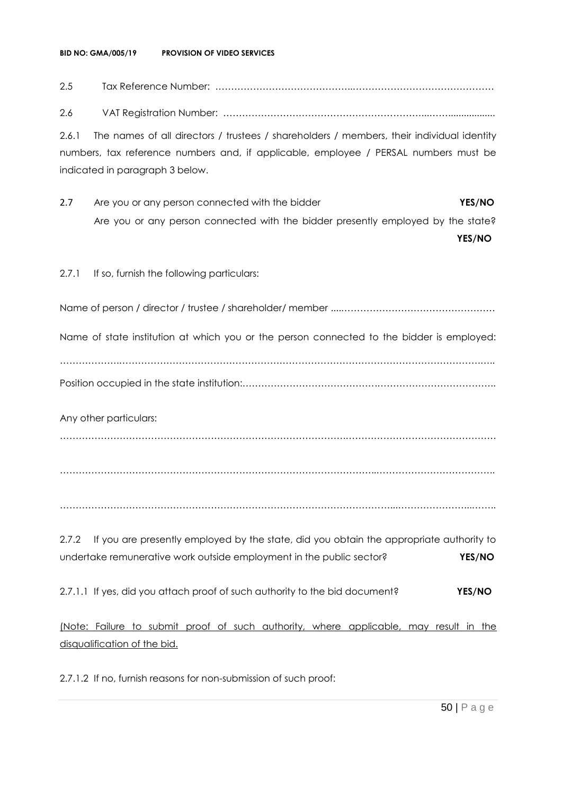#### **BID NO: GMA/005/19 PROVISION OF VIDEO SERVICES**

# 2.5 Tax Reference Number: ……………………………………..……………………………………… 2.6 VAT Registration Number: ………………………………………………………...…….................. 2.6.1 The names of all directors / trustees / shareholders / members, their individual identity numbers, tax reference numbers and, if applicable, employee / PERSAL numbers must be indicated in paragraph 3 below. 2.7 Are you or any person connected with the bidder **YES/NO** Are you or any person connected with the bidder presently employed by the state? **YES/NO** 2.7.1 If so, furnish the following particulars: Name of person / director / trustee / shareholder/ member ....…………………………………………. Name of state institution at which you or the person connected to the bidder is employed: ……………….…………………………………………………………………………………………………….….. Position occupied in the state institution:…………………………………….……………………………….. Any other particulars: ……………………………………………………………………………….………………………………………… ………………………………………………………………………………………..……………………………….. ……………………………………………………………………………………………...…………………...…….. 2.7.2 If you are presently employed by the state, did you obtain the appropriate authority to undertake remunerative work outside employment in the public sector? **YES/NO** 2.7.1.1 If yes, did you attach proof of such authority to the bid document? **YES/NO** (Note: Failure to submit proof of such authority, where applicable, may result in the

2.7.1.2 If no, furnish reasons for non-submission of such proof:

disqualification of the bid.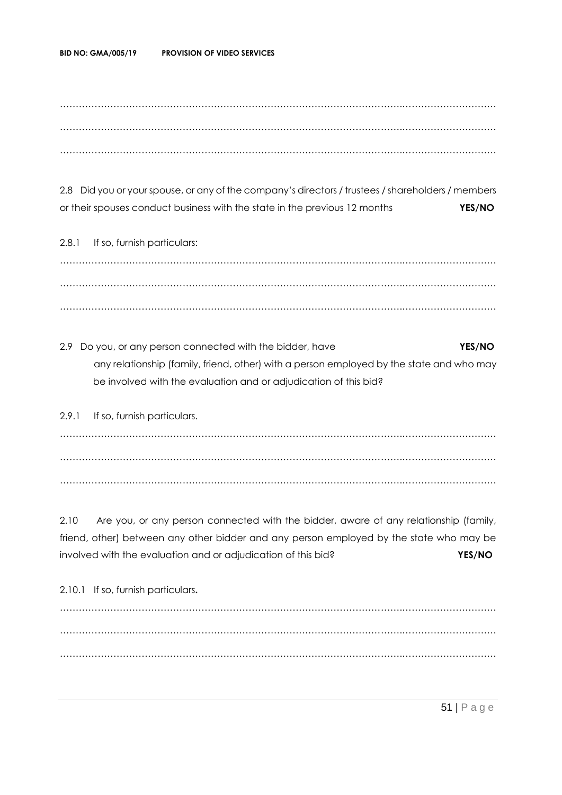……………………………………………………………………………………………….………………………… ……………………………………………………………………………………………….………………………… ……………………………………………………………………………………………….…………………………

2.8 Did you or your spouse, or any of the company's directors / trustees / shareholders / members or their spouses conduct business with the state in the previous 12 months **YES/NO**

2.8.1 If so, furnish particulars: ……………………………………………………………………………………………….………………………… ……………………………………………………………………………………………….………………………… ……………………………………………………………………………………………….…………………………

2.9 Do you, or any person connected with the bidder, have **YES/NO** any relationship (family, friend, other) with a person employed by the state and who may be involved with the evaluation and or adjudication of this bid?

2.9.1 If so, furnish particulars. ……………………………………………………………………………………………….………………………… ……………………………………………………………………………………………….………………………… ……………………………………………………………………………………………….…………………………

2.10 Are you, or any person connected with the bidder, aware of any relationship (family, friend, other) between any other bidder and any person employed by the state who may be involved with the evaluation and or adjudication of this bid? **YES/NO**

2.10.1 If so, furnish particulars**.** ……………………………………………………………………………………………….………………………… ……………………………………………………………………………………………….………………………… ……………………………………………………………………………………………….…………………………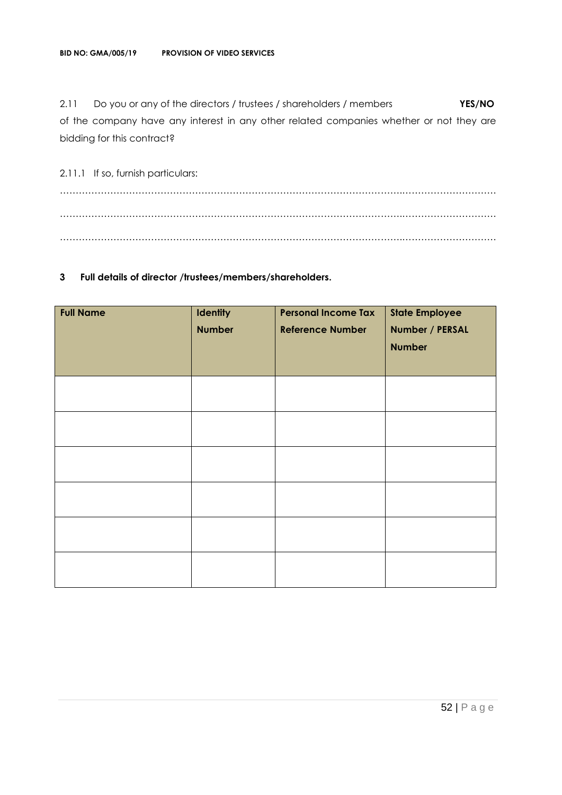2.11 Do you or any of the directors / trustees / shareholders / members **YES/NO** of the company have any interest in any other related companies whether or not they are bidding for this contract?

2.11.1 If so, furnish particulars: ……………………………………………………………………………………………….………………………… ……………………………………………………………………………………………….………………………… ……………………………………………………………………………………………….…………………………

## **3 Full details of director /trustees/members/shareholders.**

| <b>Full Name</b> | Identity<br><b>Number</b> | <b>Personal Income Tax</b><br><b>Reference Number</b> | <b>State Employee</b><br>Number / PERSAL<br><b>Number</b> |
|------------------|---------------------------|-------------------------------------------------------|-----------------------------------------------------------|
|                  |                           |                                                       |                                                           |
|                  |                           |                                                       |                                                           |
|                  |                           |                                                       |                                                           |
|                  |                           |                                                       |                                                           |
|                  |                           |                                                       |                                                           |
|                  |                           |                                                       |                                                           |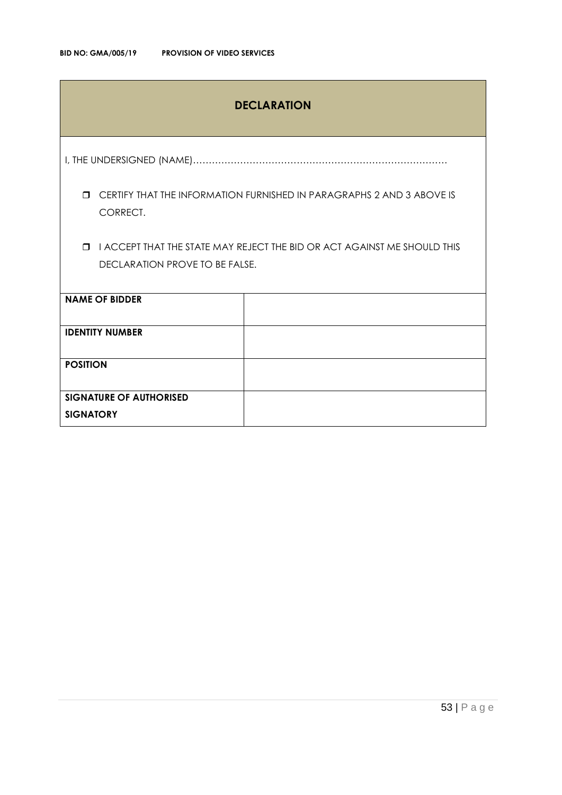## **DECLARATION**

I, THE UNDERSIGNED (NAME)………………………………………………………………………

 CERTIFY THAT THE INFORMATION FURNISHED IN PARAGRAPHS 2 AND 3 ABOVE IS CORRECT.

 I ACCEPT THAT THE STATE MAY REJECT THE BID OR ACT AGAINST ME SHOULD THIS DECLARATION PROVE TO BE FALSE.

| <b>NAME OF BIDDER</b>          |  |
|--------------------------------|--|
| <b>IDENTITY NUMBER</b>         |  |
| <b>POSITION</b>                |  |
| <b>SIGNATURE OF AUTHORISED</b> |  |
| <b>SIGNATORY</b>               |  |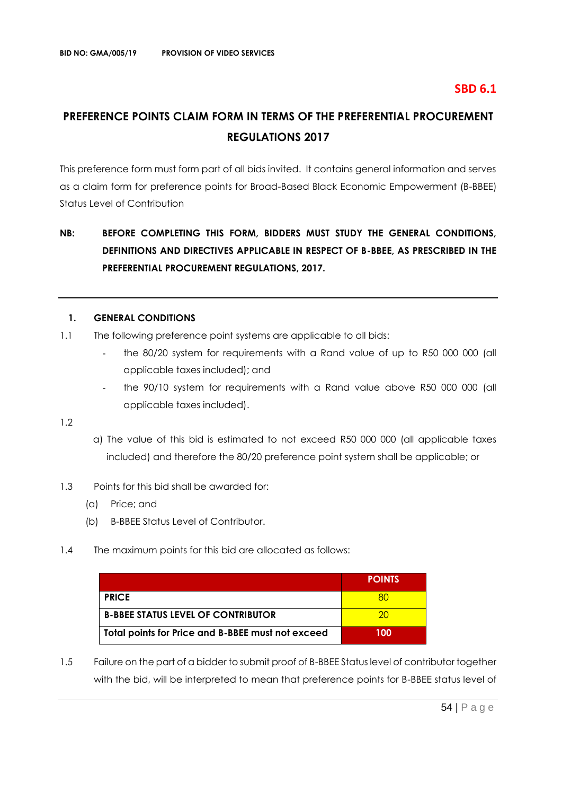## **SBD 6.1**

## **PREFERENCE POINTS CLAIM FORM IN TERMS OF THE PREFERENTIAL PROCUREMENT REGULATIONS 2017**

This preference form must form part of all bids invited. It contains general information and serves as a claim form for preference points for Broad-Based Black Economic Empowerment (B-BBEE) Status Level of Contribution

## **NB: BEFORE COMPLETING THIS FORM, BIDDERS MUST STUDY THE GENERAL CONDITIONS, DEFINITIONS AND DIRECTIVES APPLICABLE IN RESPECT OF B-BBEE, AS PRESCRIBED IN THE PREFERENTIAL PROCUREMENT REGULATIONS, 2017.**

#### **1. GENERAL CONDITIONS**

- 1.1 The following preference point systems are applicable to all bids:
	- the 80/20 system for requirements with a Rand value of up to R50 000 000 (all applicable taxes included); and
	- the 90/10 system for requirements with a Rand value above R50 000 000 (all applicable taxes included).

1.2

- a) The value of this bid is estimated to not exceed R50 000 000 (all applicable taxes included) and therefore the 80/20 preference point system shall be applicable; or
- 1.3 Points for this bid shall be awarded for:
	- (a) Price; and
	- (b) B-BBEE Status Level of Contributor.
- 1.4 The maximum points for this bid are allocated as follows:

|                                                   | <b>POINTS</b> |
|---------------------------------------------------|---------------|
| <b>PRICE</b>                                      |               |
| <b>B-BBEE STATUS LEVEL OF CONTRIBUTOR</b>         |               |
| Total points for Price and B-BBEE must not exceed | 100           |

1.5 Failure on the part of a bidder to submit proof of B-BBEE Status level of contributor together with the bid, will be interpreted to mean that preference points for B-BBEE status level of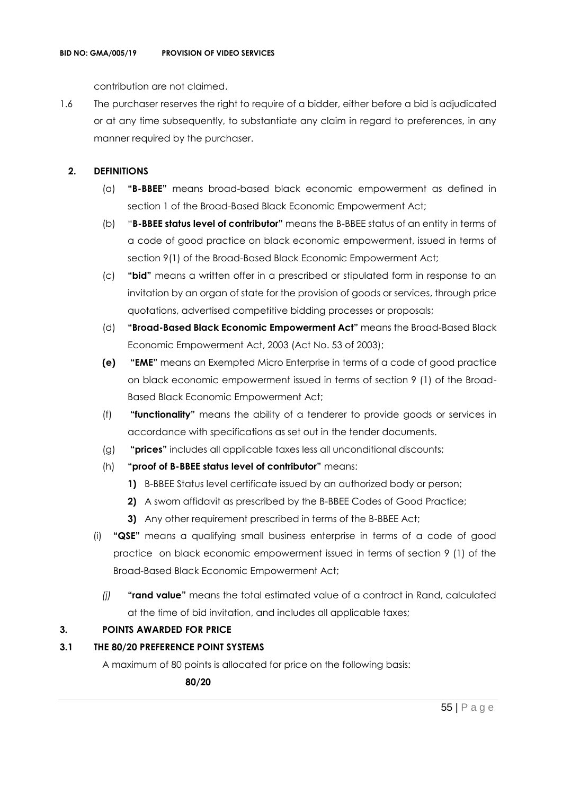contribution are not claimed.

1.6 The purchaser reserves the right to require of a bidder, either before a bid is adjudicated or at any time subsequently, to substantiate any claim in regard to preferences, in any manner required by the purchaser.

## **2. DEFINITIONS**

- (a) **"B-BBEE"** means broad-based black economic empowerment as defined in section 1 of the Broad-Based Black Economic Empowerment Act;
- (b) "**B-BBEE status level of contributor"** means the B-BBEE status of an entity in terms of a code of good practice on black economic empowerment, issued in terms of section 9(1) of the Broad-Based Black Economic Empowerment Act;
- (c) **"bid"** means a written offer in a prescribed or stipulated form in response to an invitation by an organ of state for the provision of goods or services, through price quotations, advertised competitive bidding processes or proposals;
- (d) **"Broad-Based Black Economic Empowerment Act"** means the Broad-Based Black Economic Empowerment Act, 2003 (Act No. 53 of 2003);
- **(e) "EME"** means an Exempted Micro Enterprise in terms of a code of good practice on black economic empowerment issued in terms of section 9 (1) of the Broad-Based Black Economic Empowerment Act;
- (f) **"functionality"** means the ability of a tenderer to provide goods or services in accordance with specifications as set out in the tender documents.
- (g) **"prices"** includes all applicable taxes less all unconditional discounts;
- (h) **"proof of B-BBEE status level of contributor"** means:
	- **1)** B-BBEE Status level certificate issued by an authorized body or person;
	- **2)** A sworn affidavit as prescribed by the B-BBEE Codes of Good Practice;
	- **3)** Any other requirement prescribed in terms of the B-BBEE Act;
- (i) **"QSE"** means a qualifying small business enterprise in terms of a code of good practice on black economic empowerment issued in terms of section 9 (1) of the Broad-Based Black Economic Empowerment Act;
	- *(j)* **"rand value"** means the total estimated value of a contract in Rand, calculated at the time of bid invitation, and includes all applicable taxes;

## **3. POINTS AWARDED FOR PRICE**

## **3.1 THE 80/20 PREFERENCE POINT SYSTEMS**

A maximum of 80 points is allocated for price on the following basis:

 **80/20**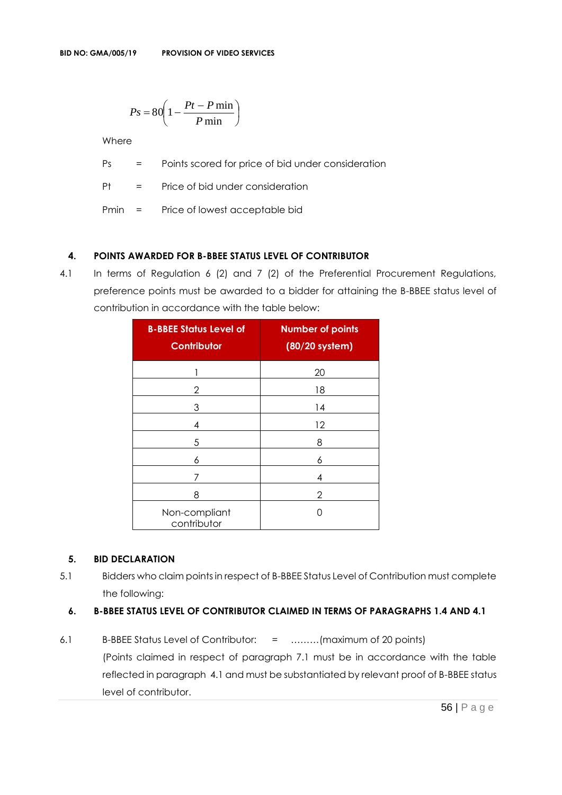$$
Ps = 80 \left( 1 - \frac{Pt - P \min}{P \min} \right)
$$

Where

Ps = Points scored for price of bid under consideration

Pt = Price of bid under consideration

Pmin = Price of lowest acceptable bid

## **4. POINTS AWARDED FOR B-BBEE STATUS LEVEL OF CONTRIBUTOR**

4.1 In terms of Regulation 6 (2) and 7 (2) of the Preferential Procurement Regulations, preference points must be awarded to a bidder for attaining the B-BBEE status level of contribution in accordance with the table below:

| <b>B-BBEE Status Level of</b><br><b>Contributor</b> | <b>Number of points</b><br>(80/20 system) |
|-----------------------------------------------------|-------------------------------------------|
|                                                     | 20                                        |
| 2                                                   | 18                                        |
| 3                                                   | 14                                        |
| 4                                                   | 12                                        |
| 5                                                   | 8                                         |
| 6                                                   | 6                                         |
| 7                                                   | 4                                         |
| 8                                                   | 2                                         |
| Non-compliant<br>contributor                        | Ω                                         |

## **5. BID DECLARATION**

5.1 Bidders who claim points in respect of B-BBEE Status Level of Contribution must complete the following:

## **6. B-BBEE STATUS LEVEL OF CONTRIBUTOR CLAIMED IN TERMS OF PARAGRAPHS 1.4 AND 4.1**

6.1 B-BBEE Status Level of Contributor: = ………(maximum of 20 points) (Points claimed in respect of paragraph 7.1 must be in accordance with the table reflected in paragraph 4.1 and must be substantiated by relevant proof of B-BBEE status level of contributor.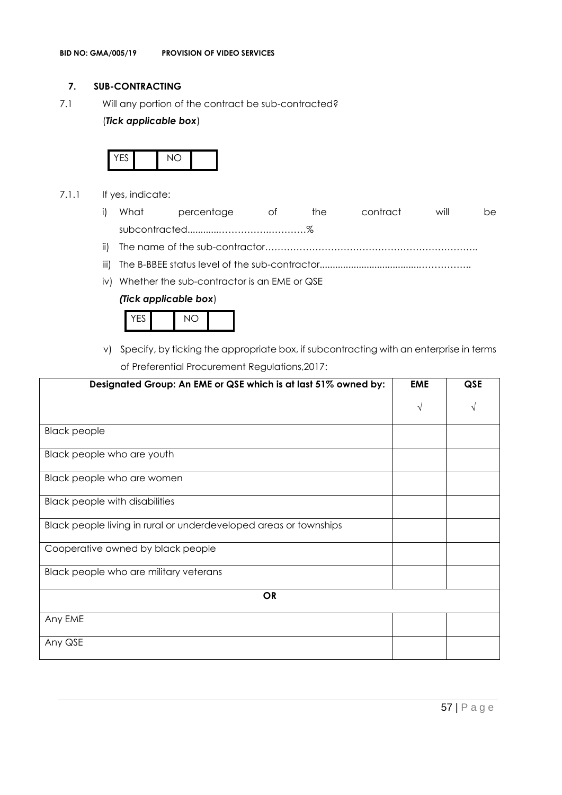## **7. SUB-CONTRACTING**

7.1 Will any portion of the contract be sub-contracted?

## (*Tick applicable box*)



- 7.1.1 If yes, indicate:
	- i) What percentage of the contract will be subcontracted............…………….…………%
	- ii) The name of the sub-contractor…………………………………………………………..
	- iii) The B-BBEE status level of the sub-contractor......................................……………..
	- iv) Whether the sub-contractor is an EME or QSE

## *(Tick applicable box*)



v) Specify, by ticking the appropriate box, if subcontracting with an enterprise in terms of Preferential Procurement Regulations,2017:

| Designated Group: An EME or QSE which is at last 51% owned by:    | <b>EME</b> | QSE |
|-------------------------------------------------------------------|------------|-----|
|                                                                   | $\sqrt{ }$ |     |
| <b>Black people</b>                                               |            |     |
| Black people who are youth                                        |            |     |
| Black people who are women                                        |            |     |
| <b>Black people with disabilities</b>                             |            |     |
| Black people living in rural or underdeveloped areas or townships |            |     |
| Cooperative owned by black people                                 |            |     |
| Black people who are military veterans                            |            |     |
| <b>OR</b>                                                         |            |     |
| Any EME                                                           |            |     |
| Any QSE                                                           |            |     |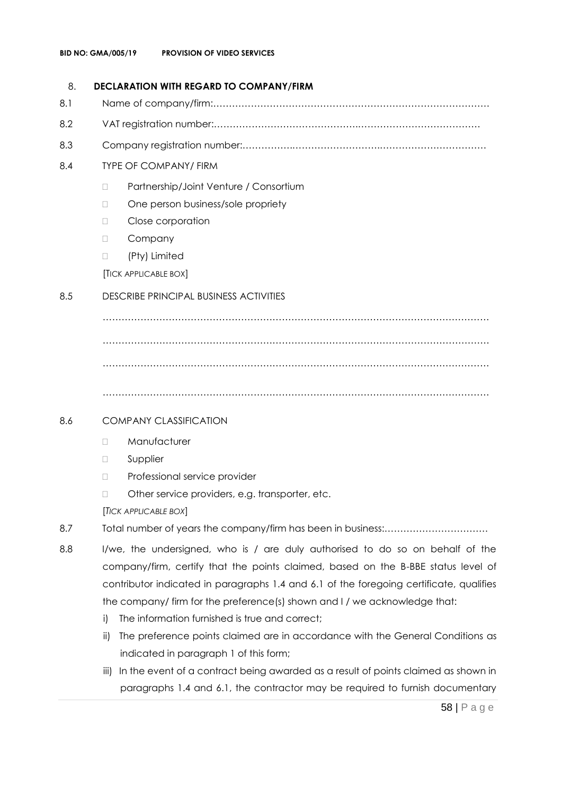## 8. **DECLARATION WITH REGARD TO COMPANY/FIRM**

- 8.1 Name of company/firm:…………………………………………………………………………….
- 8.2 VAT registration number:……………………………………….…………………………………
- 8.3 Company registration number:…………….……………………….…………………………….

## 8.4 TYPE OF COMPANY/ FIRM

- □ Partnership/Joint Venture / Consortium
- □ One person business/sole propriety
- D Close corporation
- D Company
- (Pty) Limited

[TICK APPLICABLE BOX]

## 8.5 DESCRIBE PRINCIPAL BUSINESS ACTIVITIES

…………………………………………………………………………………………………………… …………………………………………………………………………………………………………… ……………………………………………………………………………………………………………

……………………………………………………………………………………………………………

## 8.6 COMPANY CLASSIFICATION

- D Manufacturer
- **D** Supplier
- D Professional service provider
- □ Other service providers, e.g. transporter, etc.

[*TICK APPLICABLE BOX*]

- 8.7 Total number of years the company/firm has been in business:……………………………
- 8.8 I/we, the undersigned, who is / are duly authorised to do so on behalf of the company/firm, certify that the points claimed, based on the B-BBE status level of contributor indicated in paragraphs 1.4 and 6.1 of the foregoing certificate, qualifies the company/ firm for the preference(s) shown and I / we acknowledge that:
	- i) The information furnished is true and correct;
	- ii) The preference points claimed are in accordance with the General Conditions as indicated in paragraph 1 of this form;
	- iii) In the event of a contract being awarded as a result of points claimed as shown in paragraphs 1.4 and 6.1, the contractor may be required to furnish documentary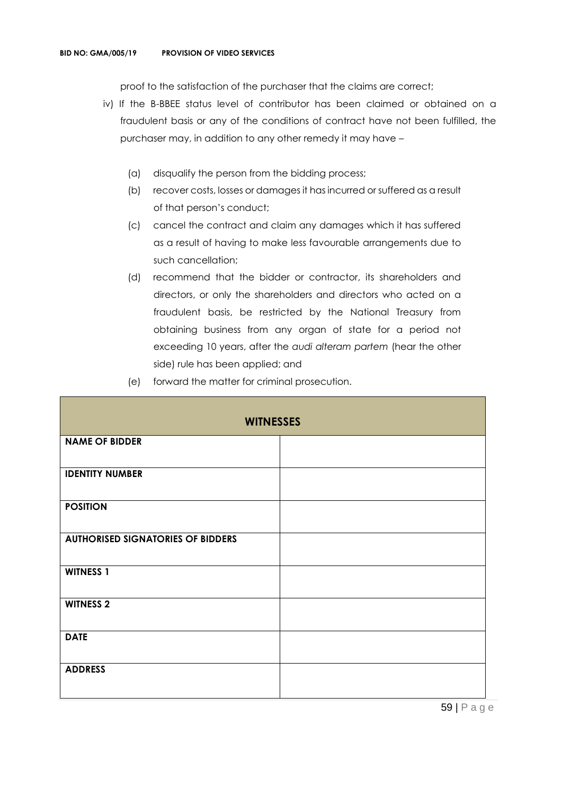proof to the satisfaction of the purchaser that the claims are correct;

- iv) If the B-BBEE status level of contributor has been claimed or obtained on a fraudulent basis or any of the conditions of contract have not been fulfilled, the purchaser may, in addition to any other remedy it may have –
	- (a) disqualify the person from the bidding process;
	- (b) recover costs, losses or damages it has incurred or suffered as a result of that person's conduct;
	- (c) cancel the contract and claim any damages which it has suffered as a result of having to make less favourable arrangements due to such cancellation;
	- (d) recommend that the bidder or contractor, its shareholders and directors, or only the shareholders and directors who acted on a fraudulent basis, be restricted by the National Treasury from obtaining business from any organ of state for a period not exceeding 10 years, after the *audi alteram partem* (hear the other side) rule has been applied; and
	- (e) forward the matter for criminal prosecution.

| <b>WITNESSES</b>                         |  |  |
|------------------------------------------|--|--|
| <b>NAME OF BIDDER</b>                    |  |  |
| <b>IDENTITY NUMBER</b>                   |  |  |
| <b>POSITION</b>                          |  |  |
| <b>AUTHORISED SIGNATORIES OF BIDDERS</b> |  |  |
| <b>WITNESS 1</b>                         |  |  |
| <b>WITNESS 2</b>                         |  |  |
| <b>DATE</b>                              |  |  |
| <b>ADDRESS</b>                           |  |  |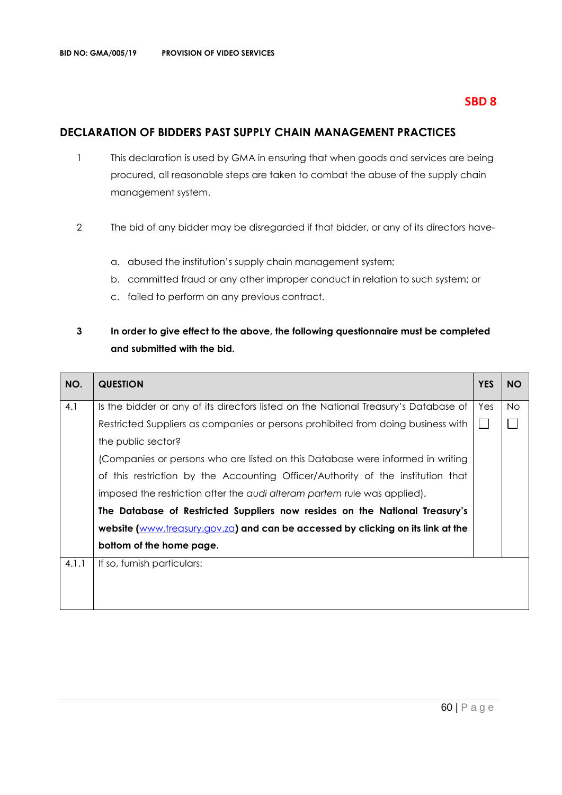## **SBD 8**

## **DECLARATION OF BIDDERS PAST SUPPLY CHAIN MANAGEMENT PRACTICES**

- 1 This declaration is used by GMA in ensuring that when goods and services are being procured, all reasonable steps are taken to combat the abuse of the supply chain management system.
- 2 The bid of any bidder may be disregarded if that bidder, or any of its directors have
	- a. abused the institution's supply chain management system;
	- b. committed fraud or any other improper conduct in relation to such system; or
	- c. failed to perform on any previous contract.

## **3 In order to give effect to the above, the following questionnaire must be completed and submitted with the bid.**

| NO.   | <b>QUESTION</b>                                                                     | <b>YES</b> | <b>NO</b> |
|-------|-------------------------------------------------------------------------------------|------------|-----------|
| 4.1   | Is the bidder or any of its directors listed on the National Treasury's Database of | Yes        | No.       |
|       | Restricted Suppliers as companies or persons prohibited from doing business with    |            |           |
|       | the public sector?                                                                  |            |           |
|       | (Companies or persons who are listed on this Database were informed in writing      |            |           |
|       | of this restriction by the Accounting Officer/Authority of the institution that     |            |           |
|       | imposed the restriction after the audi alteram partem rule was applied).            |            |           |
|       | The Database of Restricted Suppliers now resides on the National Treasury's         |            |           |
|       | website (www.treasury.gov.za) and can be accessed by clicking on its link at the    |            |           |
|       | bottom of the home page.                                                            |            |           |
| 4.1.1 | If so, furnish particulars:                                                         |            |           |
|       |                                                                                     |            |           |
|       |                                                                                     |            |           |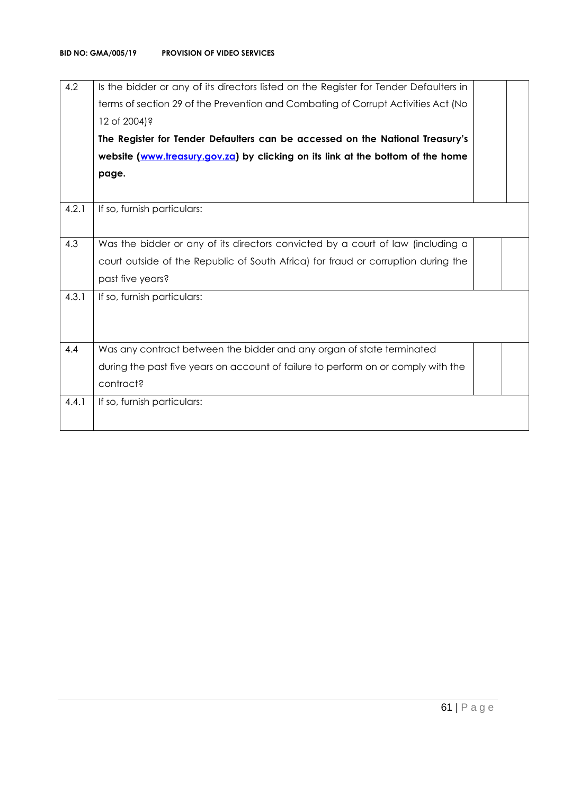| 4.2   | Is the bidder or any of its directors listed on the Register for Tender Defaulters in |
|-------|---------------------------------------------------------------------------------------|
|       | terms of section 29 of the Prevention and Combating of Corrupt Activities Act (No     |
|       | 12 of 2004)?                                                                          |
|       | The Register for Tender Defaulters can be accessed on the National Treasury's         |
|       | website (www.treasury.gov.za) by clicking on its link at the bottom of the home       |
|       | page.                                                                                 |
|       |                                                                                       |
| 4.2.1 | If so, furnish particulars:                                                           |
|       |                                                                                       |
| 4.3   | Was the bidder or any of its directors convicted by a court of law (including a       |
|       | court outside of the Republic of South Africa) for fraud or corruption during the     |
|       | past five years?                                                                      |
| 4.3.1 | If so, furnish particulars:                                                           |
|       |                                                                                       |
|       |                                                                                       |
| 4.4   | Was any contract between the bidder and any organ of state terminated                 |
|       | during the past five years on account of failure to perform on or comply with the     |
|       | contract?                                                                             |
| 4.4.1 | If so, furnish particulars:                                                           |
|       |                                                                                       |
|       |                                                                                       |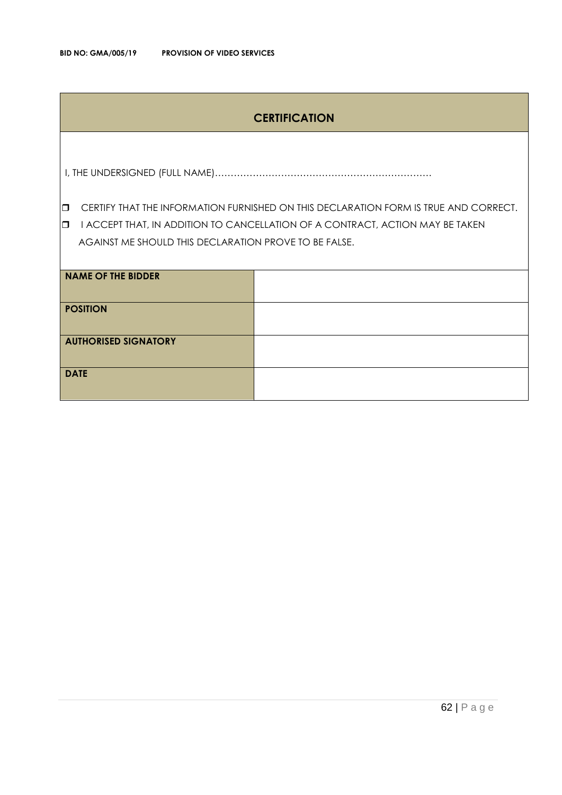## **CERTIFICATION**

I, THE UNDERSIGNED (FULL NAME)……………………………………………………………

**CERTIFY THAT THE INFORMATION FURNISHED ON THIS DECLARATION FORM IS TRUE AND CORRECT.** 

**I** I ACCEPT THAT, IN ADDITION TO CANCELLATION OF A CONTRACT, ACTION MAY BE TAKEN AGAINST ME SHOULD THIS DECLARATION PROVE TO BE FALSE.

| <b>NAME OF THE BIDDER</b>   |  |
|-----------------------------|--|
| <b>POSITION</b>             |  |
| <b>AUTHORISED SIGNATORY</b> |  |
| <b>DATE</b>                 |  |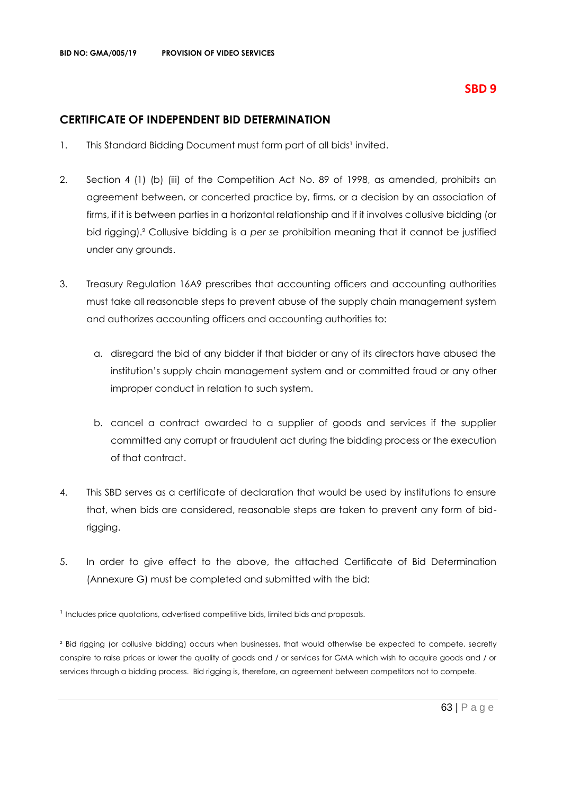## **SBD 9**

## **CERTIFICATE OF INDEPENDENT BID DETERMINATION**

- 1. This Standard Bidding Document must form part of all bids<sup>1</sup> invited.
- 2. Section 4 (1) (b) (iii) of the Competition Act No. 89 of 1998, as amended, prohibits an agreement between, or concerted practice by, firms, or a decision by an association of firms, if it is between parties in a horizontal relationship and if it involves collusive bidding (or bid rigging).² Collusive bidding is a *per se* prohibition meaning that it cannot be justified under any grounds.
- 3. Treasury Regulation 16A9 prescribes that accounting officers and accounting authorities must take all reasonable steps to prevent abuse of the supply chain management system and authorizes accounting officers and accounting authorities to:
	- a. disregard the bid of any bidder if that bidder or any of its directors have abused the institution's supply chain management system and or committed fraud or any other improper conduct in relation to such system.
	- b. cancel a contract awarded to a supplier of goods and services if the supplier committed any corrupt or fraudulent act during the bidding process or the execution of that contract.
- 4. This SBD serves as a certificate of declaration that would be used by institutions to ensure that, when bids are considered, reasonable steps are taken to prevent any form of bidrigging.
- 5. In order to give effect to the above, the attached Certificate of Bid Determination (Annexure G) must be completed and submitted with the bid:

<sup>1</sup> Includes price quotations, advertised competitive bids, limited bids and proposals.

² Bid rigging (or collusive bidding) occurs when businesses, that would otherwise be expected to compete, secretly conspire to raise prices or lower the quality of goods and / or services for GMA which wish to acquire goods and / or services through a bidding process. Bid rigging is, therefore, an agreement between competitors not to compete.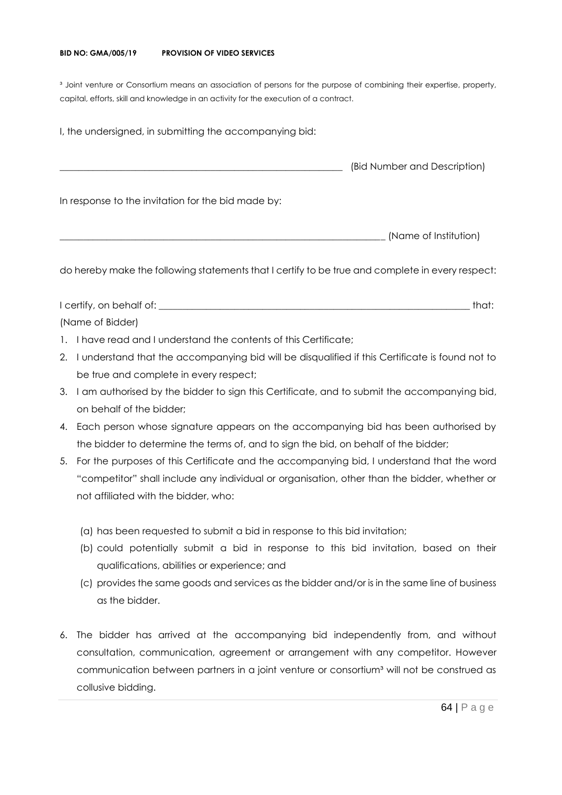#### **BID NO: GMA/005/19 PROVISION OF VIDEO SERVICES**

<sup>3</sup> Joint venture or Consortium means an association of persons for the purpose of combining their expertise, property, capital, efforts, skill and knowledge in an activity for the execution of a contract.

I, the undersigned, in submitting the accompanying bid: \_\_\_\_\_\_\_\_\_\_\_\_\_\_\_\_\_\_\_\_\_\_\_\_\_\_\_\_\_\_\_\_\_\_\_\_\_\_\_\_\_\_\_\_\_\_\_\_\_\_\_\_\_\_\_\_\_\_\_\_ (Bid Number and Description) In response to the invitation for the bid made by: \_\_\_\_\_\_\_\_\_\_\_\_\_\_\_\_\_\_\_\_\_\_\_\_\_\_\_\_\_\_\_\_\_\_\_\_\_\_\_\_\_\_\_\_\_\_\_\_\_\_\_\_\_\_\_\_\_\_\_\_\_\_\_\_\_\_\_\_\_ (Name of Institution)

do hereby make the following statements that I certify to be true and complete in every respect:

I certify, on behalf of: the state of the state of the state of the state of the state of the state of the state of the state of the state of the state of the state of the state of the state of the state of the state of th (Name of Bidder)

- 1. I have read and I understand the contents of this Certificate;
- 2. I understand that the accompanying bid will be disqualified if this Certificate is found not to be true and complete in every respect;
- 3. I am authorised by the bidder to sign this Certificate, and to submit the accompanying bid, on behalf of the bidder;
- 4. Each person whose signature appears on the accompanying bid has been authorised by the bidder to determine the terms of, and to sign the bid, on behalf of the bidder;
- 5. For the purposes of this Certificate and the accompanying bid, I understand that the word "competitor" shall include any individual or organisation, other than the bidder, whether or not affiliated with the bidder, who:
	- (a) has been requested to submit a bid in response to this bid invitation;
	- (b) could potentially submit a bid in response to this bid invitation, based on their qualifications, abilities or experience; and
	- (c) provides the same goods and services as the bidder and/or is in the same line of business as the bidder.
- 6. The bidder has arrived at the accompanying bid independently from, and without consultation, communication, agreement or arrangement with any competitor. However communication between partners in a joint venture or consortium<sup>3</sup> will not be construed as collusive bidding.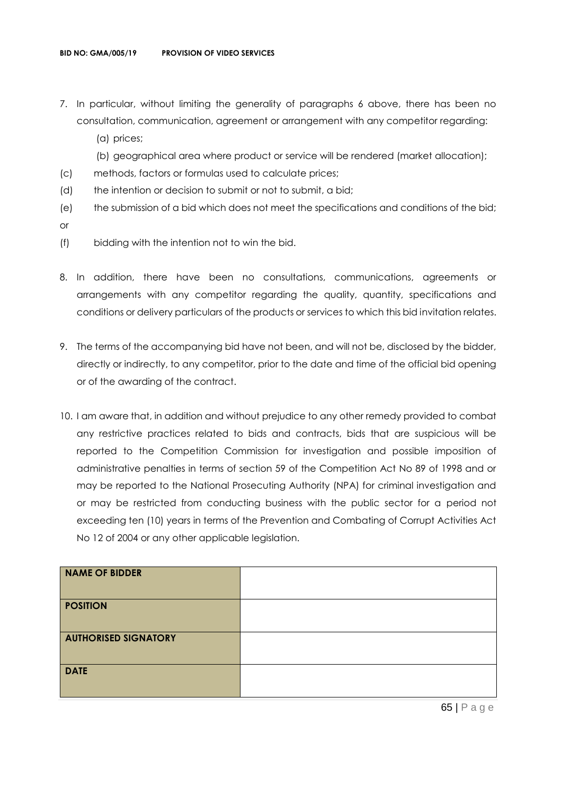- 7. In particular, without limiting the generality of paragraphs 6 above, there has been no consultation, communication, agreement or arrangement with any competitor regarding:
	- (a) prices;
	- (b) geographical area where product or service will be rendered (market allocation);
- (c) methods, factors or formulas used to calculate prices;
- (d) the intention or decision to submit or not to submit, a bid;
- (e) the submission of a bid which does not meet the specifications and conditions of the bid; or
- (f) bidding with the intention not to win the bid.
- 8. In addition, there have been no consultations, communications, agreements or arrangements with any competitor regarding the quality, quantity, specifications and conditions or delivery particulars of the products or services to which this bid invitation relates.
- 9. The terms of the accompanying bid have not been, and will not be, disclosed by the bidder, directly or indirectly, to any competitor, prior to the date and time of the official bid opening or of the awarding of the contract.
- 10. I am aware that, in addition and without prejudice to any other remedy provided to combat any restrictive practices related to bids and contracts, bids that are suspicious will be reported to the Competition Commission for investigation and possible imposition of administrative penalties in terms of section 59 of the Competition Act No 89 of 1998 and or may be reported to the National Prosecuting Authority (NPA) for criminal investigation and or may be restricted from conducting business with the public sector for a period not exceeding ten (10) years in terms of the Prevention and Combating of Corrupt Activities Act No 12 of 2004 or any other applicable legislation.

| <b>NAME OF BIDDER</b>       |  |
|-----------------------------|--|
| <b>POSITION</b>             |  |
| <b>AUTHORISED SIGNATORY</b> |  |
| <b>DATE</b>                 |  |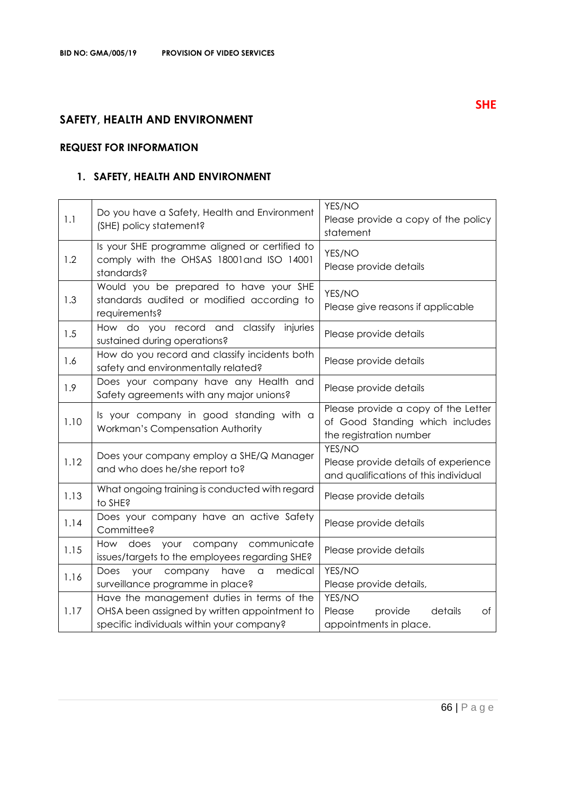## **SAFETY, HEALTH AND ENVIRONMENT**

## **REQUEST FOR INFORMATION**

## **1. SAFETY, HEALTH AND ENVIRONMENT**

| 1.1  | Do you have a Safety, Health and Environment<br>(SHE) policy statement?                                                                 | YES/NO<br>Please provide a copy of the policy<br>statement                                        |
|------|-----------------------------------------------------------------------------------------------------------------------------------------|---------------------------------------------------------------------------------------------------|
| 1.2  | Is your SHE programme aligned or certified to<br>comply with the OHSAS 18001and ISO 14001<br>standards?                                 | YES/NO<br>Please provide details                                                                  |
| 1.3  | Would you be prepared to have your SHE<br>standards audited or modified according to<br>requirements?                                   | YES/NO<br>Please give reasons if applicable                                                       |
| 1.5  | How do you record and classify<br>injuries<br>sustained during operations?                                                              | Please provide details                                                                            |
| 1.6  | How do you record and classify incidents both<br>safety and environmentally related?                                                    | Please provide details                                                                            |
| 1.9  | Does your company have any Health and<br>Safety agreements with any major unions?                                                       | Please provide details                                                                            |
| 1.10 | Is your company in good standing with a<br>Workman's Compensation Authority                                                             | Please provide a copy of the Letter<br>of Good Standing which includes<br>the registration number |
| 1.12 | Does your company employ a SHE/Q Manager<br>and who does he/she report to?                                                              | YES/NO<br>Please provide details of experience<br>and qualifications of this individual           |
| 1.13 | What ongoing training is conducted with regard<br>to SHE?                                                                               | Please provide details                                                                            |
| 1.14 | Does your company have an active Safety<br>Committee?                                                                                   | Please provide details                                                                            |
| 1.15 | your company<br>communicate<br>How does<br>issues/targets to the employees regarding SHE?                                               | Please provide details                                                                            |
| 1.16 | have<br>medical<br>Does<br>your<br>company<br>a<br>surveillance programme in place?                                                     | YES/NO<br>Please provide details,                                                                 |
| 1.17 | Have the management duties in terms of the<br>OHSA been assigned by written appointment to<br>specific individuals within your company? | YES/NO<br>details<br>Please<br>provide<br>Оf<br>appointments in place.                            |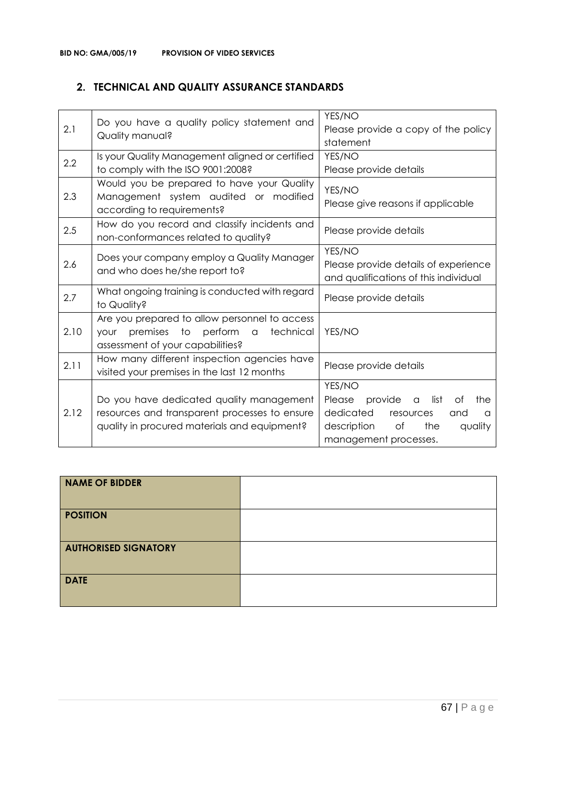## **2. TECHNICAL AND QUALITY ASSURANCE STANDARDS**

| 2.1  | Do you have a quality policy statement and<br>Quality manual?                                                                                       | YES/NO<br>Please provide a copy of the policy<br>statement                                                                                                  |
|------|-----------------------------------------------------------------------------------------------------------------------------------------------------|-------------------------------------------------------------------------------------------------------------------------------------------------------------|
| 2.2  | Is your Quality Management aligned or certified<br>to comply with the ISO 9001:2008?                                                                | YES/NO<br>Please provide details                                                                                                                            |
| 2.3  | Would you be prepared to have your Quality<br>Management system audited or modified<br>according to requirements?                                   | YES/NO<br>Please give reasons if applicable                                                                                                                 |
| 2.5  | How do you record and classify incidents and<br>non-conformances related to quality?                                                                | Please provide details                                                                                                                                      |
| 2.6  | Does your company employ a Quality Manager<br>and who does he/she report to?                                                                        | YES/NO<br>Please provide details of experience<br>and qualifications of this individual                                                                     |
| 2.7  | What ongoing training is conducted with regard<br>to Quality?                                                                                       | Please provide details                                                                                                                                      |
| 2.10 | Are you prepared to allow personnel to access<br>premises to<br>perform<br>technical<br>$\alpha$<br><b>your</b><br>assessment of your capabilities? | YES/NO                                                                                                                                                      |
| 2.11 | How many different inspection agencies have<br>visited your premises in the last 12 months                                                          | Please provide details                                                                                                                                      |
| 2.12 | Do you have dedicated quality management<br>resources and transparent processes to ensure<br>quality in procured materials and equipment?           | YES/NO<br>Please<br>provide<br>list<br>Οf<br>the<br>a<br>dedicated<br>resources<br>and<br>a<br>description<br>of<br>the<br>quality<br>management processes. |

| <b>NAME OF BIDDER</b>       |  |
|-----------------------------|--|
| <b>POSITION</b>             |  |
| <b>AUTHORISED SIGNATORY</b> |  |
| <b>DATE</b>                 |  |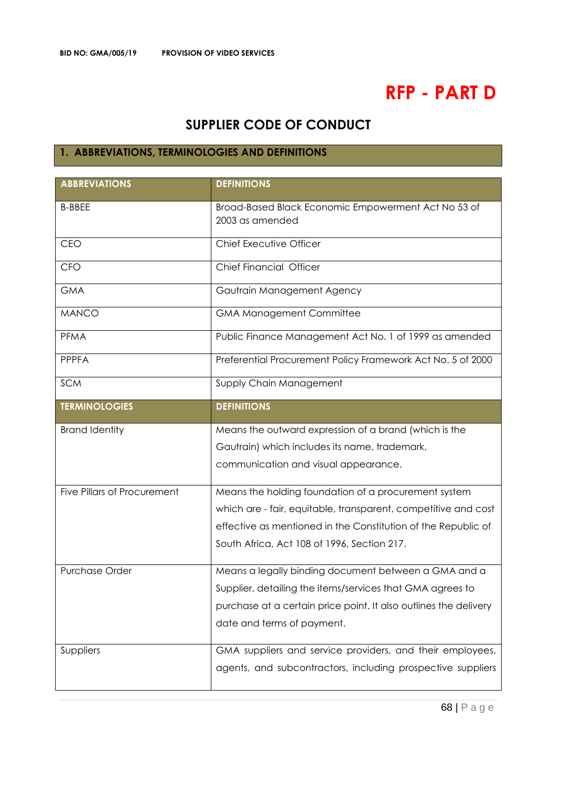# **RFP - PART D**

## **SUPPLIER CODE OF CONDUCT**

## **1. ABBREVIATIONS, TERMINOLOGIES AND DEFINITIONS**

| <b>ABBREVIATIONS</b>               | <b>DEFINITIONS</b>                                                     |
|------------------------------------|------------------------------------------------------------------------|
| <b>B-BBEE</b>                      | Broad-Based Black Economic Empowerment Act No 53 of<br>2003 as amended |
| <b>CEO</b>                         | Chief Executive Officer                                                |
| CFO                                | Chief Financial Officer                                                |
| <b>GMA</b>                         | Gautrain Management Agency                                             |
| <b>MANCO</b>                       | <b>GMA Management Committee</b>                                        |
| <b>PFMA</b>                        | Public Finance Management Act No. 1 of 1999 as amended                 |
| <b>PPPFA</b>                       | Preferential Procurement Policy Framework Act No. 5 of 2000            |
| <b>SCM</b>                         | Supply Chain Management                                                |
| <b>TERMINOLOGIES</b>               | <b>DEFINITIONS</b>                                                     |
| <b>Brand Identity</b>              | Means the outward expression of a brand (which is the                  |
|                                    | Gautrain) which includes its name, trademark,                          |
|                                    | communication and visual appearance.                                   |
| <b>Five Pillars of Procurement</b> | Means the holding foundation of a procurement system                   |
|                                    | which are - fair, equitable, transparent, competitive and cost         |
|                                    | effective as mentioned in the Constitution of the Republic of          |
|                                    | South Africa, Act 108 of 1996, Section 217.                            |
| <b>Purchase Order</b>              | Means a legally binding document between a GMA and a                   |
|                                    | Supplier, detailing the items/services that GMA agrees to              |
|                                    | purchase at a certain price point. It also outlines the delivery       |
|                                    | date and terms of payment.                                             |
| Suppliers                          | GMA suppliers and service providers, and their employees,              |
|                                    | agents, and subcontractors, including prospective suppliers            |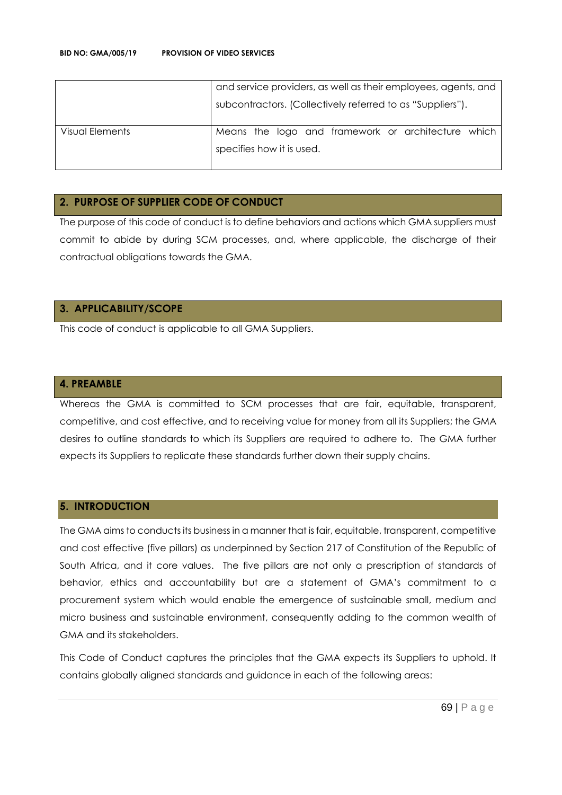|                 | and service providers, as well as their employees, agents, and |
|-----------------|----------------------------------------------------------------|
|                 | subcontractors. (Collectively referred to as "Suppliers").     |
| Visual Elements | Means the logo and framework or architecture which             |
|                 | specifies how it is used.                                      |
|                 |                                                                |

### **2. PURPOSE OF SUPPLIER CODE OF CONDUCT**

The purpose of this code of conduct is to define behaviors and actions which GMA suppliers must commit to abide by during SCM processes, and, where applicable, the discharge of their contractual obligations towards the GMA.

## **3. APPLICABILITY/SCOPE**

This code of conduct is applicable to all GMA Suppliers.

#### **4. PREAMBLE**

Whereas the GMA is committed to SCM processes that are fair, equitable, transparent, competitive, and cost effective, and to receiving value for money from all its Suppliers; the GMA desires to outline standards to which its Suppliers are required to adhere to. The GMA further expects its Suppliers to replicate these standards further down their supply chains.

#### **5. INTRODUCTION**

The GMA aims to conducts its business in a manner that is fair, equitable, transparent, competitive and cost effective (five pillars) as underpinned by Section 217 of Constitution of the Republic of South Africa, and it core values. The five pillars are not only a prescription of standards of behavior, ethics and accountability but are a statement of GMA's commitment to a procurement system which would enable the emergence of sustainable small, medium and micro business and sustainable environment, consequently adding to the common wealth of GMA and its stakeholders.

This Code of Conduct captures the principles that the GMA expects its Suppliers to uphold. It contains globally aligned standards and guidance in each of the following areas: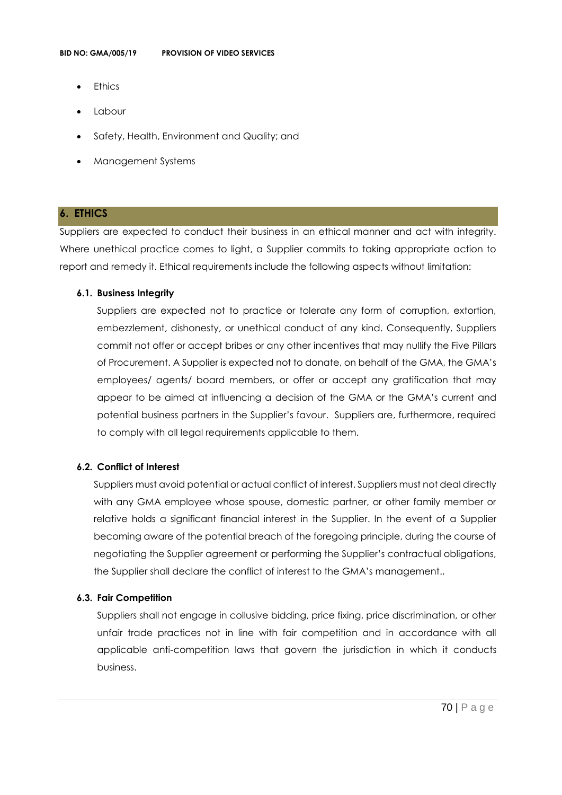- **Ethics**
- Labour
- Safety, Health, Environment and Quality; and
- Management Systems

#### **6. ETHICS**

Suppliers are expected to conduct their business in an ethical manner and act with integrity. Where unethical practice comes to light, a Supplier commits to taking appropriate action to report and remedy it. Ethical requirements include the following aspects without limitation:

#### **6.1. Business Integrity**

Suppliers are expected not to practice or tolerate any form of corruption, extortion, embezzlement, dishonesty, or unethical conduct of any kind. Consequently, Suppliers commit not offer or accept bribes or any other incentives that may nullify the Five Pillars of Procurement. A Supplier is expected not to donate, on behalf of the GMA, the GMA's employees/ agents/ board members, or offer or accept any gratification that may appear to be aimed at influencing a decision of the GMA or the GMA's current and potential business partners in the Supplier's favour. Suppliers are, furthermore, required to comply with all legal requirements applicable to them.

## **6.2. Conflict of Interest**

Suppliers must avoid potential or actual conflict of interest. Suppliers must not deal directly with any GMA employee whose spouse, domestic partner, or other family member or relative holds a significant financial interest in the Supplier. In the event of a Supplier becoming aware of the potential breach of the foregoing principle, during the course of negotiating the Supplier agreement or performing the Supplier's contractual obligations, the Supplier shall declare the conflict of interest to the GMA's management.,

#### **6.3. Fair Competition**

Suppliers shall not engage in collusive bidding, price fixing, price discrimination, or other unfair trade practices not in line with fair competition and in accordance with all applicable anti-competition laws that govern the jurisdiction in which it conducts business.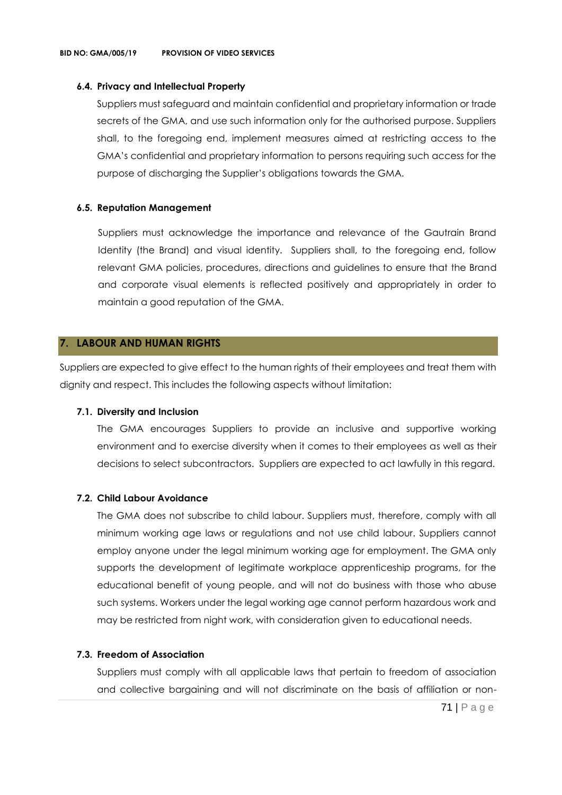### **6.4. Privacy and Intellectual Property**

Suppliers must safeguard and maintain confidential and proprietary information or trade secrets of the GMA, and use such information only for the authorised purpose. Suppliers shall, to the foregoing end, implement measures aimed at restricting access to the GMA's confidential and proprietary information to persons requiring such access for the purpose of discharging the Supplier's obligations towards the GMA.

## **6.5. Reputation Management**

Suppliers must acknowledge the importance and relevance of the Gautrain Brand Identity (the Brand) and visual identity. Suppliers shall, to the foregoing end, follow relevant GMA policies, procedures, directions and guidelines to ensure that the Brand and corporate visual elements is reflected positively and appropriately in order to maintain a good reputation of the GMA.

## **7. LABOUR AND HUMAN RIGHTS**

Suppliers are expected to give effect to the human rights of their employees and treat them with dignity and respect. This includes the following aspects without limitation:

## **7.1. Diversity and Inclusion**

The GMA encourages Suppliers to provide an inclusive and supportive working environment and to exercise diversity when it comes to their employees as well as their decisions to select subcontractors. Suppliers are expected to act lawfully in this regard.

## **7.2. Child Labour Avoidance**

The GMA does not subscribe to child labour. Suppliers must, therefore, comply with all minimum working age laws or regulations and not use child labour. Suppliers cannot employ anyone under the legal minimum working age for employment. The GMA only supports the development of legitimate workplace apprenticeship programs, for the educational benefit of young people, and will not do business with those who abuse such systems. Workers under the legal working age cannot perform hazardous work and may be restricted from night work, with consideration given to educational needs.

## **7.3. Freedom of Association**

Suppliers must comply with all applicable laws that pertain to freedom of association and collective bargaining and will not discriminate on the basis of affiliation or non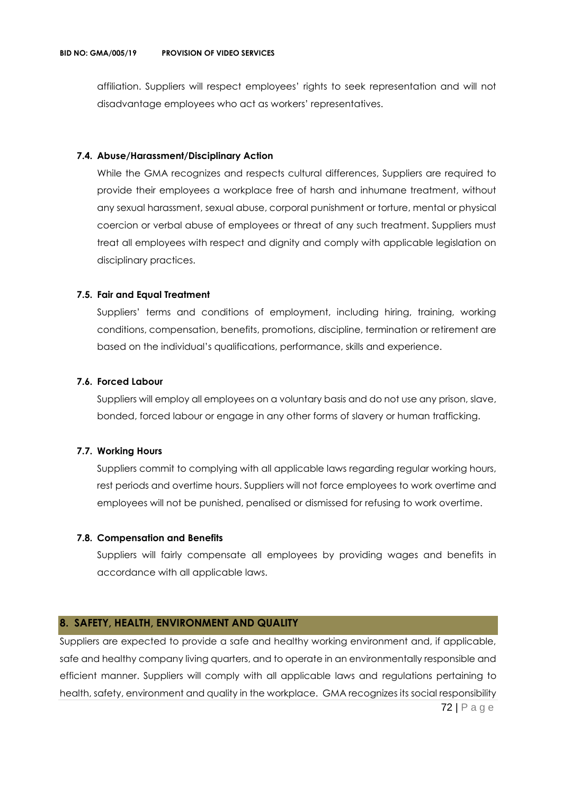affiliation. Suppliers will respect employees' rights to seek representation and will not disadvantage employees who act as workers' representatives.

#### **7.4. Abuse/Harassment/Disciplinary Action**

While the GMA recognizes and respects cultural differences, Suppliers are required to provide their employees a workplace free of harsh and inhumane treatment, without any sexual harassment, sexual abuse, corporal punishment or torture, mental or physical coercion or verbal abuse of employees or threat of any such treatment. Suppliers must treat all employees with respect and dignity and comply with applicable legislation on disciplinary practices.

#### **7.5. Fair and Equal Treatment**

Suppliers' terms and conditions of employment, including hiring, training, working conditions, compensation, benefits, promotions, discipline, termination or retirement are based on the individual's qualifications, performance, skills and experience.

#### **7.6. Forced Labour**

Suppliers will employ all employees on a voluntary basis and do not use any prison, slave, bonded, forced labour or engage in any other forms of slavery or human trafficking.

#### **7.7. Working Hours**

Suppliers commit to complying with all applicable laws regarding regular working hours, rest periods and overtime hours. Suppliers will not force employees to work overtime and employees will not be punished, penalised or dismissed for refusing to work overtime.

#### **7.8. Compensation and Benefits**

Suppliers will fairly compensate all employees by providing wages and benefits in accordance with all applicable laws.

#### **8. SAFETY, HEALTH, ENVIRONMENT AND QUALITY**

72 | P a g e Suppliers are expected to provide a safe and healthy working environment and, if applicable, safe and healthy company living quarters, and to operate in an environmentally responsible and efficient manner. Suppliers will comply with all applicable laws and regulations pertaining to health, safety, environment and quality in the workplace. GMA recognizes its social responsibility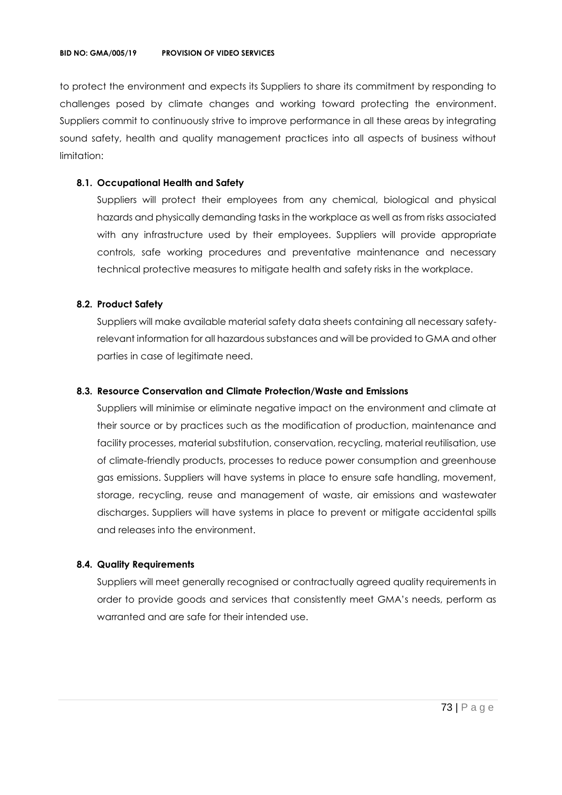to protect the environment and expects its Suppliers to share its commitment by responding to challenges posed by climate changes and working toward protecting the environment. Suppliers commit to continuously strive to improve performance in all these areas by integrating sound safety, health and quality management practices into all aspects of business without limitation:

## **8.1. Occupational Health and Safety**

Suppliers will protect their employees from any chemical, biological and physical hazards and physically demanding tasks in the workplace as well as from risks associated with any infrastructure used by their employees. Suppliers will provide appropriate controls, safe working procedures and preventative maintenance and necessary technical protective measures to mitigate health and safety risks in the workplace.

## **8.2. Product Safety**

Suppliers will make available material safety data sheets containing all necessary safetyrelevant information for all hazardous substances and will be provided to GMA and other parties in case of legitimate need.

# **8.3. Resource Conservation and Climate Protection/Waste and Emissions**

Suppliers will minimise or eliminate negative impact on the environment and climate at their source or by practices such as the modification of production, maintenance and facility processes, material substitution, conservation, recycling, material reutilisation, use of climate-friendly products, processes to reduce power consumption and greenhouse gas emissions. Suppliers will have systems in place to ensure safe handling, movement, storage, recycling, reuse and management of waste, air emissions and wastewater discharges. Suppliers will have systems in place to prevent or mitigate accidental spills and releases into the environment.

#### **8.4. Quality Requirements**

Suppliers will meet generally recognised or contractually agreed quality requirements in order to provide goods and services that consistently meet GMA's needs, perform as warranted and are safe for their intended use.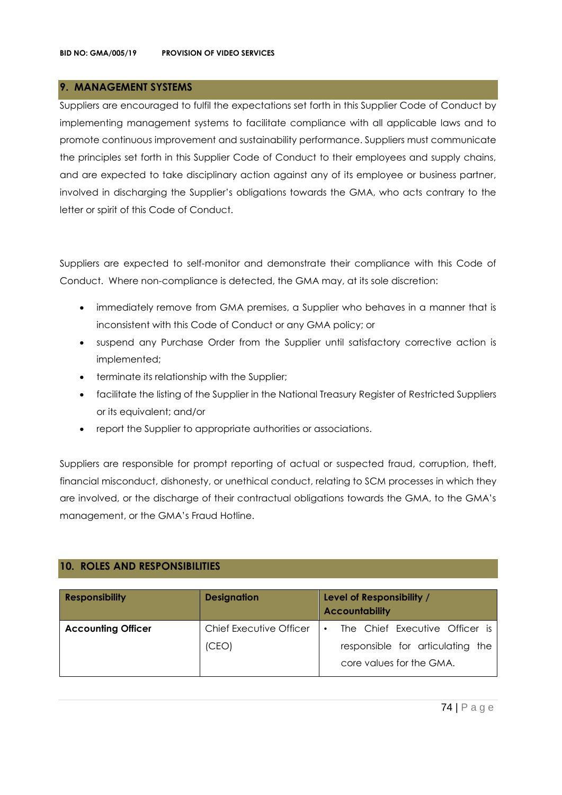# **9. MANAGEMENT SYSTEMS**

Suppliers are encouraged to fulfil the expectations set forth in this Supplier Code of Conduct by implementing management systems to facilitate compliance with all applicable laws and to promote continuous improvement and sustainability performance. Suppliers must communicate the principles set forth in this Supplier Code of Conduct to their employees and supply chains, and are expected to take disciplinary action against any of its employee or business partner, involved in discharging the Supplier's obligations towards the GMA, who acts contrary to the letter or spirit of this Code of Conduct.

Suppliers are expected to self-monitor and demonstrate their compliance with this Code of Conduct. Where non-compliance is detected, the GMA may, at its sole discretion:

- immediately remove from GMA premises, a Supplier who behaves in a manner that is inconsistent with this Code of Conduct or any GMA policy; or
- suspend any Purchase Order from the Supplier until satisfactory corrective action is implemented;
- terminate its relationship with the Supplier;
- facilitate the listing of the Supplier in the National Treasury Register of Restricted Suppliers or its equivalent; and/or
- report the Supplier to appropriate authorities or associations.

Suppliers are responsible for prompt reporting of actual or suspected fraud, corruption, theft, financial misconduct, dishonesty, or unethical conduct, relating to SCM processes in which they are involved, or the discharge of their contractual obligations towards the GMA, to the GMA's management, or the GMA's Fraud Hotline.

# **10. ROLES AND RESPONSIBILITIES**

| <b>Responsibility</b>     | <b>Designation</b>             | Level of Responsibility /<br><b>Accountability</b>           |
|---------------------------|--------------------------------|--------------------------------------------------------------|
| <b>Accounting Officer</b> | <b>Chief Executive Officer</b> | The Chief Executive Officer is<br>$\bullet$                  |
|                           | (CEO)                          | responsible for articulating the<br>core values for the GMA. |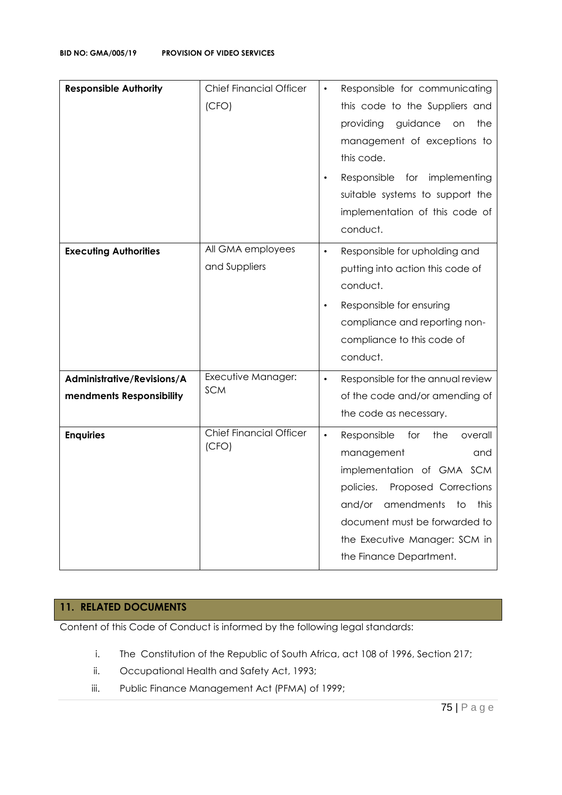| <b>Responsible Authority</b>                           | <b>Chief Financial Officer</b><br>(CFO) | Responsible for communicating<br>this code to the Suppliers and<br>providing<br>guidance<br>the<br>on on<br>management of exceptions to<br>this code.<br>Responsible for implementing<br>suitable systems to support the<br>implementation of this code of<br>conduct.      |
|--------------------------------------------------------|-----------------------------------------|-----------------------------------------------------------------------------------------------------------------------------------------------------------------------------------------------------------------------------------------------------------------------------|
| <b>Executing Authorities</b>                           | All GMA employees<br>and Suppliers      | Responsible for upholding and<br>$\bullet$<br>putting into action this code of<br>conduct.<br>Responsible for ensuring<br>compliance and reporting non-<br>compliance to this code of<br>conduct.                                                                           |
| Administrative/Revisions/A<br>mendments Responsibility | Executive Manager:<br><b>SCM</b>        | Responsible for the annual review<br>$\bullet$<br>of the code and/or amending of<br>the code as necessary.                                                                                                                                                                  |
| <b>Enquiries</b>                                       | <b>Chief Financial Officer</b><br>(CFO) | $\bullet$<br>Responsible<br>for<br>the<br>overall<br>management<br>and<br>implementation of GMA SCM<br>policies.<br>Proposed Corrections<br>and/or<br>amendments<br>to<br>this<br>document must be forwarded to<br>the Executive Manager: SCM in<br>the Finance Department. |

# **11. RELATED DOCUMENTS**

Content of this Code of Conduct is informed by the following legal standards:

- i. The Constitution of the Republic of South Africa, act 108 of 1996, Section 217;
- ii. Occupational Health and Safety Act, 1993;
- iii. Public Finance Management Act (PFMA) of 1999;